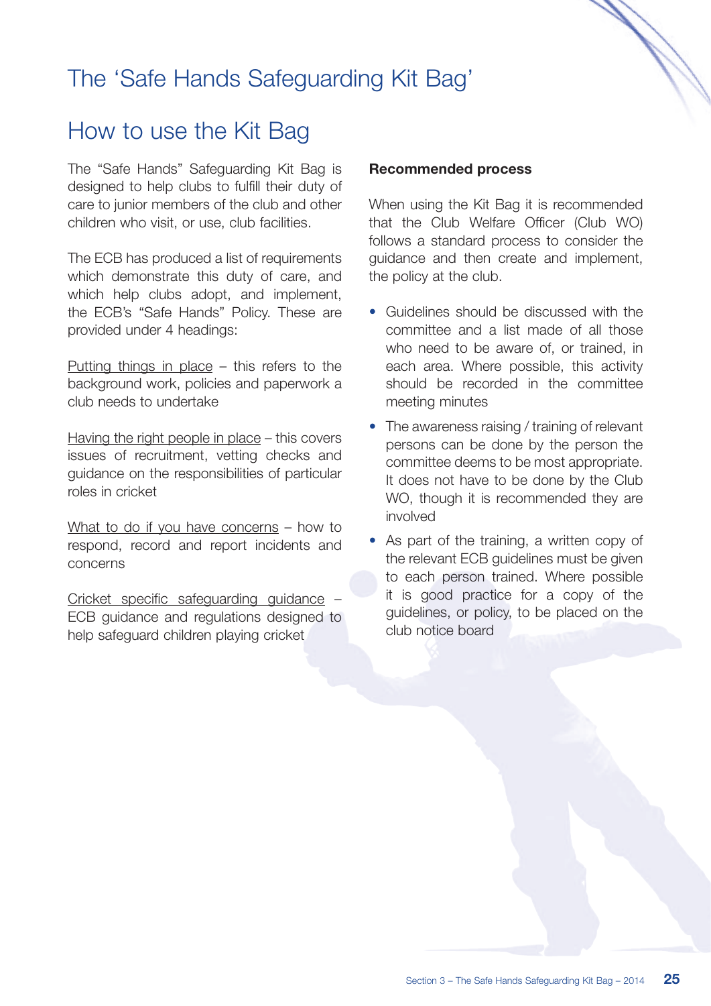# The 'Safe Hands Safeguarding Kit Bag'

# How to use the Kit Bag

The "Safe Hands" Safeguarding Kit Bag is designed to help clubs to fulfill their duty of care to junior members of the club and other children who visit, or use, club facilities.

The ECB has produced a list of requirements which demonstrate this duty of care, and which help clubs adopt, and implement, the ECB's "Safe Hands" Policy. These are provided under 4 headings:

Putting things in place – this refers to the background work, policies and paperwork a club needs to undertake

Having the right people in place – this covers issues of recruitment, vetting checks and guidance on the responsibilities of particular roles in cricket

What to do if you have concerns – how to respond, record and report incidents and concerns

Cricket specific safeguarding guidance ECB guidance and regulations designed to help safeguard children playing cricket

### **Recommended process**

When using the Kit Bag it is recommended that the Club Welfare Officer (Club WO) follows a standard process to consider the guidance and then create and implement, the policy at the club.

- Guidelines should be discussed with the committee and a list made of all those who need to be aware of, or trained, in each area. Where possible, this activity should be recorded in the committee meeting minutes
- The awareness raising / training of relevant persons can be done by the person the committee deems to be most appropriate. It does not have to be done by the Club WO, though it is recommended they are involved
- As part of the training, a written copy of the relevant ECB guidelines must be given to each person trained. Where possible it is good practice for a copy of the guidelines, or policy, to be placed on the club notice board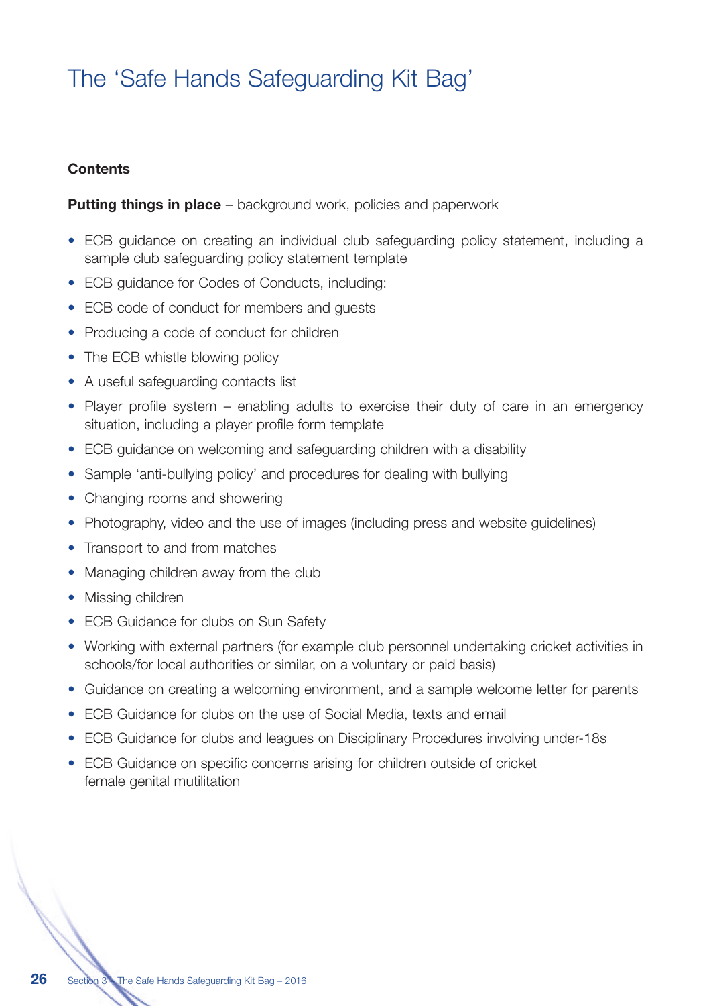# The 'Safe Hands Safeguarding Kit Bag'

### **Contents**

#### **Putting things in place** – background work, policies and paperwork

- ECB guidance on creating an individual club safeguarding policy statement, including a sample club safeguarding policy statement template
- ECB guidance for Codes of Conducts, including:
- ECB code of conduct for members and guests
- Producing a code of conduct for children
- The ECB whistle blowing policy
- A useful safeguarding contacts list
- Player profile system enabling adults to exercise their duty of care in an emergency situation, including a player profile form template
- ECB guidance on welcoming and safeguarding children with a disability
- Sample 'anti-bullying policy' and procedures for dealing with bullying
- Changing rooms and showering
- Photography, video and the use of images (including press and website guidelines)
- Transport to and from matches
- Managing children away from the club
- Missing children
- ECB Guidance for clubs on Sun Safety
- Working with external partners (for example club personnel undertaking cricket activities in schools/for local authorities or similar, on a voluntary or paid basis)
- Guidance on creating a welcoming environment, and a sample welcome letter for parents
- ECB Guidance for clubs on the use of Social Media, texts and email
- ECB Guidance for clubs and leagues on Disciplinary Procedures involving under-18s
- ECB Guidance on specific concerns arising for children outside of cricket female genital mutilitation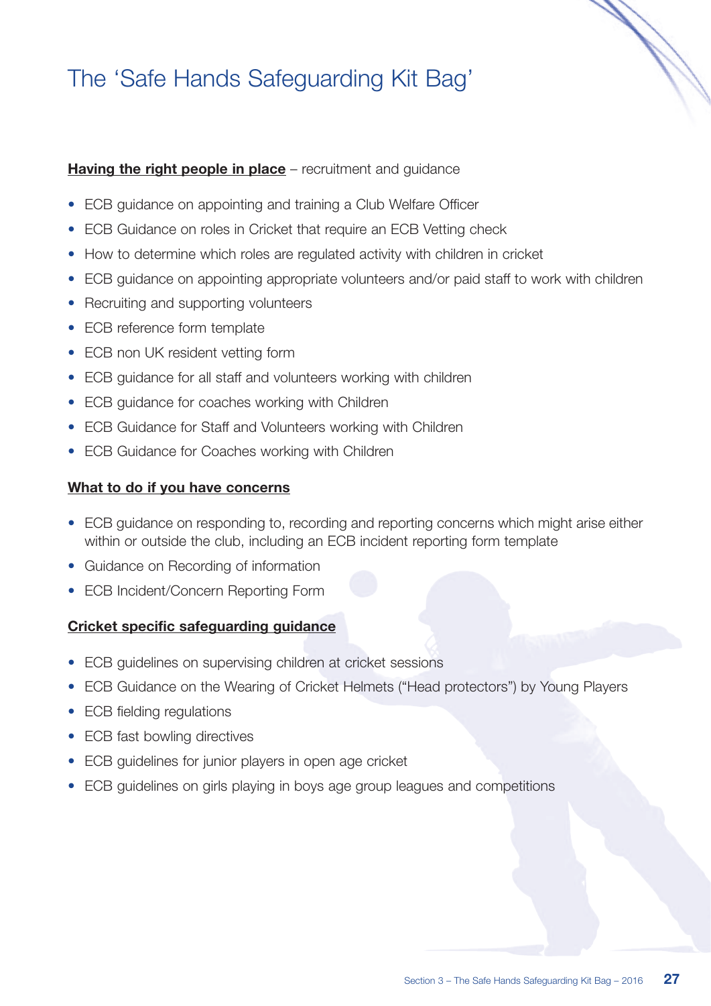# The 'Safe Hands Safeguarding Kit Bag'

# **Having the right people in place** – recruitment and guidance

- ECB quidance on appointing and training a Club Welfare Officer
- ECB Guidance on roles in Cricket that require an ECB Vetting check
- How to determine which roles are regulated activity with children in cricket
- ECB guidance on appointing appropriate volunteers and/or paid staff to work with children
- Recruiting and supporting volunteers
- ECB reference form template
- ECB non UK resident vetting form
- ECB guidance for all staff and volunteers working with children
- ECB guidance for coaches working with Children
- ECB Guidance for Staff and Volunteers working with Children
- ECB Guidance for Coaches working with Children

### **What to do if you have concerns**

- ECB guidance on responding to, recording and reporting concerns which might arise either within or outside the club, including an ECB incident reporting form template
- Guidance on Recording of information
- ECB Incident/Concern Reporting Form

### **Cricket specific safeguarding guidance**

- ECB quidelines on supervising children at cricket sessions
- ECB Guidance on the Wearing of Cricket Helmets ("Head protectors") by Young Players
- ECB fielding regulations
- ECB fast bowling directives
- ECB guidelines for junior players in open age cricket
- ECB guidelines on girls playing in boys age group leagues and competitions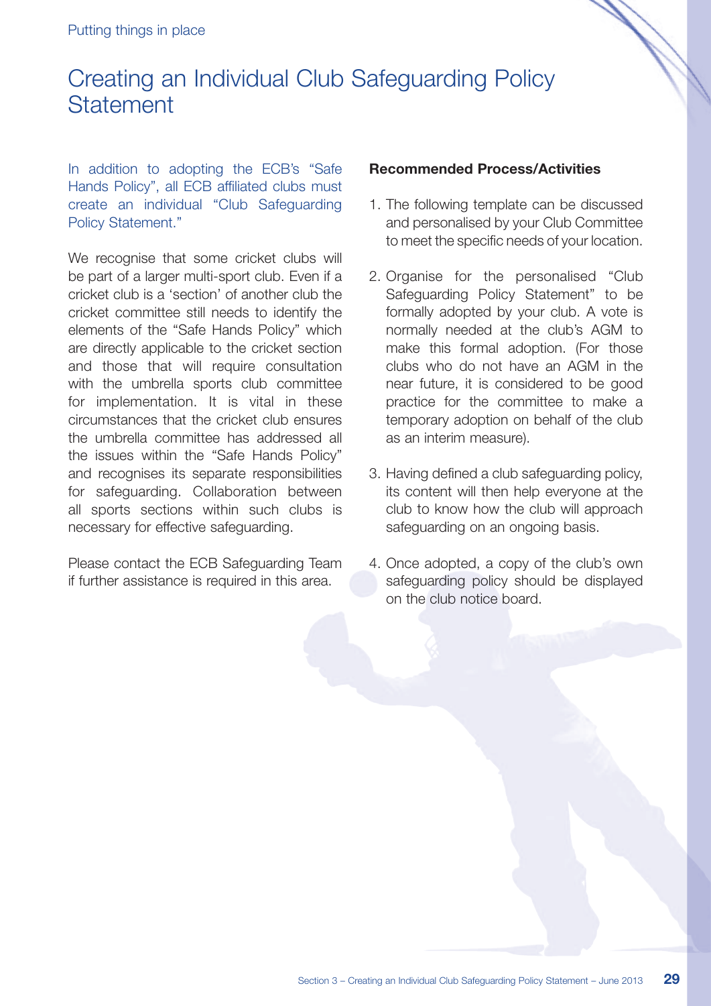# Creating an Individual Club Safeguarding Policy **Statement**

In addition to adopting the ECB's "Safe Hands Policy", all ECB affiliated clubs must create an individual "Club Safeguarding Policy Statement."

We recognise that some cricket clubs will be part of a larger multi-sport club. Even if a cricket club is a 'section' of another club the cricket committee still needs to identify the elements of the "Safe Hands Policy" which are directly applicable to the cricket section and those that will require consultation with the umbrella sports club committee for implementation. It is vital in these circumstances that the cricket club ensures the umbrella committee has addressed all the issues within the "Safe Hands Policy" and recognises its separate responsibilities for safeguarding. Collaboration between all sports sections within such clubs is necessary for effective safeguarding.

Please contact the ECB Safeguarding Team if further assistance is required in this area.

### **Recommended Process/Activities**

- 1. The following template can be discussed and personalised by your Club Committee to meet the specific needs of your location.
- 2. Organise for the personalised "Club Safeguarding Policy Statement" to be formally adopted by your club. A vote is normally needed at the club's AGM to make this formal adoption. (For those clubs who do not have an AGM in the near future, it is considered to be good practice for the committee to make a temporary adoption on behalf of the club as an interim measure).
- 3. Having defined a club safeguarding policy, its content will then help everyone at the club to know how the club will approach safeguarding on an ongoing basis.
- 4. Once adopted, a copy of the club's own safeguarding policy should be displayed on the club notice board.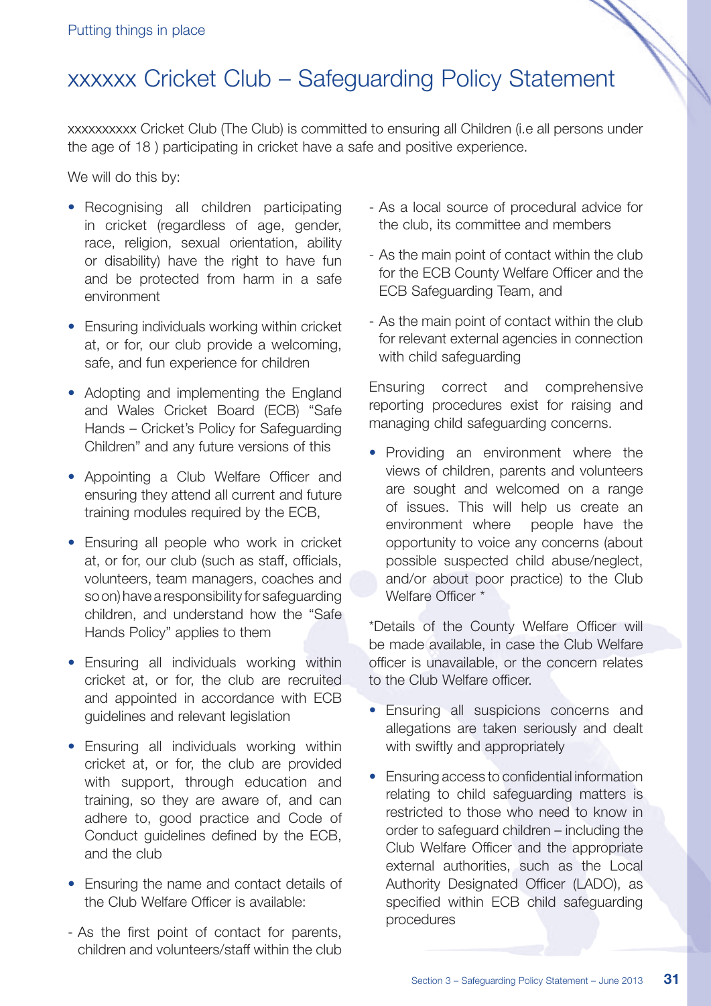# xxxxxx Cricket Club – Safeguarding Policy Statement

xxxxxxxxxx Cricket Club (The Club) is committed to ensuring all Children (i.e all persons under the age of 18 ) participating in cricket have a safe and positive experience.

We will do this by:

- Recognising all children participating in cricket (regardless of age, gender, race, religion, sexual orientation, ability or disability) have the right to have fun and be protected from harm in a safe environment
- Ensuring individuals working within cricket at, or for, our club provide a welcoming, safe, and fun experience for children
- Adopting and implementing the England and Wales Cricket Board (ECB) "Safe Hands – Cricket's Policy for Safeguarding Children" and any future versions of this
- Appointing a Club Welfare Officer and ensuring they attend all current and future training modules required by the ECB,
- Ensuring all people who work in cricket at, or for, our club (such as staff, officials, volunteers, team managers, coaches and so on) have a responsibility for safeguarding children, and understand how the "Safe Hands Policy" applies to them
- Ensuring all individuals working within cricket at, or for, the club are recruited and appointed in accordance with ECB guidelines and relevant legislation
- Ensuring all individuals working within cricket at, or for, the club are provided with support, through education and training, so they are aware of, and can adhere to, good practice and Code of Conduct guidelines defined by the ECB, and the club
- Ensuring the name and contact details of the Club Welfare Officer is available:
- As the first point of contact for parents, children and volunteers/staff within the club
- As a local source of procedural advice for the club, its committee and members
- As the main point of contact within the club for the ECB County Welfare Officer and the ECB Safeguarding Team, and
- As the main point of contact within the club for relevant external agencies in connection with child safeguarding

Ensuring correct and comprehensive reporting procedures exist for raising and managing child safeguarding concerns.

• Providing an environment where the views of children, parents and volunteers are sought and welcomed on a range of issues. This will help us create an environment where people have the opportunity to voice any concerns (about possible suspected child abuse/neglect, and/or about poor practice) to the Club Welfare Officer

\*Details of the County Welfare Officer will be made available, in case the Club Welfare officer is unavailable, or the concern relates to the Club Welfare officer.

- Ensuring all suspicions concerns and allegations are taken seriously and dealt with swiftly and appropriately
- Ensuring access to confidential information relating to child safeguarding matters is restricted to those who need to know in order to safeguard children – including the Club Welfare Officer and the appropriate external authorities, such as the Local Authority Designated Officer (LADO), as specified within ECB child safeguarding procedures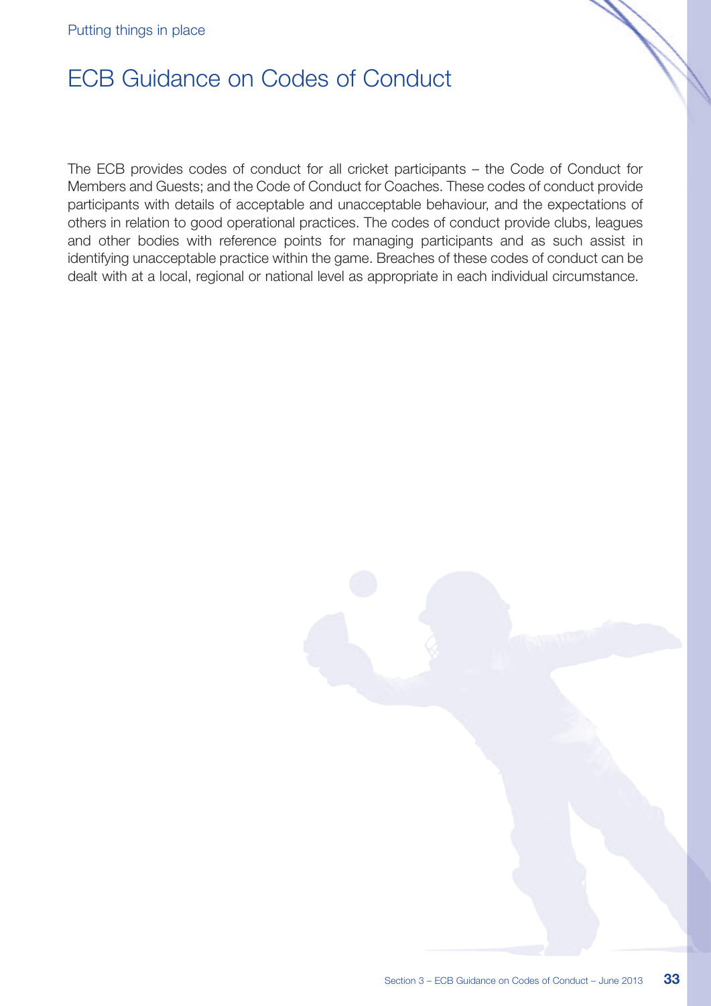# ECB Guidance on Codes of Conduct

The ECB provides codes of conduct for all cricket participants – the Code of Conduct for Members and Guests; and the Code of Conduct for Coaches. These codes of conduct provide participants with details of acceptable and unacceptable behaviour, and the expectations of others in relation to good operational practices. The codes of conduct provide clubs, leagues and other bodies with reference points for managing participants and as such assist in identifying unacceptable practice within the game. Breaches of these codes of conduct can be dealt with at a local, regional or national level as appropriate in each individual circumstance.

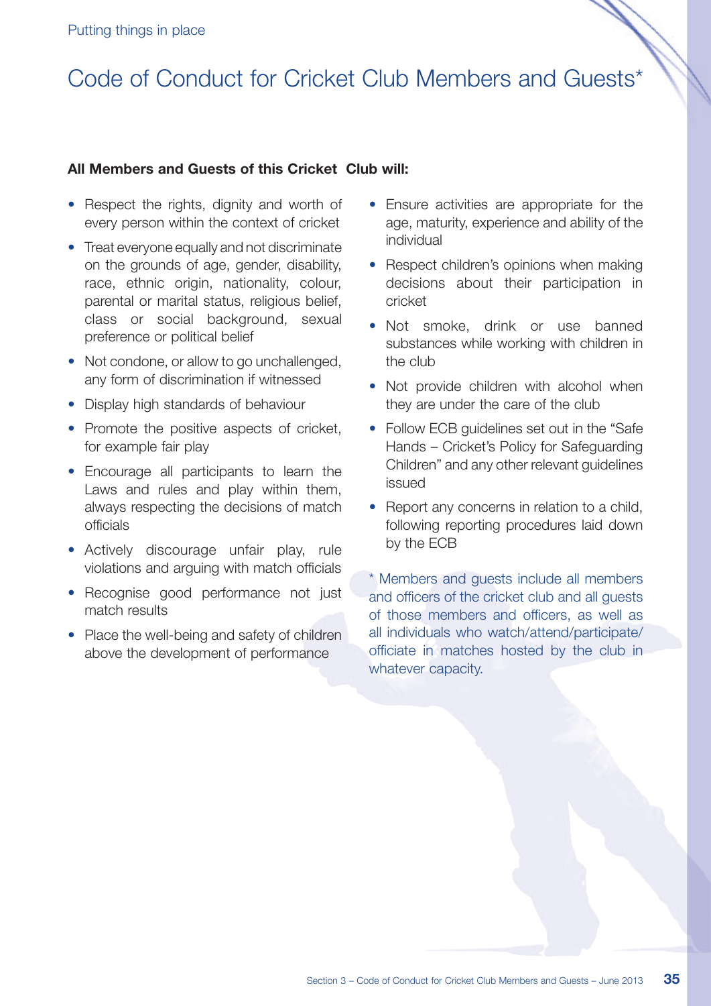# Code of Conduct for Cricket Club Members and Guests\*

### **All Members and Guests of this Cricket Club will:**

- Respect the rights, dignity and worth of every person within the context of cricket
- Treat everyone equally and not discriminate on the grounds of age, gender, disability, race, ethnic origin, nationality, colour, parental or marital status, religious belief, class or social background, sexual preference or political belief
- Not condone, or allow to go unchallenged, any form of discrimination if witnessed
- Display high standards of behaviour
- Promote the positive aspects of cricket. for example fair play
- Encourage all participants to learn the Laws and rules and play within them, always respecting the decisions of match officials
- Actively discourage unfair play, rule violations and arguing with match officials
- Recognise good performance not just match results
- Place the well-being and safety of children above the development of performance
- Ensure activities are appropriate for the age, maturity, experience and ability of the individual
- Respect children's opinions when making decisions about their participation in cricket
- Not smoke, drink or use banned substances while working with children in the club
- Not provide children with alcohol when they are under the care of the club
- Follow ECB quidelines set out in the "Safe" Hands – Cricket's Policy for Safeguarding Children" and any other relevant guidelines issued
- Report any concerns in relation to a child, following reporting procedures laid down by the ECB

\* Members and guests include all members and officers of the cricket club and all guests of those members and officers, as well as all individuals who watch/attend/participate/ officiate in matches hosted by the club in whatever capacity.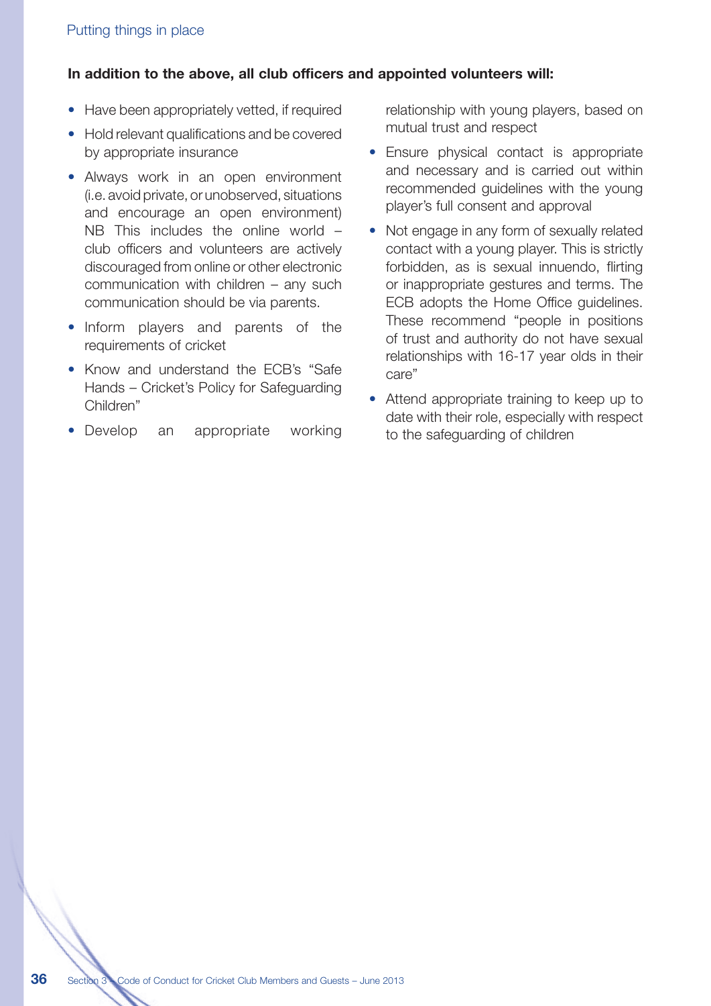#### **In addition to the above, all club officers and appointed volunteers will:**

- Have been appropriately vetted, if required
- Hold relevant qualifications and be covered by appropriate insurance
- Always work in an open environment (i.e. avoid private, or unobserved, situations and encourage an open environment) NB This includes the online world – club officers and volunteers are actively discouraged from online or other electronic communication with children – any such communication should be via parents.
- Inform players and parents of the requirements of cricket
- Know and understand the ECB's "Safe Hands – Cricket's Policy for Safeguarding Children"
- Develop an appropriate working

relationship with young players, based on mutual trust and respect

- Ensure physical contact is appropriate and necessary and is carried out within recommended guidelines with the young player's full consent and approval
- Not engage in any form of sexually related contact with a young player. This is strictly forbidden, as is sexual innuendo, flirting or inappropriate gestures and terms. The ECB adopts the Home Office guidelines. These recommend "people in positions of trust and authority do not have sexual relationships with 16-17 year olds in their care"
- Attend appropriate training to keep up to date with their role, especially with respect to the safeguarding of children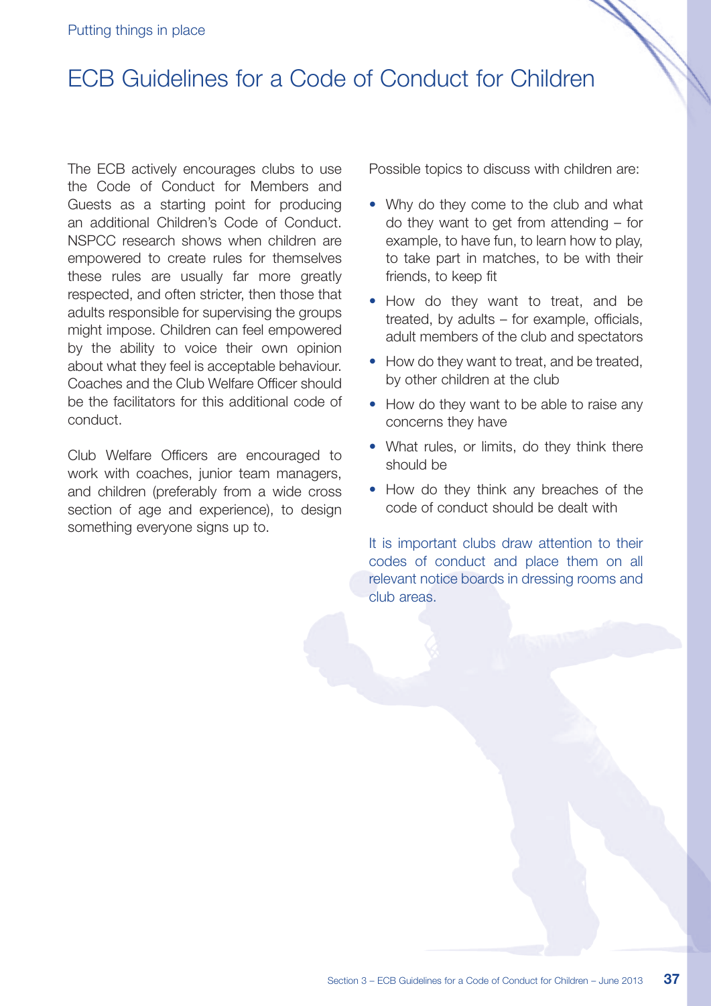# ECB Guidelines for a Code of Conduct for Children

The ECB actively encourages clubs to use the Code of Conduct for Members and Guests as a starting point for producing an additional Children's Code of Conduct. NSPCC research shows when children are empowered to create rules for themselves these rules are usually far more greatly respected, and often stricter, then those that adults responsible for supervising the groups might impose. Children can feel empowered by the ability to voice their own opinion about what they feel is acceptable behaviour. Coaches and the Club Welfare Officer should be the facilitators for this additional code of conduct.

Club Welfare Officers are encouraged to work with coaches, junior team managers, and children (preferably from a wide cross section of age and experience), to design something everyone signs up to.

Possible topics to discuss with children are:

- Why do they come to the club and what do they want to get from attending – for example, to have fun, to learn how to play, to take part in matches, to be with their friends, to keep fit
- How do they want to treat, and be treated, by adults – for example, officials, adult members of the club and spectators
- How do they want to treat, and be treated. by other children at the club
- How do they want to be able to raise any concerns they have
- What rules, or limits, do they think there should be
- How do they think any breaches of the code of conduct should be dealt with

It is important clubs draw attention to their codes of conduct and place them on all relevant notice boards in dressing rooms and club areas.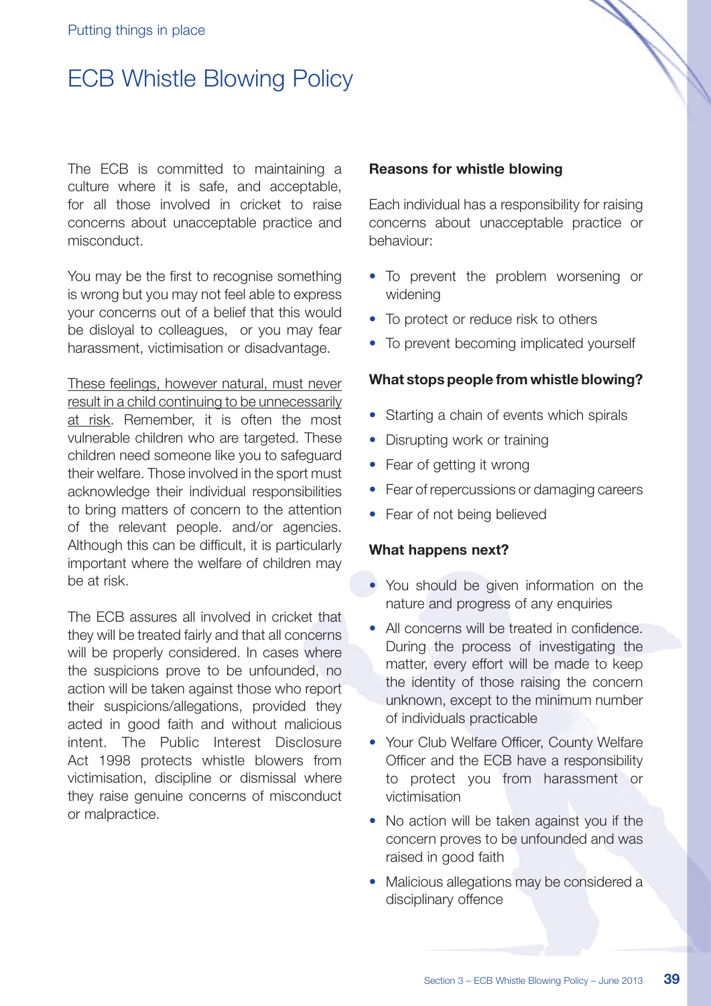# ECB Whistle Blowing Policy

The ECB is committed to maintaining a culture where it is safe, and acceptable, for all those involved in cricket to raise concerns about unacceptable practice and misconduct.

You may be the first to recognise something is wrong but you may not feel able to express your concerns out of a belief that this would be disloyal to colleagues, or you may fear harassment, victimisation or disadvantage.

These feelings, however natural, must never result in a child continuing to be unnecessarily at risk. Remember, it is often the most vulnerable children who are targeted. These children need someone like you to safeguard their welfare. Those involved in the sport must acknowledge their individual responsibilities to bring matters of concern to the attention of the relevant people. and/or agencies. Although this can be difficult, it is particularly important where the welfare of children may be at risk.

The ECB assures all involved in cricket that they will be treated fairly and that all concerns will be properly considered. In cases where the suspicions prove to be unfounded, no action will be taken against those who report their suspicions/allegations, provided they acted in good faith and without malicious intent. The Public Interest Disclosure Act 1998 protects whistle blowers from victimisation, discipline or dismissal where they raise genuine concerns of misconduct or malpractice.

#### **Reasons for whistle blowing**

Each individual has a responsibility for raising concerns about unacceptable practice or behaviour:

- To prevent the problem worsening or widening
- To protect or reduce risk to others
- To prevent becoming implicated yourself

### **What stops people from whistle blowing?**

- Starting a chain of events which spirals
- Disrupting work or training
- Fear of getting it wrong
- Fear of repercussions or damaging careers
- Fear of not being believed

#### **What happens next?**

- You should be given information on the nature and progress of any enquiries
- All concerns will be treated in confidence. During the process of investigating the matter, every effort will be made to keep the identity of those raising the concern unknown, except to the minimum number of individuals practicable
- Your Club Welfare Officer, County Welfare Officer and the ECB have a responsibility to protect you from harassment or victimisation
- No action will be taken against you if the concern proves to be unfounded and was raised in good faith
- Malicious allegations may be considered a disciplinary offence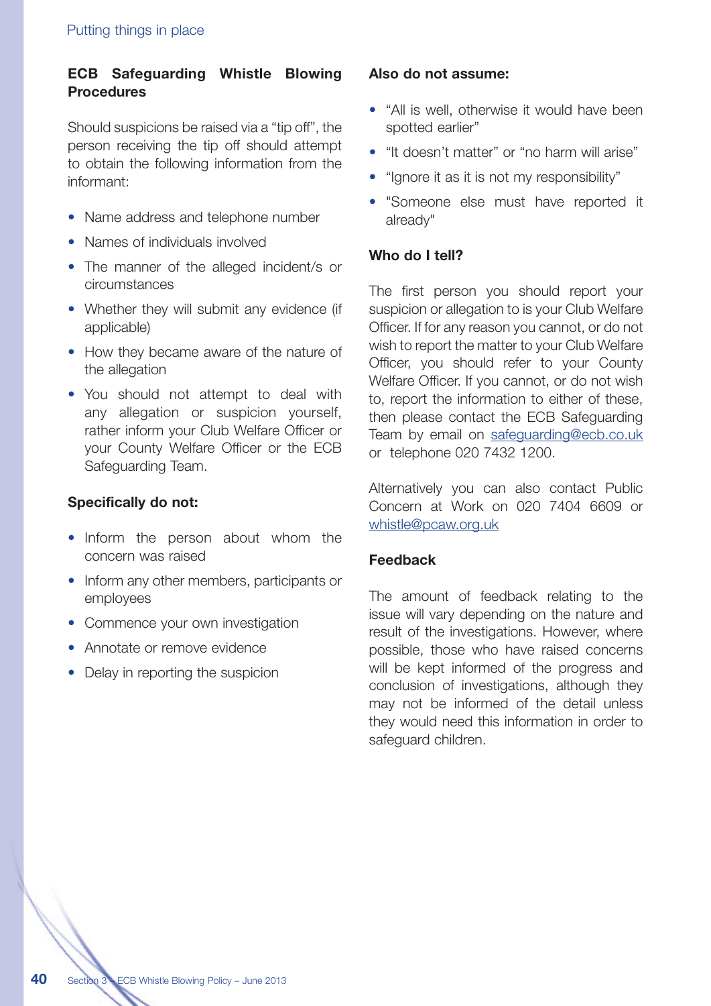# **ECB Safeguarding Whistle Blowing Procedures**

Should suspicions be raised via a "tip off", the person receiving the tip off should attempt to obtain the following information from the informant:

- Name address and telephone number
- Names of individuals involved
- The manner of the alleged incident/s or circumstances
- Whether they will submit any evidence (if applicable)
- How they became aware of the nature of the allegation
- You should not attempt to deal with any allegation or suspicion yourself, rather inform your Club Welfare Officer or your County Welfare Officer or the ECB Safeguarding Team.

### **Specifically do not:**

- Inform the person about whom the concern was raised
- Inform any other members, participants or employees
- Commence your own investigation
- Annotate or remove evidence
- Delay in reporting the suspicion

#### **Also do not assume:**

- "All is well, otherwise it would have been spotted earlier"
- "It doesn't matter" or "no harm will arise"
- "Ignore it as it is not my responsibility"
- "Someone else must have reported it already"

### **Who do I tell?**

The first person you should report your suspicion or allegation to is your Club Welfare Officer. If for any reason you cannot, or do not wish to report the matter to your Club Welfare Officer, you should refer to your County Welfare Officer. If you cannot, or do not wish to, report the information to either of these, then please contact the ECB Safeguarding Team by email on safeguarding@ecb.co.uk or telephone 020 7432 1200.

Alternatively you can also contact Public Concern at Work on 020 7404 6609 or whistle@pcaw.org.uk

### **Feedback**

The amount of feedback relating to the issue will vary depending on the nature and result of the investigations. However, where possible, those who have raised concerns will be kept informed of the progress and conclusion of investigations, although they may not be informed of the detail unless they would need this information in order to safeguard children.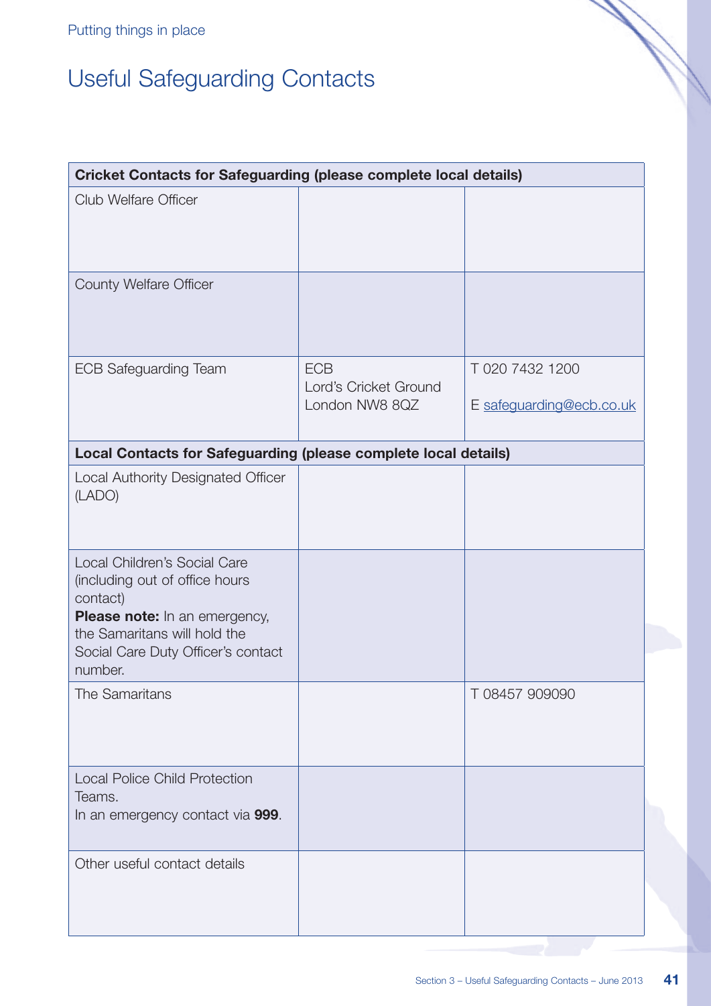Putting things in place

# Useful Safeguarding Contacts

| <b>Cricket Contacts for Safeguarding (please complete local details)</b>                                                                                                                     |                                                       |                                             |  |
|----------------------------------------------------------------------------------------------------------------------------------------------------------------------------------------------|-------------------------------------------------------|---------------------------------------------|--|
| Club Welfare Officer                                                                                                                                                                         |                                                       |                                             |  |
| <b>County Welfare Officer</b>                                                                                                                                                                |                                                       |                                             |  |
| <b>ECB Safeguarding Team</b>                                                                                                                                                                 | <b>ECB</b><br>Lord's Cricket Ground<br>London NW8 8QZ | T 020 7432 1200<br>E safeguarding@ecb.co.uk |  |
| Local Contacts for Safeguarding (please complete local details)                                                                                                                              |                                                       |                                             |  |
| Local Authority Designated Officer<br>(LADO)                                                                                                                                                 |                                                       |                                             |  |
| Local Children's Social Care<br>(including out of office hours<br>contact)<br>Please note: In an emergency,<br>the Samaritans will hold the<br>Social Care Duty Officer's contact<br>number. |                                                       |                                             |  |
| The Samaritans                                                                                                                                                                               |                                                       | T 08457 909090                              |  |
| <b>Local Police Child Protection</b><br>Teams.<br>In an emergency contact via 999.                                                                                                           |                                                       |                                             |  |
| Other useful contact details                                                                                                                                                                 |                                                       |                                             |  |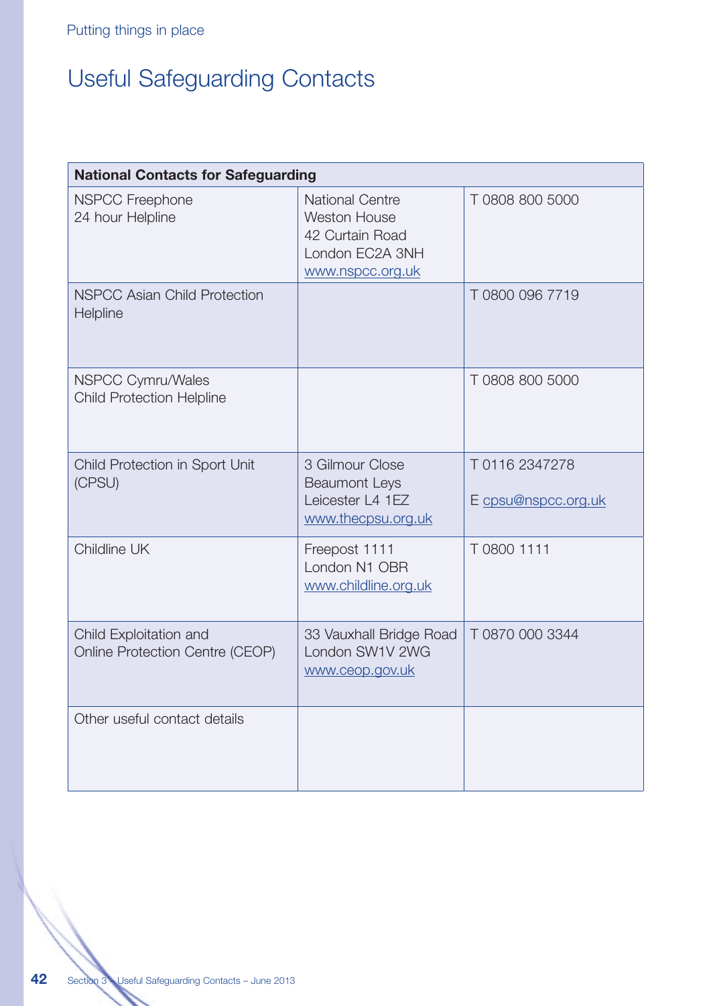Putting things in place

# Useful Safeguarding Contacts

| <b>National Contacts for Safeguarding</b>                    |                                                                                                         |                                     |
|--------------------------------------------------------------|---------------------------------------------------------------------------------------------------------|-------------------------------------|
| <b>NSPCC Freephone</b><br>24 hour Helpline                   | <b>National Centre</b><br><b>Weston House</b><br>42 Curtain Road<br>London EC2A 3NH<br>www.nspcc.org.uk | T 0808 800 5000                     |
| <b>NSPCC Asian Child Protection</b><br>Helpline              |                                                                                                         | T08000967719                        |
| <b>NSPCC Cymru/Wales</b><br><b>Child Protection Helpline</b> |                                                                                                         | T 0808 800 5000                     |
| Child Protection in Sport Unit<br>(CPSU)                     | 3 Gilmour Close<br><b>Beaumont Leys</b><br>Leicester L4 1EZ<br>www.thecpsu.org.uk                       | T01162347278<br>E cpsu@nspcc.org.uk |
| Childline UK                                                 | Freepost 1111<br>London N1 OBR<br>www.childline.org.uk                                                  | T0800 1111                          |
| Child Exploitation and<br>Online Protection Centre (CEOP)    | 33 Vauxhall Bridge Road<br>London SW1V 2WG<br>www.ceop.gov.uk                                           | T 0870 000 3344                     |
| Other useful contact details                                 |                                                                                                         |                                     |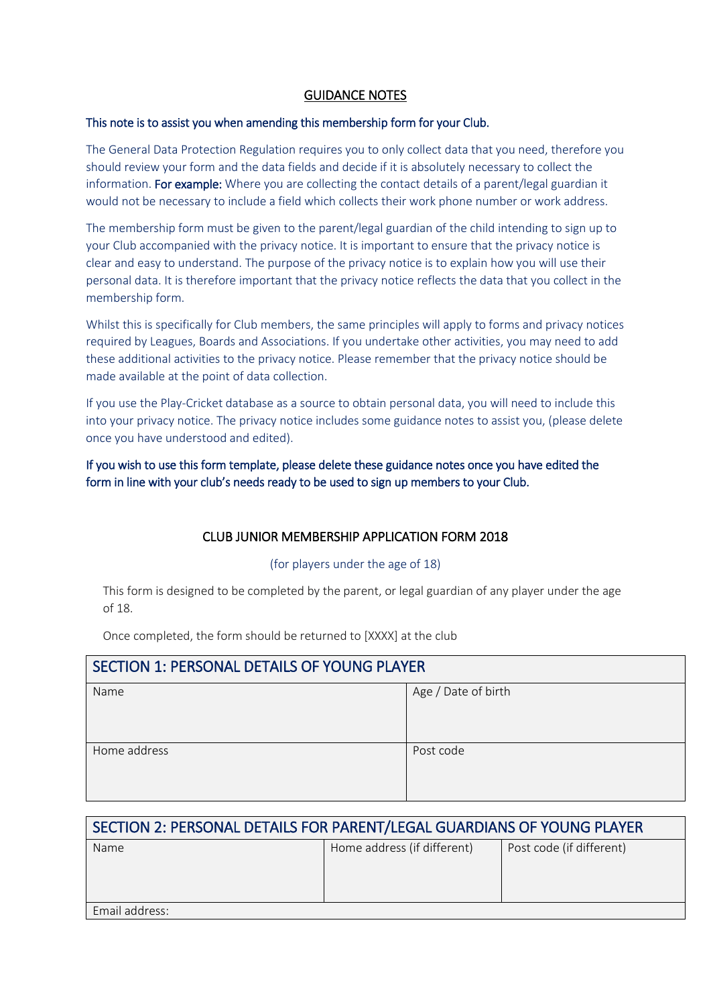#### GUIDANCE NOTES

#### This note is to assist you when amending this membership form for your Club.

The General Data Protection Regulation requires you to only collect data that you need, therefore you should review your form and the data fields and decide if it is absolutely necessary to collect the information. For example: Where you are collecting the contact details of a parent/legal guardian it would not be necessary to include a field which collects their work phone number or work address.

The membership form must be given to the parent/legal guardian of the child intending to sign up to your Club accompanied with the privacy notice. It is important to ensure that the privacy notice is clear and easy to understand. The purpose of the privacy notice is to explain how you will use their personal data. It is therefore important that the privacy notice reflects the data that you collect in the membership form.

Whilst this is specifically for Club members, the same principles will apply to forms and privacy notices required by Leagues, Boards and Associations. If you undertake other activities, you may need to add these additional activities to the privacy notice. Please remember that the privacy notice should be made available at the point of data collection.

If you use the Play-Cricket database as a source to obtain personal data, you will need to include this into your privacy notice. The privacy notice includes some guidance notes to assist you, (please delete once you have understood and edited).

If you wish to use this form template, please delete these guidance notes once you have edited the form in line with your club's needs ready to be used to sign up members to your Club.

#### CLUB JUNIOR MEMBERSHIP APPLICATION FORM 2018

(for players under the age of 18)

This form is designed to be completed by the parent, or legal guardian of any player under the age of 18.

Once completed, the form should be returned to [XXXX] at the club

| SECTION 1: PERSONAL DETAILS OF YOUNG PLAYER |                     |  |
|---------------------------------------------|---------------------|--|
| Name                                        | Age / Date of birth |  |
| Home address                                | Post code           |  |

| SECTION 2: PERSONAL DETAILS FOR PARENT/LEGAL GUARDIANS OF YOUNG PLAYER |                                                         |  |  |
|------------------------------------------------------------------------|---------------------------------------------------------|--|--|
| <b>Name</b>                                                            | Home address (if different)<br>Post code (if different) |  |  |
|                                                                        |                                                         |  |  |
|                                                                        |                                                         |  |  |
| Email address:                                                         |                                                         |  |  |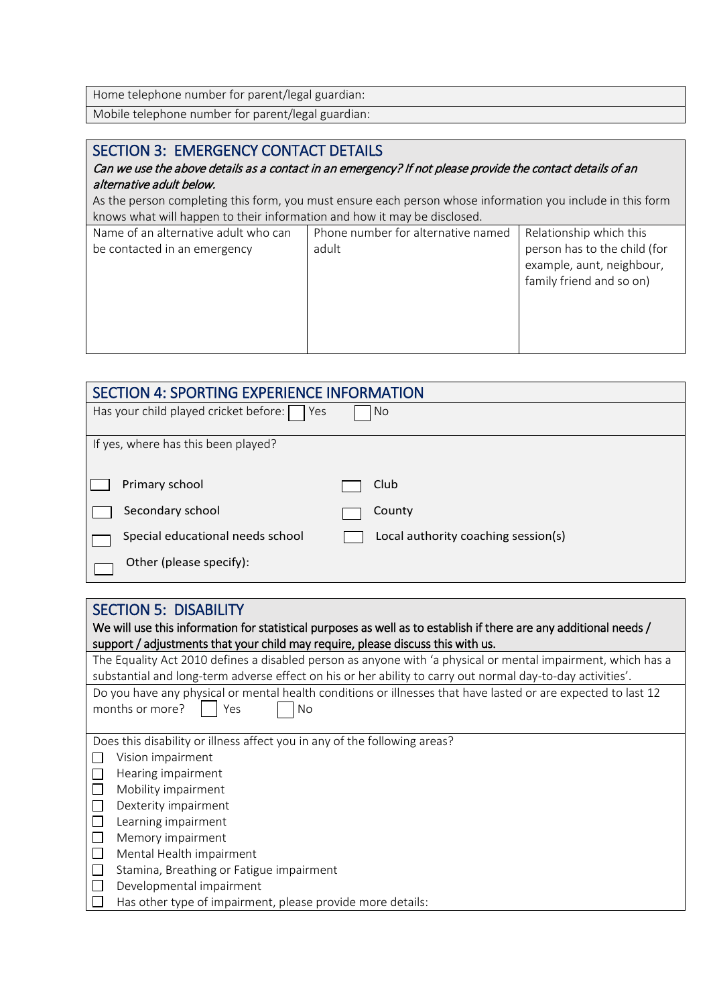Home telephone number for parent/legal guardian:

Mobile telephone number for parent/legal guardian:

### SECTION 3: EMERGENCY CONTACT DETAILS

#### Can we use the above details as a contact in an emergency? If not please provide the contact details of an alternative adult below.

As the person completing this form, you must ensure each person whose information you include in this form knows what will happen to their information and how it may be disclosed.

| Name of an alternative adult who can<br>adult<br>be contacted in an emergency | Phone number for alternative named | Relationship which this<br>person has to the child (for<br>example, aunt, neighbour,<br>family friend and so on) |
|-------------------------------------------------------------------------------|------------------------------------|------------------------------------------------------------------------------------------------------------------|
|                                                                               |                                    |                                                                                                                  |

| <b>SECTION 4: SPORTING EXPERIENCE INFORMATION</b> |                                     |  |
|---------------------------------------------------|-------------------------------------|--|
| Has your child played cricket before: [<br>Yes    | No                                  |  |
| If yes, where has this been played?               |                                     |  |
| Primary school                                    | Club                                |  |
| Secondary school                                  | County                              |  |
| Special educational needs school                  | Local authority coaching session(s) |  |
| Other (please specify):                           |                                     |  |

#### SECTION 5: DISABILITY

We will use this information for statistical purposes as well as to establish if there are any additional needs / support / adjustments that your child may require, please discuss this with us. The Equality Act 2010 defines a disabled person as anyone with 'a physical or mental impairment, which has a substantial and long-term adverse effect on his or her ability to carry out normal day-to-day activities'. Do you have any physical or mental health conditions or illnesses that have lasted or are expected to last 12 months or more?  $\vert \vert$  Yes  $\vert \vert$  No Does this disability or illness affect you in any of the following areas?  $\Box$  Vision impairment  $\Box$  Hearing impairment  $\Box$  Mobility impairment  $\Box$  Dexterity impairment  $\Box$  Learning impairment  $\Box$  Memory impairment  $\Box$  Mental Health impairment  $\Box$  Stamina, Breathing or Fatigue impairment  $\Box$  Developmental impairment Has other type of impairment, please provide more details: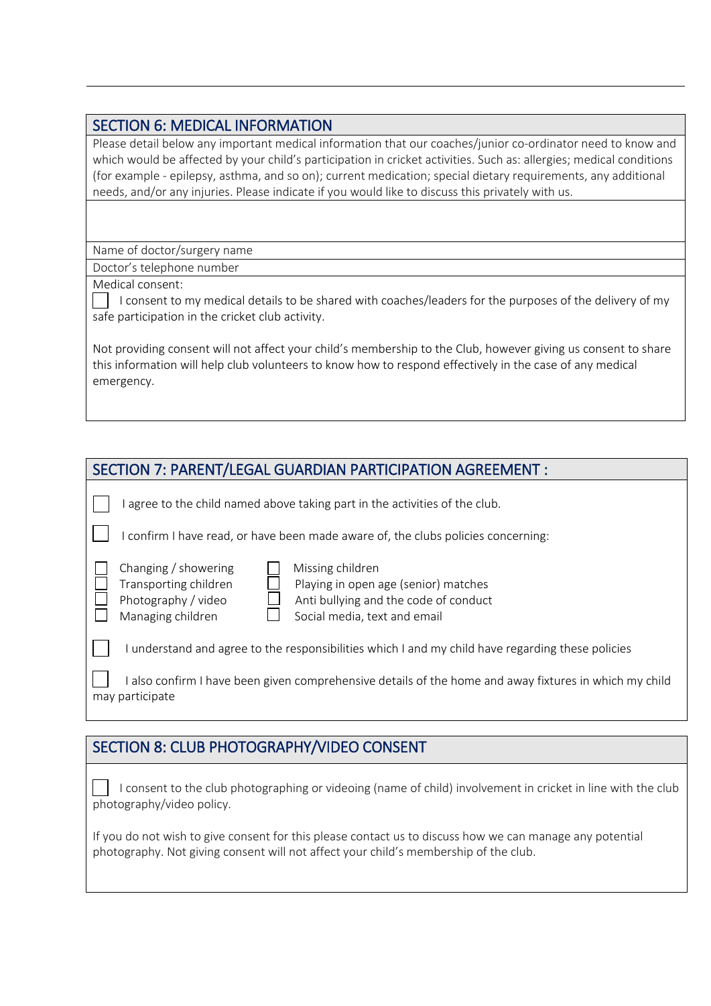# SECTION 6: MEDICAL INFORMATION

Please detail below any important medical information that our coaches/junior co-ordinator need to know and which would be affected by your child's participation in cricket activities. Such as: allergies; medical conditions (for example - epilepsy, asthma, and so on); current medication; special dietary requirements, any additional needs, and/or any injuries. Please indicate if you would like to discuss this privately with us.

Name of doctor/surgery name

Doctor's telephone number

Medical consent:

I consent to my medical details to be shared with coaches/leaders for the purposes of the delivery of my safe participation in the cricket club activity.

Not providing consent will not affect your child's membership to the Club, however giving us consent to share this information will help club volunteers to know how to respond effectively in the case of any medical emergency.

| SECTION 7: PARENT/LEGAL GUARDIAN PARTICIPATION AGREEMENT :                                                                                                                                                                     |  |  |
|--------------------------------------------------------------------------------------------------------------------------------------------------------------------------------------------------------------------------------|--|--|
| agree to the child named above taking part in the activities of the club.                                                                                                                                                      |  |  |
| confirm I have read, or have been made aware of, the clubs policies concerning:                                                                                                                                                |  |  |
| Changing / showering<br>Missing children<br>Transporting children<br>Playing in open age (senior) matches<br>Photography / video<br>Anti bullying and the code of conduct<br>Managing children<br>Social media, text and email |  |  |
| I understand and agree to the responsibilities which I and my child have regarding these policies                                                                                                                              |  |  |
| I also confirm I have been given comprehensive details of the home and away fixtures in which my child<br>may participate                                                                                                      |  |  |

# SECTION 8: CLUB PHOTOGRAPHY/VIDEO CONSENT

 I consent to the club photographing or videoing (name of child) involvement in cricket in line with the club photography/video policy.

If you do not wish to give consent for this please contact us to discuss how we can manage any potential photography. Not giving consent will not affect your child's membership of the club.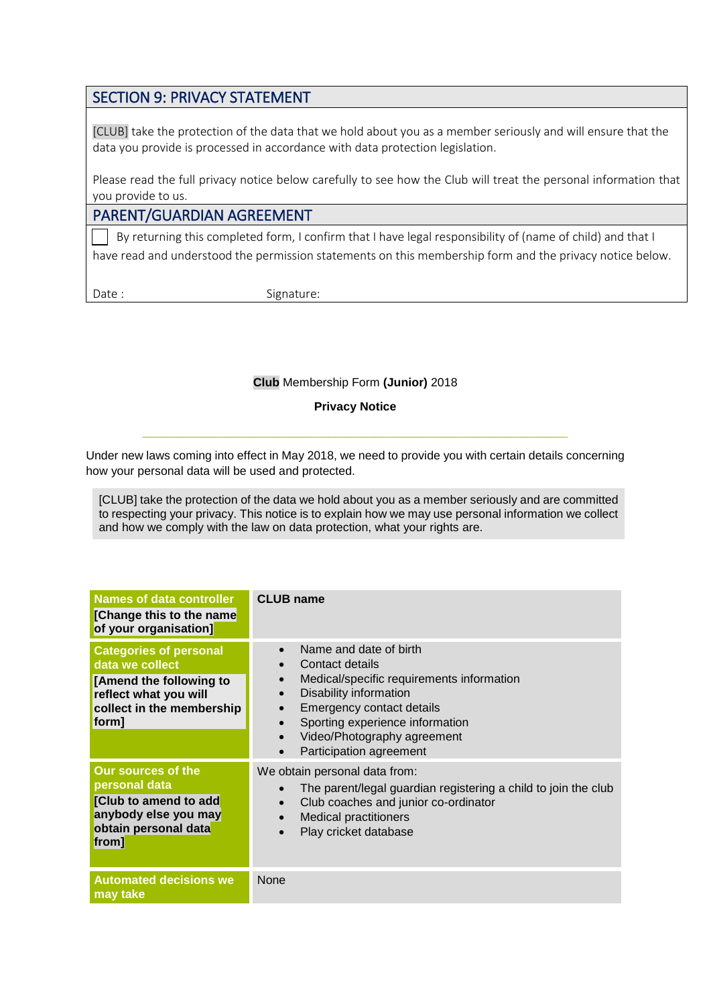# SECTION 9: PRIVACY STATEMENT

[CLUB] take the protection of the data that we hold about you as a member seriously and will ensure that the data you provide is processed in accordance with data protection legislation.

Please read the full privacy notice below carefully to see how the Club will treat the personal information that you provide to us.

# PARENT/GUARDIAN AGREEMENT

 By returning this completed form, I confirm that I have legal responsibility of (name of child) and that I have read and understood the permission statements on this membership form and the privacy notice below.

Date : Signature:

#### **Club** Membership Form **(Junior)** 2018

#### **Privacy Notice**

\_\_\_\_\_\_\_\_\_\_\_\_\_\_\_\_\_\_\_\_\_\_\_\_\_\_\_\_\_\_\_\_\_\_\_\_\_\_\_\_\_\_\_\_\_\_\_\_\_\_\_\_\_\_\_\_\_\_\_\_\_\_\_\_

Under new laws coming into effect in May 2018, we need to provide you with certain details concerning how your personal data will be used and protected.

[CLUB] take the protection of the data we hold about you as a member seriously and are committed to respecting your privacy. This notice is to explain how we may use personal information we collect and how we comply with the law on data protection, what your rights are.

| <b>Names of data controller</b><br>[Change this to the name<br>of your organisation]                                                       | <b>CLUB name</b>                                                                                                                                                                                                                                                                                                         |
|--------------------------------------------------------------------------------------------------------------------------------------------|--------------------------------------------------------------------------------------------------------------------------------------------------------------------------------------------------------------------------------------------------------------------------------------------------------------------------|
| <b>Categories of personal</b><br>data we collect<br>[Amend the following to<br>reflect what you will<br>collect in the membership<br>form] | Name and date of birth<br>Contact details<br>Medical/specific requirements information<br>$\bullet$<br>Disability information<br>$\bullet$<br>Emergency contact details<br>$\bullet$<br>Sporting experience information<br>$\bullet$<br>Video/Photography agreement<br>$\bullet$<br>Participation agreement<br>$\bullet$ |
| <b>Our sources of the</b><br>personal data<br>[Club to amend to add<br>anybody else you may<br>obtain personal data<br>from]               | We obtain personal data from:<br>The parent/legal guardian registering a child to join the club<br>$\bullet$<br>Club coaches and junior co-ordinator<br>$\bullet$<br><b>Medical practitioners</b><br>Play cricket database<br>$\bullet$                                                                                  |
| <b>Automated decisions we</b><br>may take                                                                                                  | <b>None</b>                                                                                                                                                                                                                                                                                                              |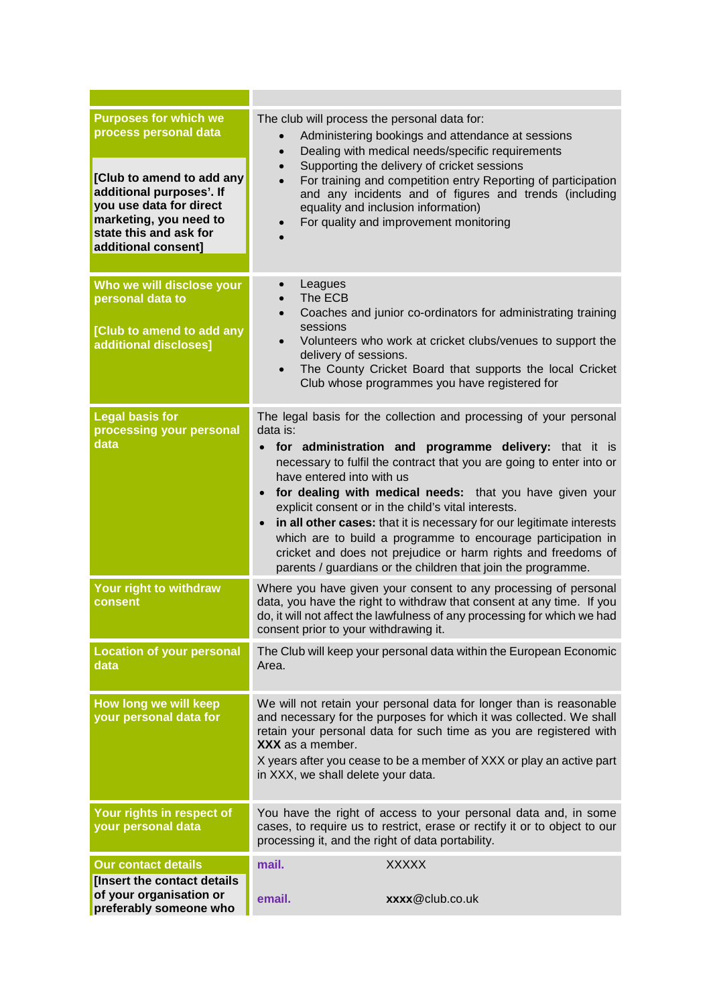| <b>Purposes for which we</b><br>process personal data<br>[Club to amend to add any<br>additional purposes'. If<br>you use data for direct<br>marketing, you need to<br>state this and ask for<br>additional consent] | The club will process the personal data for:<br>Administering bookings and attendance at sessions<br>$\bullet$<br>Dealing with medical needs/specific requirements<br>$\bullet$<br>Supporting the delivery of cricket sessions<br>$\bullet$<br>For training and competition entry Reporting of participation<br>$\bullet$<br>and any incidents and of figures and trends (including<br>equality and inclusion information)<br>For quality and improvement monitoring<br>$\bullet$                                                                                                                                                                                   |  |
|----------------------------------------------------------------------------------------------------------------------------------------------------------------------------------------------------------------------|---------------------------------------------------------------------------------------------------------------------------------------------------------------------------------------------------------------------------------------------------------------------------------------------------------------------------------------------------------------------------------------------------------------------------------------------------------------------------------------------------------------------------------------------------------------------------------------------------------------------------------------------------------------------|--|
| Who we will disclose your<br>personal data to<br>[Club to amend to add any<br>additional discloses]                                                                                                                  | Leagues<br>$\bullet$<br>The ECB<br>$\bullet$<br>Coaches and junior co-ordinators for administrating training<br>$\bullet$<br>sessions<br>Volunteers who work at cricket clubs/venues to support the<br>$\bullet$<br>delivery of sessions.<br>The County Cricket Board that supports the local Cricket<br>$\bullet$<br>Club whose programmes you have registered for                                                                                                                                                                                                                                                                                                 |  |
| <b>Legal basis for</b><br>processing your personal<br>data                                                                                                                                                           | The legal basis for the collection and processing of your personal<br>data is:<br>for administration and programme delivery: that it is<br>necessary to fulfil the contract that you are going to enter into or<br>have entered into with us<br>for dealing with medical needs: that you have given your<br>$\bullet$<br>explicit consent or in the child's vital interests.<br>in all other cases: that it is necessary for our legitimate interests<br>$\bullet$<br>which are to build a programme to encourage participation in<br>cricket and does not prejudice or harm rights and freedoms of<br>parents / guardians or the children that join the programme. |  |
| Your right to withdraw<br>consent                                                                                                                                                                                    | Where you have given your consent to any processing of personal<br>data, you have the right to withdraw that consent at any time. If you<br>do, it will not affect the lawfulness of any processing for which we had<br>consent prior to your withdrawing it.                                                                                                                                                                                                                                                                                                                                                                                                       |  |
| <b>Location of your personal</b><br>data                                                                                                                                                                             | The Club will keep your personal data within the European Economic<br>Area.                                                                                                                                                                                                                                                                                                                                                                                                                                                                                                                                                                                         |  |
| How long we will keep<br>your personal data for                                                                                                                                                                      | We will not retain your personal data for longer than is reasonable<br>and necessary for the purposes for which it was collected. We shall<br>retain your personal data for such time as you are registered with<br>XXX as a member.<br>X years after you cease to be a member of XXX or play an active part<br>in XXX, we shall delete your data.                                                                                                                                                                                                                                                                                                                  |  |
| Your rights in respect of<br>your personal data                                                                                                                                                                      | You have the right of access to your personal data and, in some<br>cases, to require us to restrict, erase or rectify it or to object to our<br>processing it, and the right of data portability.                                                                                                                                                                                                                                                                                                                                                                                                                                                                   |  |
| Our contact details<br>[Insert the contact details<br>of your organisation or<br>preferably someone who                                                                                                              | mail.<br><b>XXXXX</b><br>email.<br>xxxx@club.co.uk                                                                                                                                                                                                                                                                                                                                                                                                                                                                                                                                                                                                                  |  |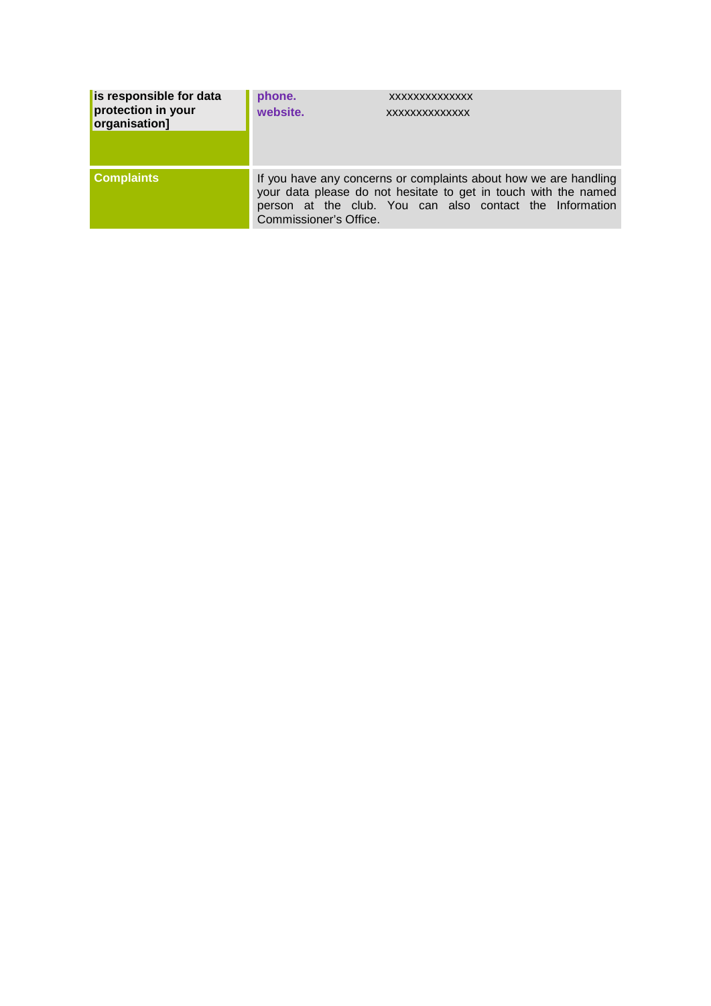| is responsible for data<br>protection in your<br>organisation] | phone.<br>website.     | XXXXXXXXXXXXX<br>XXXXXXXXXXXXX                                                                                                                                                                  |
|----------------------------------------------------------------|------------------------|-------------------------------------------------------------------------------------------------------------------------------------------------------------------------------------------------|
| <b>Complaints</b>                                              | Commissioner's Office. | If you have any concerns or complaints about how we are handling<br>your data please do not hesitate to get in touch with the named<br>person at the club. You can also contact the Information |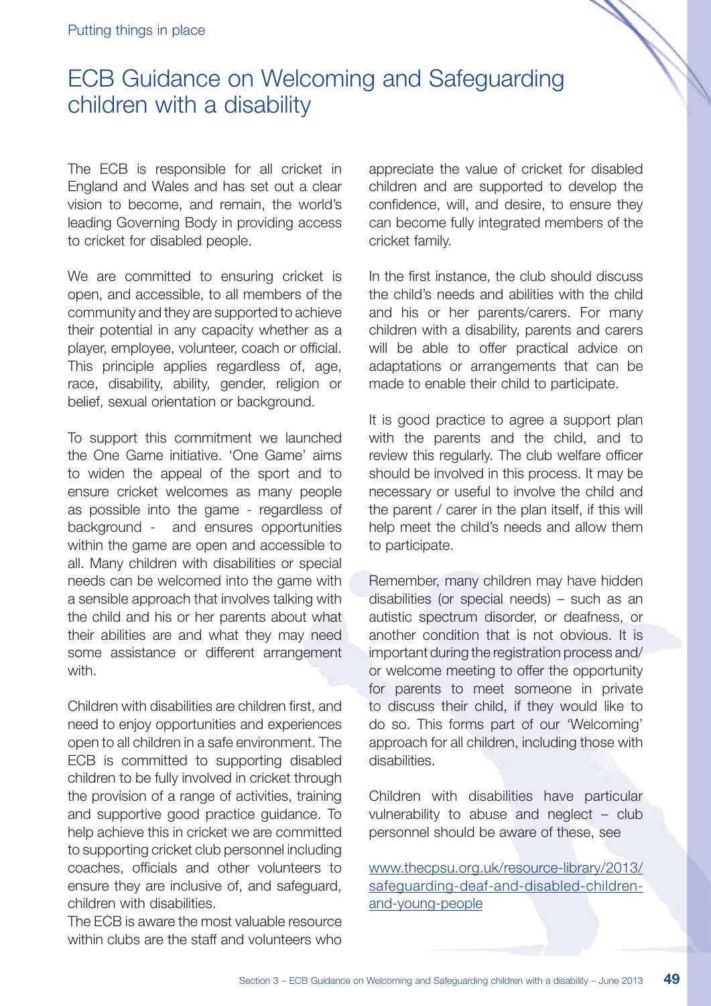# ECB Guidance on Welcoming and Safeguarding children with a disability

The ECB is responsible for all cricket in England and Wales and has set out a clear vision to become, and remain, the world's leading Governing Body in providing access to cricket for disabled people.

We are committed to ensuring cricket is open, and accessible, to all members of the community and they are supported to achieve their potential in any capacity whether as a player, employee, volunteer, coach or official. This principle applies regardless of, age, race, disability, ability, gender, religion or belief, sexual orientation or background.

To support this commitment we launched the One Game initiative. 'One Game' aims to widen the appeal of the sport and to ensure cricket welcomes as many people as possible into the game - regardless of background - and ensures opportunities within the game are open and accessible to all. Many children with disabilities or special needs can be welcomed into the game with a sensible approach that involves talking with the child and his or her parents about what their abilities are and what they may need some assistance or different arrangement with

Children with disabilities are children first, and need to enjoy opportunities and experiences open to all children in a safe environment. The ECB is committed to supporting disabled children to be fully involved in cricket through the provision of a range of activities, training and supportive good practice guidance. To help achieve this in cricket we are committed to supporting cricket club personnel including coaches, officials and other volunteers to ensure they are inclusive of, and safeguard, children with disabilities.

The ECB is aware the most valuable resource within clubs are the staff and volunteers who appreciate the value of cricket for disabled children and are supported to develop the confidence, will, and desire, to ensure they can become fully integrated members of the cricket family.

In the first instance, the club should discuss the child's needs and abilities with the child and his or her parents/carers. For many children with a disability, parents and carers will be able to offer practical advice on adaptations or arrangements that can be made to enable their child to participate.

It is good practice to agree a support plan with the parents and the child, and to review this regularly. The club welfare officer should be involved in this process. It may be necessary or useful to involve the child and the parent / carer in the plan itself, if this will help meet the child's needs and allow them to participate.

Remember, many children may have hidden disabilities (or special needs) – such as an autistic spectrum disorder, or deafness, or another condition that is not obvious. It is important during the registration process and/ or welcome meeting to offer the opportunity for parents to meet someone in private to discuss their child, if they would like to do so. This forms part of our 'Welcoming' approach for all children, including those with disabilities.

Children with disabilities have particular vulnerability to abuse and neglect – club personnel should be aware of these, see

www.thecpsu.org.uk/resource-library/2013/ safeguarding-deaf-and-disabled-childrenand-young-people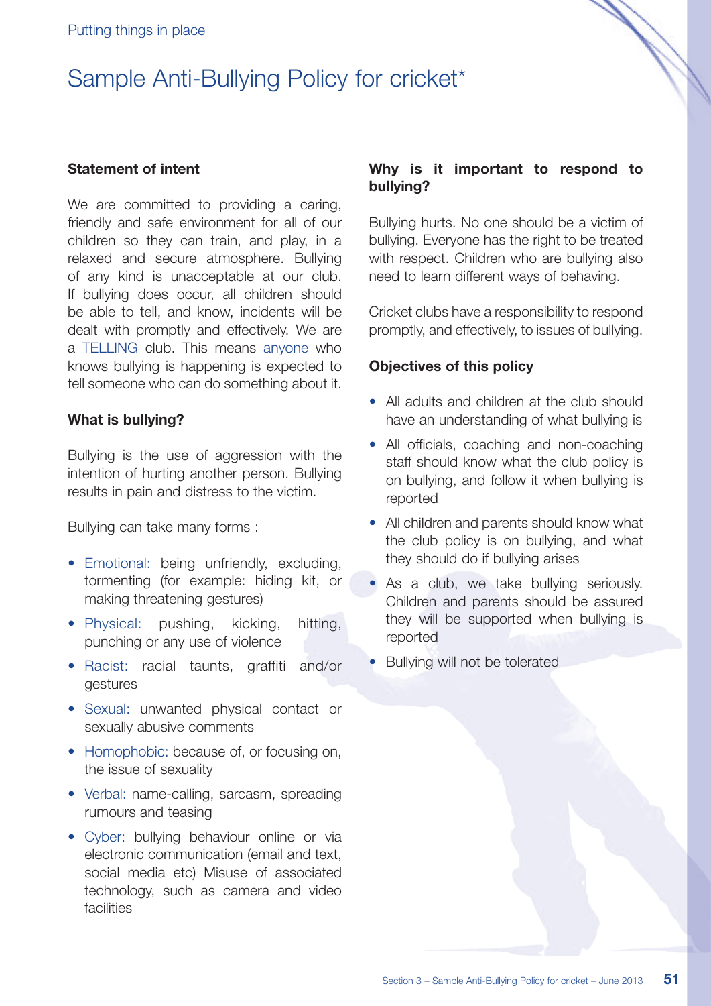# Sample Anti-Bullying Policy for cricket\*

### **Statement of intent**

We are committed to providing a caring, friendly and safe environment for all of our children so they can train, and play, in a relaxed and secure atmosphere. Bullying of any kind is unacceptable at our club. If bullying does occur, all children should be able to tell, and know, incidents will be dealt with promptly and effectively. We are a TELLING club. This means anyone who knows bullying is happening is expected to tell someone who can do something about it.

### **What is bullying?**

Bullying is the use of aggression with the intention of hurting another person. Bullying results in pain and distress to the victim.

Bullying can take many forms :

- Emotional: being unfriendly, excluding, tormenting (for example: hiding kit, or making threatening gestures)
- Physical: pushing, kicking, hitting, punching or any use of violence
- Racist: racial taunts, graffiti and/or gestures
- Sexual: unwanted physical contact or sexually abusive comments
- Homophobic: because of, or focusing on, the issue of sexuality
- Verbal: name-calling, sarcasm, spreading rumours and teasing
- Cyber: bullying behaviour online or via electronic communication (email and text, social media etc) Misuse of associated technology, such as camera and video facilities

### **Why is it important to respond to bullying?**

Bullying hurts. No one should be a victim of bullying. Everyone has the right to be treated with respect. Children who are bullying also need to learn different ways of behaving.

Cricket clubs have a responsibility to respond promptly, and effectively, to issues of bullying.

#### **Objectives of this policy**

- All adults and children at the club should have an understanding of what bullying is
- All officials, coaching and non-coaching staff should know what the club policy is on bullying, and follow it when bullying is reported
- All children and parents should know what the club policy is on bullying, and what they should do if bullying arises
- As a club, we take bullying seriously. Children and parents should be assured they will be supported when bullying is reported
- Bullying will not be tolerated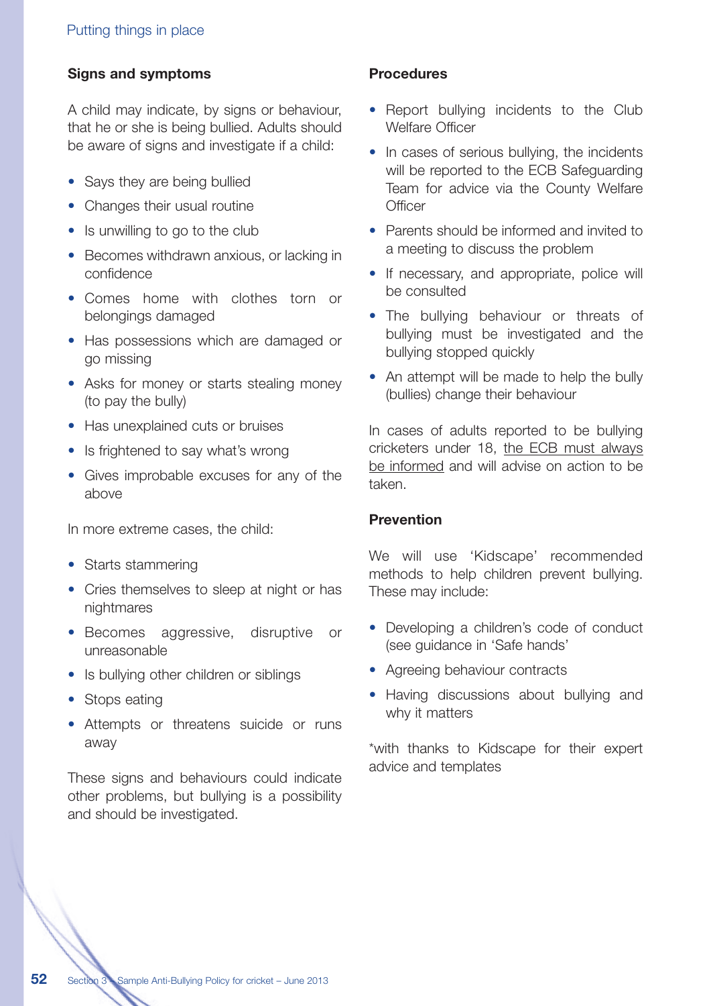### **Signs and symptoms**

A child may indicate, by signs or behaviour, that he or she is being bullied. Adults should be aware of signs and investigate if a child:

- Says they are being bullied
- Changes their usual routine
- Is unwilling to go to the club
- Becomes withdrawn anxious, or lacking in confidence
- Comes home with clothes torn or belongings damaged
- Has possessions which are damaged or go missing
- Asks for money or starts stealing money (to pay the bully)
- Has unexplained cuts or bruises
- Is frightened to say what's wrong
- Gives improbable excuses for any of the above

In more extreme cases, the child:

- Starts stammering
- Cries themselves to sleep at night or has nightmares
- Becomes aggressive, disruptive or unreasonable
- Is bullying other children or siblings
- Stops eating
- Attempts or threatens suicide or runs away

These signs and behaviours could indicate other problems, but bullying is a possibility and should be investigated.

#### **Procedures**

- Report bullying incidents to the Club Welfare Officer
- In cases of serious bullying, the incidents will be reported to the ECB Safeguarding Team for advice via the County Welfare **Officer**
- Parents should be informed and invited to a meeting to discuss the problem
- If necessary, and appropriate, police will be consulted
- The bullying behaviour or threats of bullying must be investigated and the bullying stopped quickly
- An attempt will be made to help the bully (bullies) change their behaviour

In cases of adults reported to be bullying cricketers under 18, the ECB must always be informed and will advise on action to be taken.

#### **Prevention**

We will use 'Kidscape' recommended methods to help children prevent bullying. These may include:

- Developing a children's code of conduct (see guidance in 'Safe hands'
- Agreeing behaviour contracts
- Having discussions about bullying and why it matters

\*with thanks to Kidscape for their expert advice and templates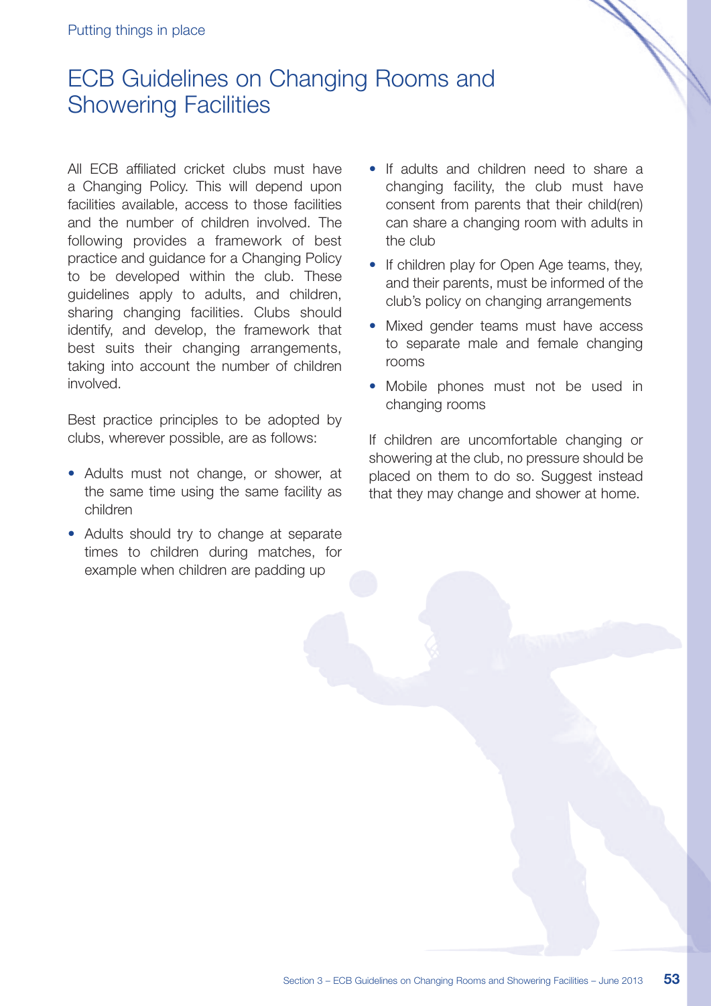# ECB Guidelines on Changing Rooms and Showering Facilities

All ECB affiliated cricket clubs must have a Changing Policy. This will depend upon facilities available, access to those facilities and the number of children involved. The following provides a framework of best practice and guidance for a Changing Policy to be developed within the club. These guidelines apply to adults, and children, sharing changing facilities. Clubs should identify, and develop, the framework that best suits their changing arrangements, taking into account the number of children involved.

Best practice principles to be adopted by clubs, wherever possible, are as follows:

- Adults must not change, or shower, at the same time using the same facility as children
- Adults should try to change at separate times to children during matches, for example when children are padding up
- If adults and children need to share a changing facility, the club must have consent from parents that their child(ren) can share a changing room with adults in the club
- If children play for Open Age teams, they, and their parents, must be informed of the club's policy on changing arrangements
- Mixed gender teams must have access to separate male and female changing rooms
- Mobile phones must not be used in changing rooms

If children are uncomfortable changing or showering at the club, no pressure should be placed on them to do so. Suggest instead that they may change and shower at home.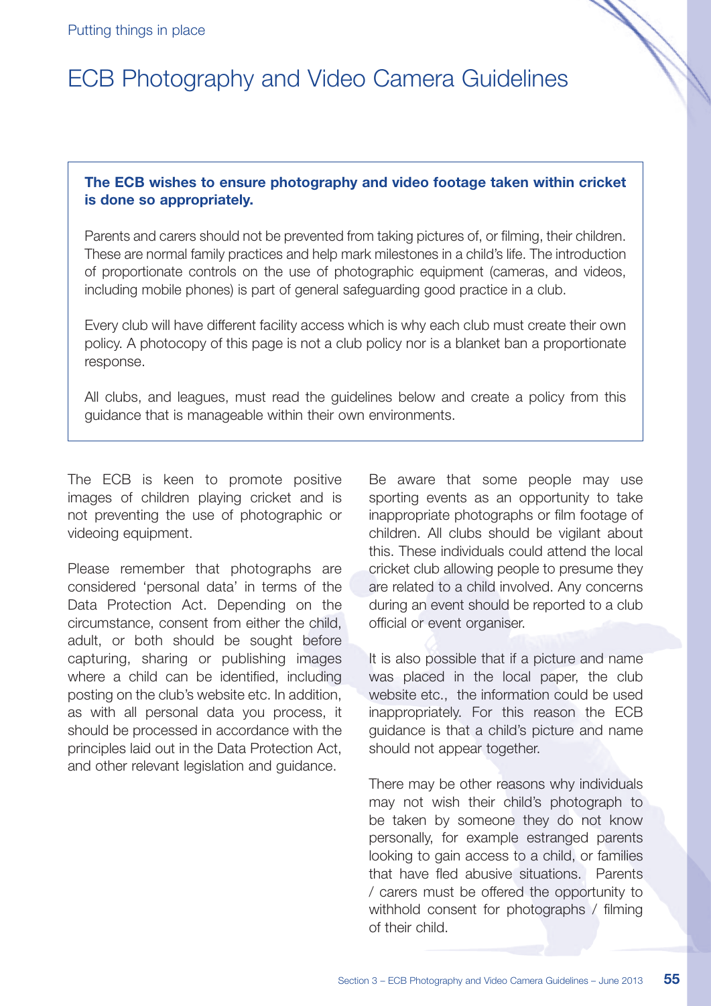# ECB Photography and Video Camera Guidelines

# **The ECB wishes to ensure photography and video footage taken within cricket is done so appropriately.**

Parents and carers should not be prevented from taking pictures of, or filming, their children. These are normal family practices and help mark milestones in a child's life. The introduction of proportionate controls on the use of photographic equipment (cameras, and videos, including mobile phones) is part of general safeguarding good practice in a club.

Every club will have different facility access which is why each club must create their own policy. A photocopy of this page is not a club policy nor is a blanket ban a proportionate response.

All clubs, and leagues, must read the guidelines below and create a policy from this guidance that is manageable within their own environments.

The ECB is keen to promote positive images of children playing cricket and is not preventing the use of photographic or videoing equipment.

Please remember that photographs are considered 'personal data' in terms of the Data Protection Act. Depending on the circumstance, consent from either the child, adult, or both should be sought before capturing, sharing or publishing images where a child can be identified, including posting on the club's website etc. In addition, as with all personal data you process, it should be processed in accordance with the principles laid out in the Data Protection Act, and other relevant legislation and guidance.

Be aware that some people may use sporting events as an opportunity to take inappropriate photographs or film footage of children. All clubs should be vigilant about this. These individuals could attend the local cricket club allowing people to presume they are related to a child involved. Any concerns during an event should be reported to a club official or event organiser.

It is also possible that if a picture and name was placed in the local paper, the club website etc., the information could be used inappropriately. For this reason the ECB guidance is that a child's picture and name should not appear together.

There may be other reasons why individuals may not wish their child's photograph to be taken by someone they do not know personally, for example estranged parents looking to gain access to a child, or families that have fled abusive situations. Parents / carers must be offered the opportunity to withhold consent for photographs / filming of their child.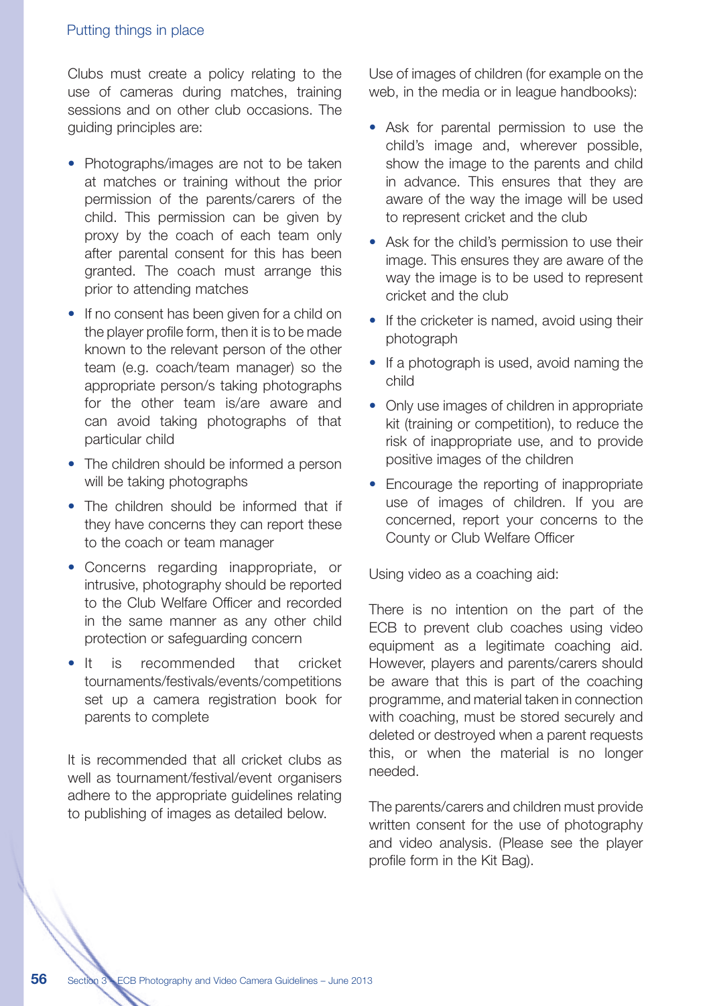#### Putting things in place

Clubs must create a policy relating to the use of cameras during matches, training sessions and on other club occasions. The guiding principles are:

- Photographs/images are not to be taken at matches or training without the prior permission of the parents/carers of the child. This permission can be given by proxy by the coach of each team only after parental consent for this has been granted. The coach must arrange this prior to attending matches
- If no consent has been given for a child on the player profile form, then it is to be made known to the relevant person of the other team (e.g. coach/team manager) so the appropriate person/s taking photographs for the other team is/are aware and can avoid taking photographs of that particular child
- The children should be informed a person will be taking photographs
- The children should be informed that if they have concerns they can report these to the coach or team manager
- Concerns regarding inappropriate, or intrusive, photography should be reported to the Club Welfare Officer and recorded in the same manner as any other child protection or safeguarding concern
- It is recommended that cricket tournaments/festivals/events/competitions set up a camera registration book for parents to complete

It is recommended that all cricket clubs as well as tournament/festival/event organisers adhere to the appropriate guidelines relating to publishing of images as detailed below.

Use of images of children (for example on the web, in the media or in league handbooks):

- Ask for parental permission to use the child's image and, wherever possible, show the image to the parents and child in advance. This ensures that they are aware of the way the image will be used to represent cricket and the club
- Ask for the child's permission to use their image. This ensures they are aware of the way the image is to be used to represent cricket and the club
- If the cricketer is named, avoid using their photograph
- If a photograph is used, avoid naming the child
- Only use images of children in appropriate kit (training or competition), to reduce the risk of inappropriate use, and to provide positive images of the children
- Encourage the reporting of inappropriate use of images of children. If you are concerned, report your concerns to the County or Club Welfare Officer

Using video as a coaching aid:

There is no intention on the part of the ECB to prevent club coaches using video equipment as a legitimate coaching aid. However, players and parents/carers should be aware that this is part of the coaching programme, and material taken in connection with coaching, must be stored securely and deleted or destroyed when a parent requests this, or when the material is no longer needed.

The parents/carers and children must provide written consent for the use of photography and video analysis. (Please see the player profile form in the Kit Bag).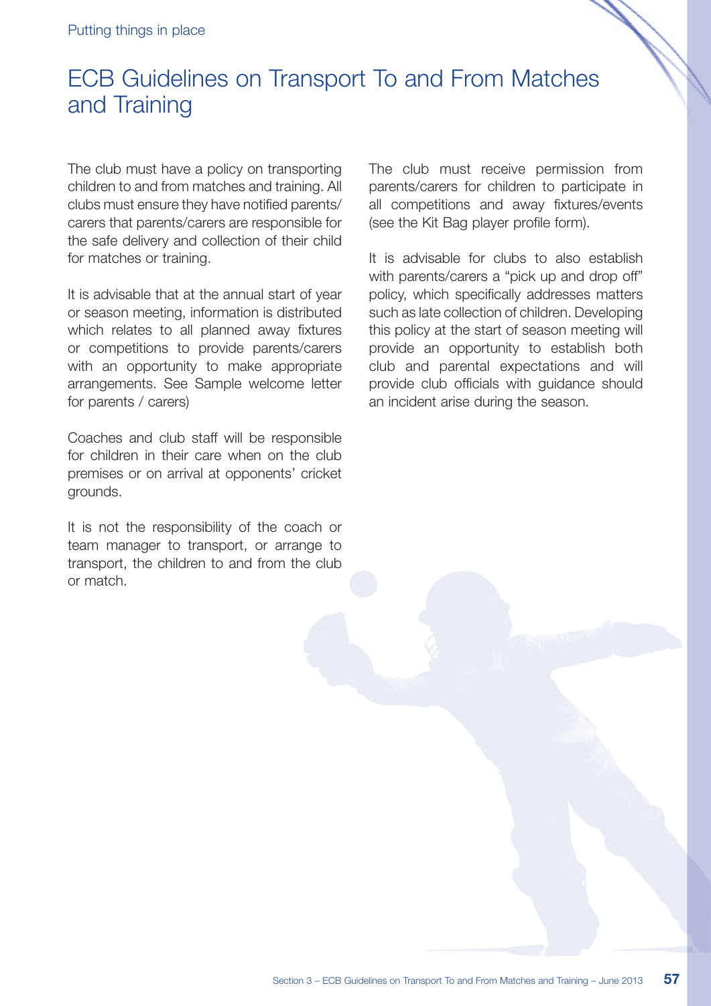# ECB Guidelines on Transport To and From Matches and Training

The club must have a policy on transporting children to and from matches and training. All clubs must ensure they have notified parents/ carers that parents/carers are responsible for the safe delivery and collection of their child for matches or training.

It is advisable that at the annual start of year or season meeting, information is distributed which relates to all planned away fixtures or competitions to provide parents/carers with an opportunity to make appropriate arrangements. See Sample welcome letter for parents / carers)

Coaches and club staff will be responsible for children in their care when on the club premises or on arrival at opponents' cricket grounds.

It is not the responsibility of the coach or team manager to transport, or arrange to transport, the children to and from the club or match.

The club must receive permission from parents/carers for children to participate in all competitions and away fixtures/events (see the Kit Bag player profile form).

It is advisable for clubs to also establish with parents/carers a "pick up and drop off" policy, which specifically addresses matters such as late collection of children. Developing this policy at the start of season meeting will provide an opportunity to establish both club and parental expectations and will provide club officials with guidance should an incident arise during the season.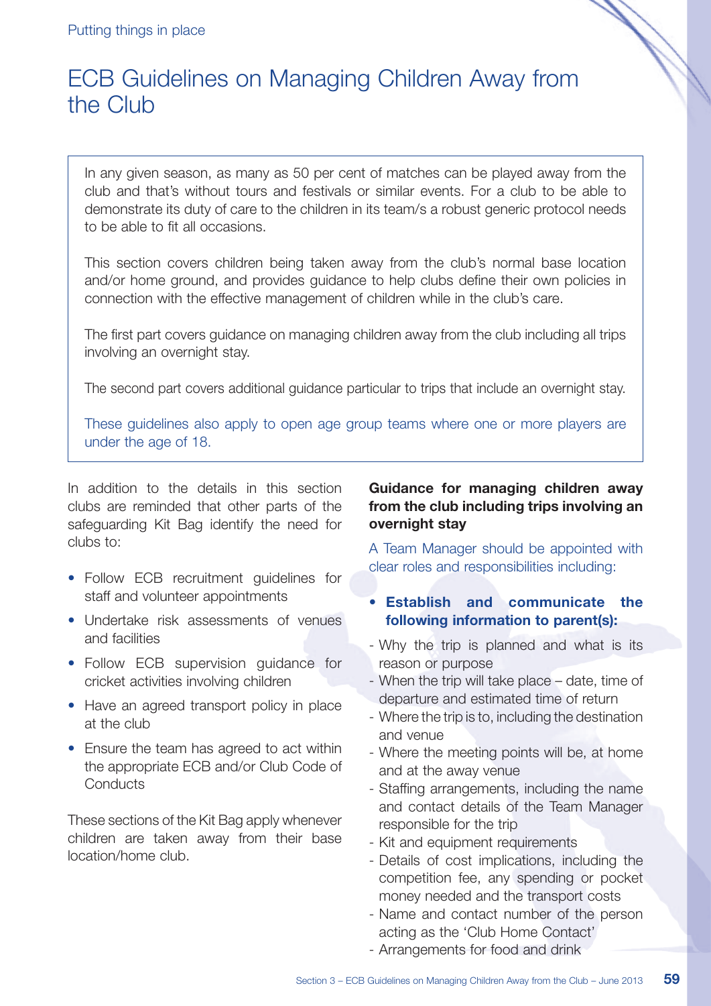# ECB Guidelines on Managing Children Away from the Club

In any given season, as many as 50 per cent of matches can be played away from the club and that's without tours and festivals or similar events. For a club to be able to demonstrate its duty of care to the children in its team/s a robust generic protocol needs to be able to fit all occasions.

This section covers children being taken away from the club's normal base location and/or home ground, and provides guidance to help clubs define their own policies in connection with the effective management of children while in the club's care.

The first part covers guidance on managing children away from the club including all trips involving an overnight stay.

The second part covers additional guidance particular to trips that include an overnight stay.

These guidelines also apply to open age group teams where one or more players are under the age of 18.

In addition to the details in this section clubs are reminded that other parts of the safeguarding Kit Bag identify the need for clubs to:

- Follow ECB recruitment guidelines for staff and volunteer appointments
- Undertake risk assessments of venues and facilities
- Follow ECB supervision guidance for cricket activities involving children
- Have an agreed transport policy in place at the club
- Ensure the team has agreed to act within the appropriate ECB and/or Club Code of **Conducts**

These sections of the Kit Bag apply whenever children are taken away from their base location/home club.

# **Guidance for managing children away from the club including trips involving an overnight stay**

A Team Manager should be appointed with clear roles and responsibilities including:

# • **Establish and communicate the following information to parent(s):**

- Why the trip is planned and what is its reason or purpose
- When the trip will take place date, time of departure and estimated time of return
- Where the trip is to, including the destination and venue
- Where the meeting points will be, at home and at the away venue
- Staffing arrangements, including the name and contact details of the Team Manager responsible for the trip
- Kit and equipment requirements
- Details of cost implications, including the competition fee, any spending or pocket money needed and the transport costs
- Name and contact number of the person acting as the 'Club Home Contact'
- Arrangements for food and drink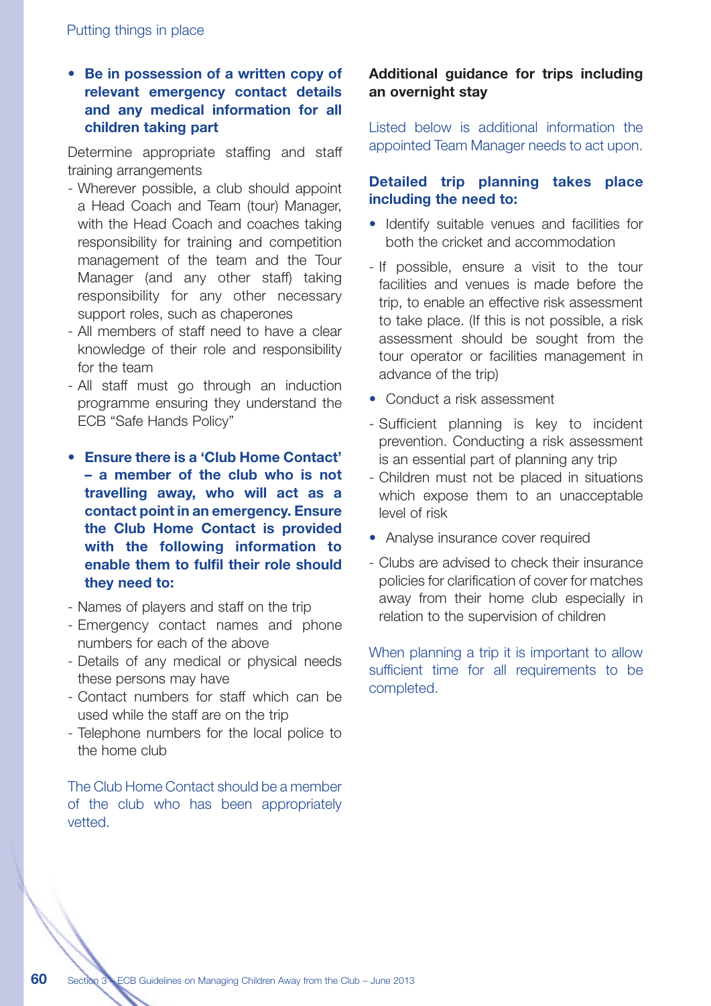#### Putting things in place

• **Be in possession of a written copy of relevant emergency contact details and any medical information for all children taking part**

Determine appropriate staffing and staff training arrangements

- Wherever possible, a club should appoint a Head Coach and Team (tour) Manager, with the Head Coach and coaches taking responsibility for training and competition management of the team and the Tour Manager (and any other staff) taking responsibility for any other necessary support roles, such as chaperones
- All members of staff need to have a clear knowledge of their role and responsibility for the team
- All staff must go through an induction programme ensuring they understand the ECB "Safe Hands Policy"
- **Ensure there is a 'Club Home Contact' – a member of the club who is not travelling away, who will act as a contact point in an emergency. Ensure the Club Home Contact is provided with the following information to enable them to fulfil their role should they need to:**
- Names of players and staff on the trip
- Emergency contact names and phone numbers for each of the above
- Details of any medical or physical needs these persons may have
- Contact numbers for staff which can be used while the staff are on the trip
- Telephone numbers for the local police to the home club

The Club Home Contact should be a member of the club who has been appropriately vetted.

### **Additional guidance for trips including an overnight stay**

Listed below is additional information the appointed Team Manager needs to act upon.

### **Detailed trip planning takes place including the need to:**

- Identify suitable venues and facilities for both the cricket and accommodation
- If possible, ensure a visit to the tour facilities and venues is made before the trip, to enable an effective risk assessment to take place. (If this is not possible, a risk assessment should be sought from the tour operator or facilities management in advance of the trip)
- Conduct a risk assessment
- Sufficient planning is key to incident prevention. Conducting a risk assessment is an essential part of planning any trip
- Children must not be placed in situations which expose them to an unacceptable level of risk
- Analyse insurance cover required
- Clubs are advised to check their insurance policies for clarification of cover for matches away from their home club especially in relation to the supervision of children

When planning a trip it is important to allow sufficient time for all requirements to be completed.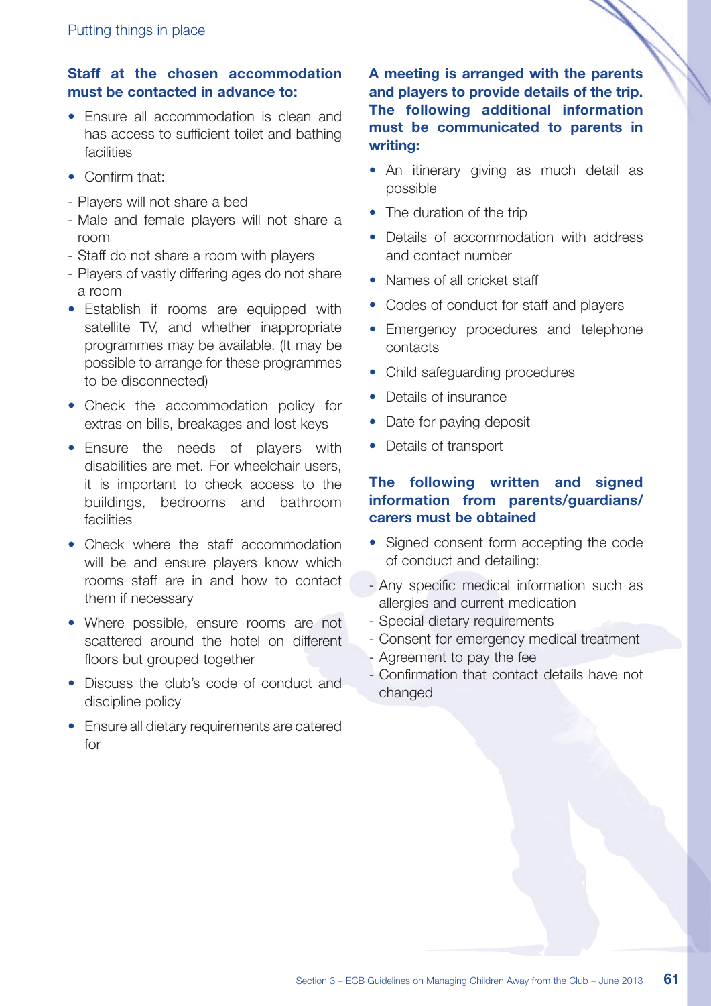# **Staff at the chosen accommodation must be contacted in advance to:**

- Ensure all accommodation is clean and has access to sufficient toilet and bathing facilities
- Confirm that:
- Players will not share a bed
- Male and female players will not share a room
- Staff do not share a room with players
- Players of vastly differing ages do not share a room
- Establish if rooms are equipped with satellite TV, and whether inappropriate programmes may be available. (It may be possible to arrange for these programmes to be disconnected)
- Check the accommodation policy for extras on bills, breakages and lost keys
- Ensure the needs of players with disabilities are met. For wheelchair users, it is important to check access to the buildings, bedrooms and bathroom facilities
- Check where the staff accommodation will be and ensure players know which rooms staff are in and how to contact them if necessary
- Where possible, ensure rooms are not scattered around the hotel on different floors but grouped together
- Discuss the club's code of conduct and discipline policy
- Ensure all dietary requirements are catered for

**A meeting is arranged with the parents and players to provide details of the trip. The following additional information must be communicated to parents in writing:**

- An itinerary giving as much detail as possible
- The duration of the trip
- Details of accommodation with address and contact number
- Names of all cricket staff
- Codes of conduct for staff and players
- Emergency procedures and telephone contacts
- Child safequarding procedures
- Details of insurance
- Date for paying deposit
- Details of transport

# **The following written and signed information from parents/guardians/ carers must be obtained**

- Signed consent form accepting the code of conduct and detailing:
- Any specific medical information such as allergies and current medication
- Special dietary requirements
- Consent for emergency medical treatment
- Agreement to pay the fee
- Confirmation that contact details have not changed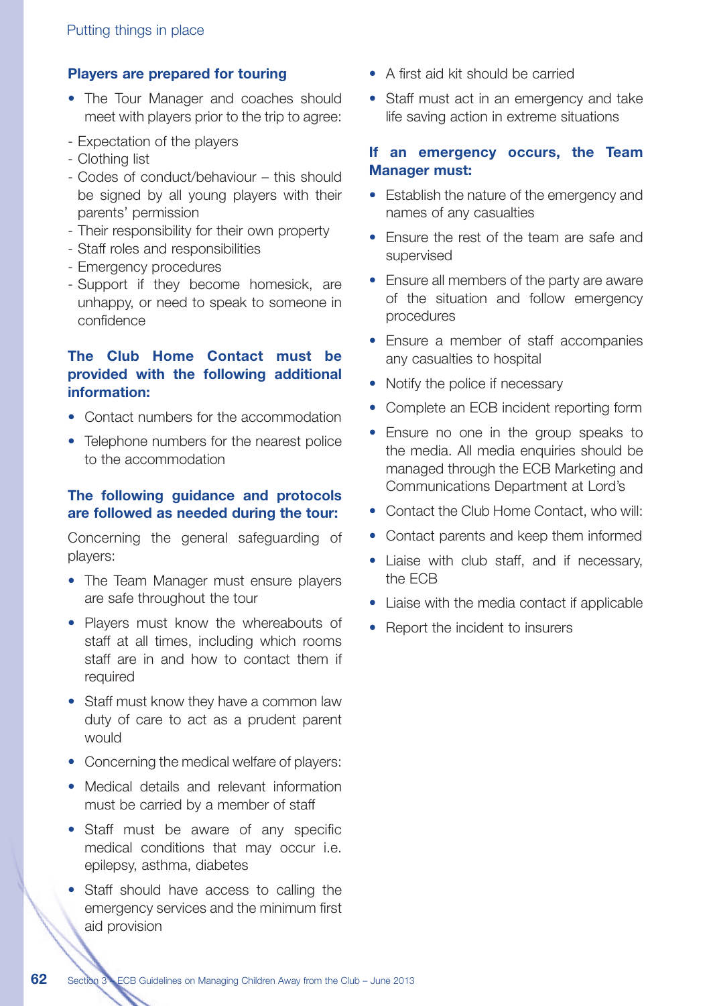# **Players are prepared for touring**

- The Tour Manager and coaches should meet with players prior to the trip to agree:
- Expectation of the players
- Clothing list
- Codes of conduct/behaviour this should be signed by all young players with their parents' permission
- Their responsibility for their own property
- Staff roles and responsibilities
- Emergency procedures
- Support if they become homesick, are unhappy, or need to speak to someone in confidence

## **The Club Home Contact must be provided with the following additional information:**

- Contact numbers for the accommodation
- Telephone numbers for the nearest police to the accommodation

### **The following guidance and protocols are followed as needed during the tour:**

Concerning the general safeguarding of players:

- The Team Manager must ensure players are safe throughout the tour
- Players must know the whereabouts of staff at all times, including which rooms staff are in and how to contact them if required
- Staff must know they have a common law duty of care to act as a prudent parent would
- Concerning the medical welfare of players:
- Medical details and relevant information must be carried by a member of staff
- Staff must be aware of any specific medical conditions that may occur i.e. epilepsy, asthma, diabetes
- Staff should have access to calling the emergency services and the minimum first aid provision
- A first aid kit should be carried
- Staff must act in an emergency and take life saving action in extreme situations

### **If an emergency occurs, the Team Manager must:**

- Establish the nature of the emergency and names of any casualties
- Ensure the rest of the team are safe and supervised
- Ensure all members of the party are aware of the situation and follow emergency procedures
- Ensure a member of staff accompanies any casualties to hospital
- Notify the police if necessary
- Complete an ECB incident reporting form
- Ensure no one in the group speaks to the media. All media enquiries should be managed through the ECB Marketing and Communications Department at Lord's
- Contact the Club Home Contact, who will:
- Contact parents and keep them informed
- Liaise with club staff, and if necessary, the ECB
- Liaise with the media contact if applicable
- Report the incident to insurers

**62** Section 3 – ECB Guidelines on Managing Children Away from the Club – June 2013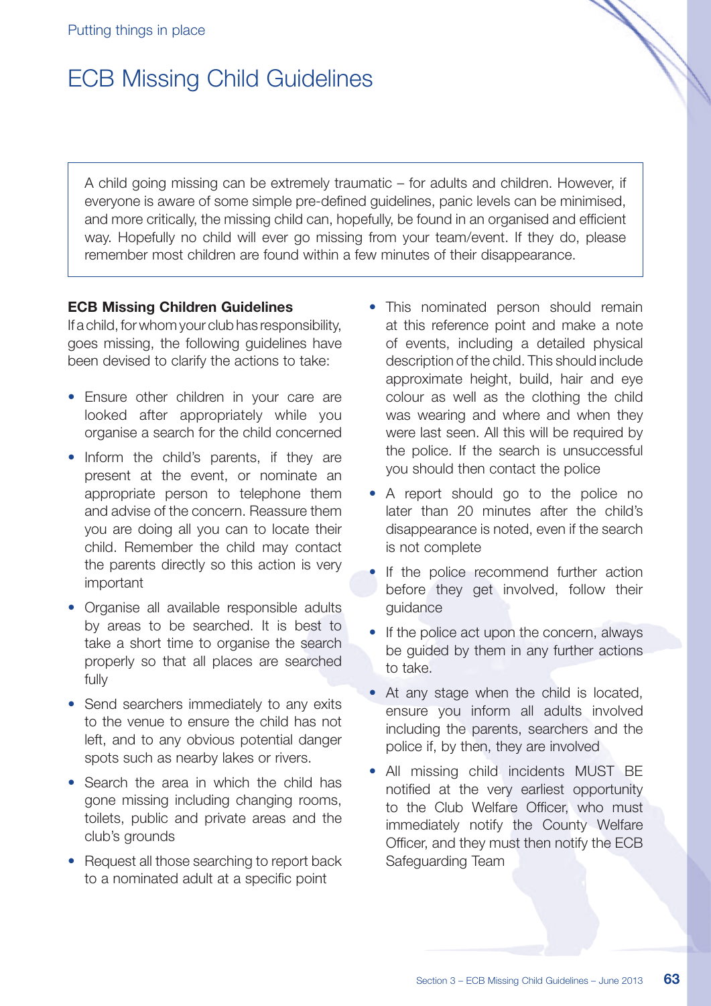# ECB Missing Child Guidelines

A child going missing can be extremely traumatic – for adults and children. However, if everyone is aware of some simple pre-defined guidelines, panic levels can be minimised, and more critically, the missing child can, hopefully, be found in an organised and efficient way. Hopefully no child will ever go missing from your team/event. If they do, please remember most children are found within a few minutes of their disappearance.

## **ECB Missing Children Guidelines**

If a child, for whom your club has responsibility, goes missing, the following guidelines have been devised to clarify the actions to take:

- Ensure other children in your care are looked after appropriately while you organise a search for the child concerned
- Inform the child's parents, if they are present at the event, or nominate an appropriate person to telephone them and advise of the concern. Reassure them you are doing all you can to locate their child. Remember the child may contact the parents directly so this action is very important
- Organise all available responsible adults by areas to be searched. It is best to take a short time to organise the search properly so that all places are searched fully
- Send searchers immediately to any exits to the venue to ensure the child has not left, and to any obvious potential danger spots such as nearby lakes or rivers.
- Search the area in which the child has gone missing including changing rooms, toilets, public and private areas and the club's grounds
- Request all those searching to report back to a nominated adult at a specific point
- This nominated person should remain at this reference point and make a note of events, including a detailed physical description of the child. This should include approximate height, build, hair and eye colour as well as the clothing the child was wearing and where and when they were last seen. All this will be required by the police. If the search is unsuccessful you should then contact the police
- A report should go to the police no later than 20 minutes after the child's disappearance is noted, even if the search is not complete
- If the police recommend further action before they get involved, follow their guidance
- If the police act upon the concern, always be guided by them in any further actions to take.
- At any stage when the child is located, ensure you inform all adults involved including the parents, searchers and the police if, by then, they are involved
- All missing child incidents MUST BE notified at the very earliest opportunity to the Club Welfare Officer, who must immediately notify the County Welfare Officer, and they must then notify the ECB Safeguarding Team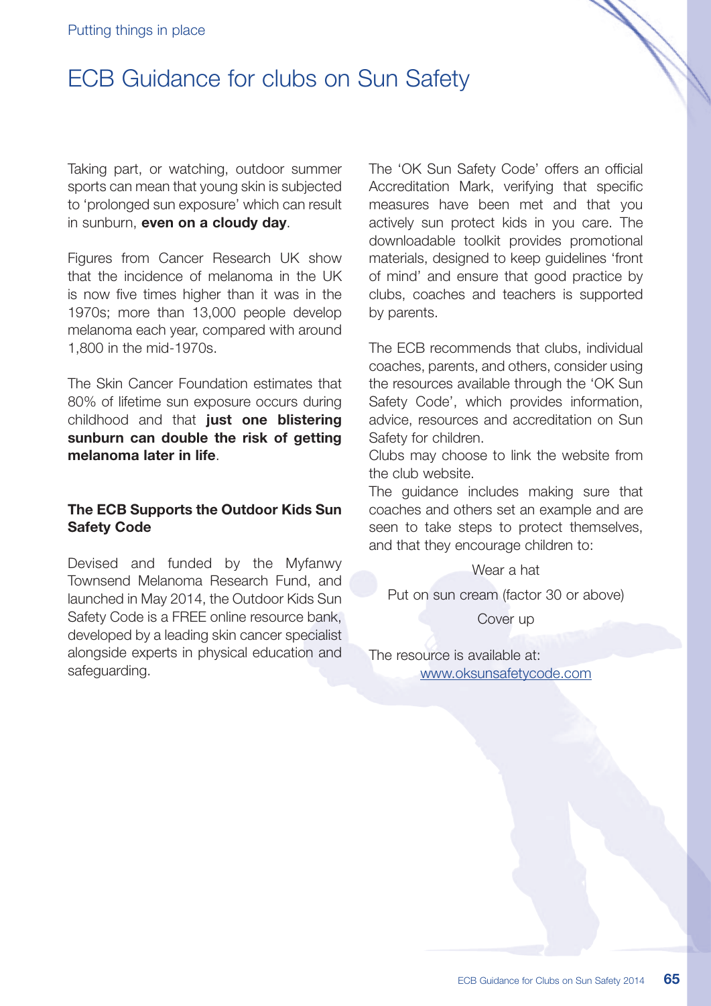# ECB Guidance for clubs on Sun Safety

Taking part, or watching, outdoor summer sports can mean that young skin is subjected to 'prolonged sun exposure' which can result in sunburn, **even on a cloudy day**.

Figures from Cancer Research UK show that the incidence of melanoma in the UK is now five times higher than it was in the 1970s; more than 13,000 people develop melanoma each year, compared with around 1,800 in the mid-1970s.

The Skin Cancer Foundation estimates that 80% of lifetime sun exposure occurs during childhood and that **just one blistering sunburn can double the risk of getting melanoma later in life**.

# **The ECB Supports the Outdoor Kids Sun Safety Code**

Devised and funded by the Myfanwy Townsend Melanoma Research Fund, and launched in May 2014, the Outdoor Kids Sun Safety Code is a FREE online resource bank, developed by a leading skin cancer specialist alongside experts in physical education and safeguarding.

The 'OK Sun Safety Code' offers an official Accreditation Mark, verifying that specific measures have been met and that you actively sun protect kids in you care. The downloadable toolkit provides promotional materials, designed to keep guidelines 'front of mind' and ensure that good practice by clubs, coaches and teachers is supported by parents.

The ECB recommends that clubs, individual coaches, parents, and others, consider using the resources available through the 'OK Sun Safety Code', which provides information, advice, resources and accreditation on Sun Safety for children.

Clubs may choose to link the website from the club website.

The guidance includes making sure that coaches and others set an example and are seen to take steps to protect themselves, and that they encourage children to:

Wear a hat

Put on sun cream (factor 30 or above)

Cover up

The resource is available at: www.oksunsafetycode.com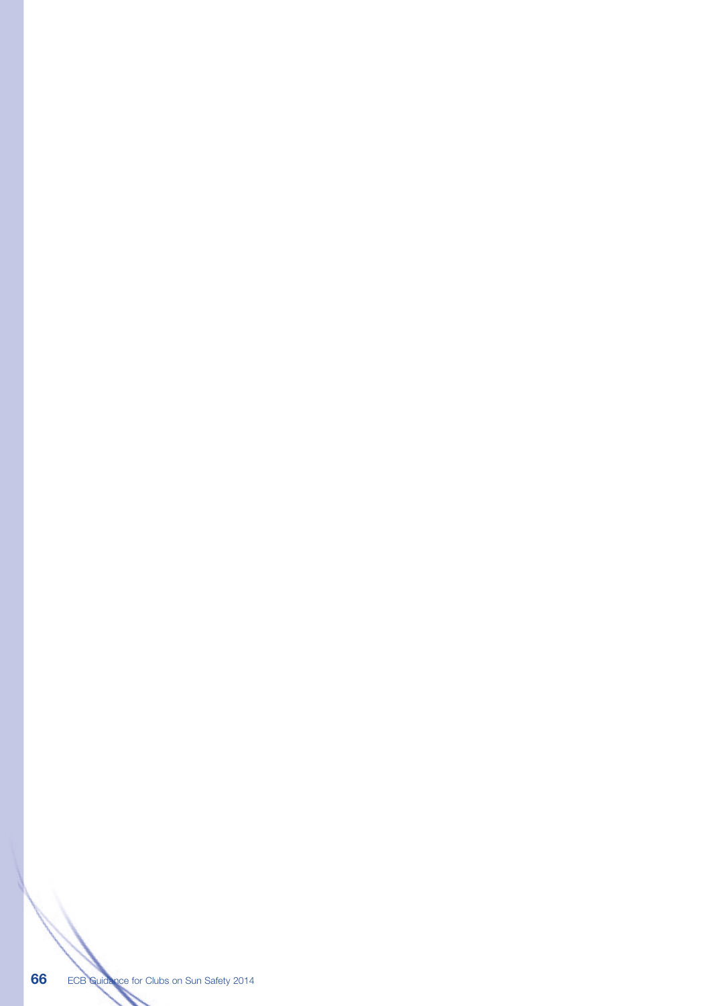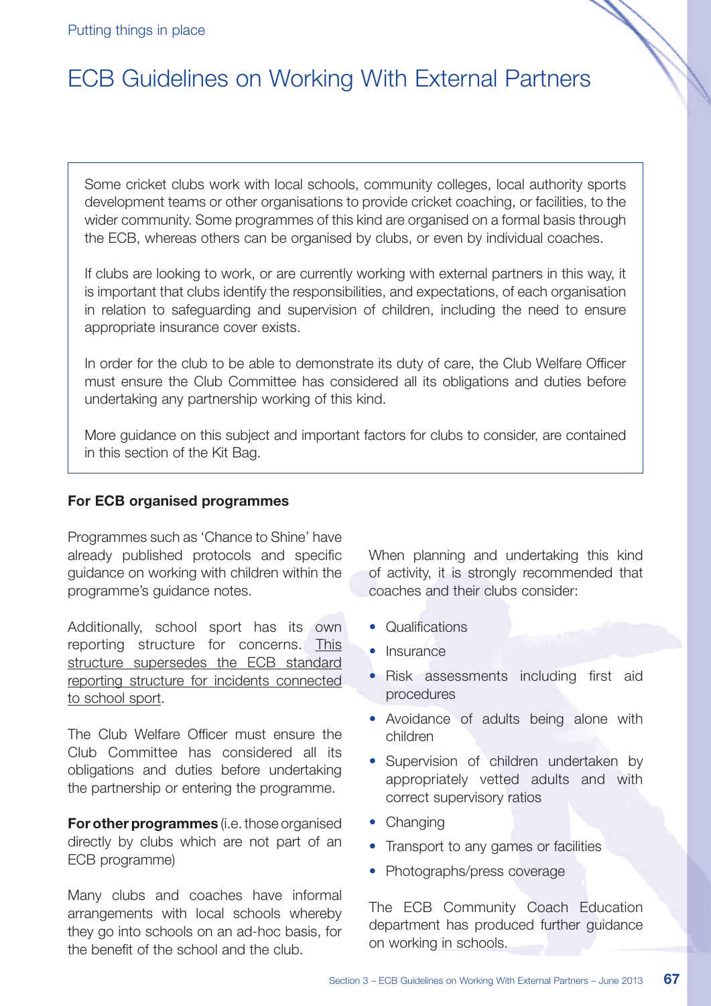# ECB Guidelines on Working With External Partners

Some cricket clubs work with local schools, community colleges, local authority sports development teams or other organisations to provide cricket coaching, or facilities, to the wider community. Some programmes of this kind are organised on a formal basis through the ECB, whereas others can be organised by clubs, or even by individual coaches.

If clubs are looking to work, or are currently working with external partners in this way, it is important that clubs identify the responsibilities, and expectations, of each organisation in relation to safeguarding and supervision of children, including the need to ensure appropriate insurance cover exists.

In order for the club to be able to demonstrate its duty of care, the Club Welfare Officer must ensure the Club Committee has considered all its obligations and duties before undertaking any partnership working of this kind.

More guidance on this subject and important factors for clubs to consider, are contained in this section of the Kit Bag.

# **For ECB organised programmes**

Programmes such as 'Chance to Shine' have already published protocols and specific guidance on working with children within the programme's guidance notes.

Additionally, school sport has its own reporting structure for concerns. This structure supersedes the ECB standard reporting structure for incidents connected to school sport.

The Club Welfare Officer must ensure the Club Committee has considered all its obligations and duties before undertaking the partnership or entering the programme.

**For other programmes** (i.e. those organised directly by clubs which are not part of an ECB programme)

Many clubs and coaches have informal arrangements with local schools whereby they go into schools on an ad-hoc basis, for the benefit of the school and the club.

When planning and undertaking this kind of activity, it is strongly recommended that coaches and their clubs consider:

- Qualifications
- Insurance
- Risk assessments including first aid procedures
- Avoidance of adults being alone with children
- Supervision of children undertaken by appropriately vetted adults and with correct supervisory ratios
- Changing
- Transport to any games or facilities
- Photographs/press coverage

The ECB Community Coach Education department has produced further guidance on working in schools.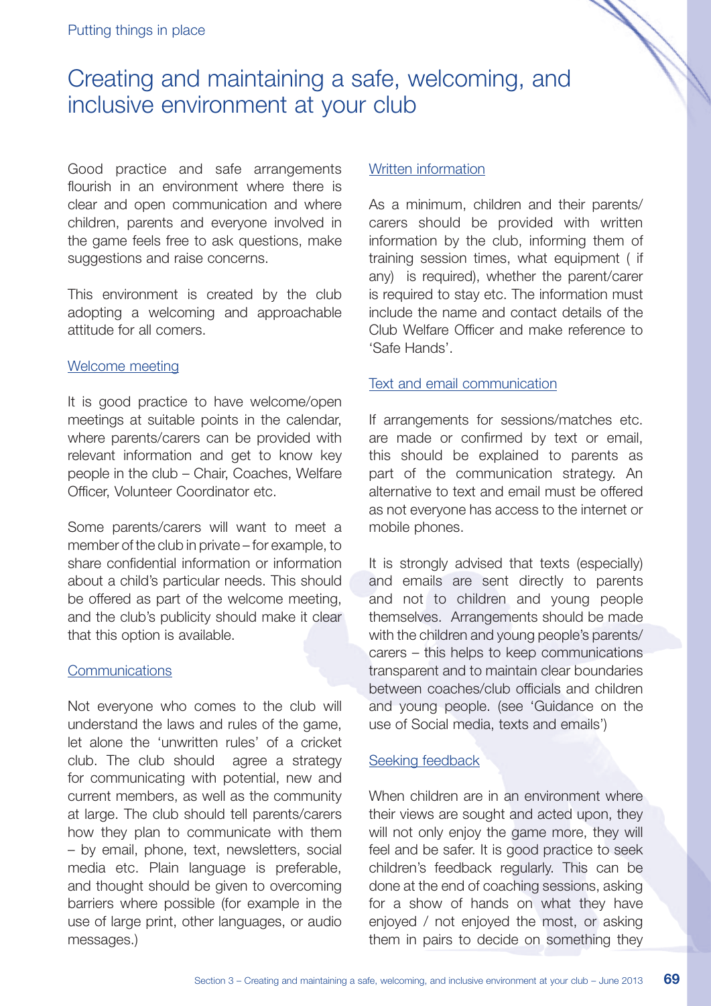# Creating and maintaining a safe, welcoming, and inclusive environment at your club

Good practice and safe arrangements flourish in an environment where there is clear and open communication and where children, parents and everyone involved in the game feels free to ask questions, make suggestions and raise concerns.

This environment is created by the club adopting a welcoming and approachable attitude for all comers.

#### Welcome meeting

It is good practice to have welcome/open meetings at suitable points in the calendar, where parents/carers can be provided with relevant information and get to know key people in the club – Chair, Coaches, Welfare Officer, Volunteer Coordinator etc.

Some parents/carers will want to meet a member of the club in private – for example, to share confidential information or information about a child's particular needs. This should be offered as part of the welcome meeting, and the club's publicity should make it clear that this option is available.

#### **Communications**

Not everyone who comes to the club will understand the laws and rules of the game, let alone the 'unwritten rules' of a cricket club. The club should agree a strategy for communicating with potential, new and current members, as well as the community at large. The club should tell parents/carers how they plan to communicate with them – by email, phone, text, newsletters, social media etc. Plain language is preferable, and thought should be given to overcoming barriers where possible (for example in the use of large print, other languages, or audio messages.)

#### Written information

As a minimum, children and their parents/ carers should be provided with written information by the club, informing them of training session times, what equipment ( if any) is required), whether the parent/carer is required to stay etc. The information must include the name and contact details of the Club Welfare Officer and make reference to 'Safe Hands'.

### Text and email communication

If arrangements for sessions/matches etc. are made or confirmed by text or email, this should be explained to parents as part of the communication strategy. An alternative to text and email must be offered as not everyone has access to the internet or mobile phones.

It is strongly advised that texts (especially) and emails are sent directly to parents and not to children and young people themselves. Arrangements should be made with the children and young people's parents/ carers – this helps to keep communications transparent and to maintain clear boundaries between coaches/club officials and children and young people. (see 'Guidance on the use of Social media, texts and emails')

### Seeking feedback

When children are in an environment where their views are sought and acted upon, they will not only enjoy the game more, they will feel and be safer. It is good practice to seek children's feedback regularly. This can be done at the end of coaching sessions, asking for a show of hands on what they have enjoyed / not enjoyed the most, or asking them in pairs to decide on something they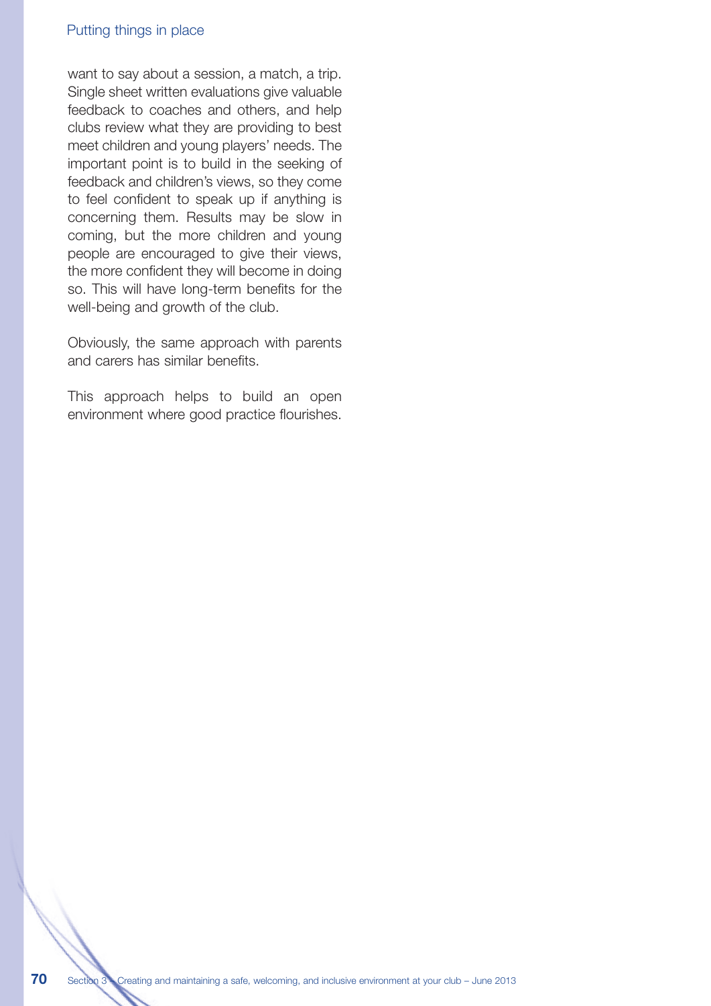### Putting things in place

want to say about a session, a match, a trip. Single sheet written evaluations give valuable feedback to coaches and others, and help clubs review what they are providing to best meet children and young players' needs. The important point is to build in the seeking of feedback and children's views, so they come to feel confident to speak up if anything is concerning them. Results may be slow in coming, but the more children and young people are encouraged to give their views, the more confident they will become in doing so. This will have long-term benefits for the well-being and growth of the club.

Obviously, the same approach with parents and carers has similar benefits.

This approach helps to build an open environment where good practice flourishes.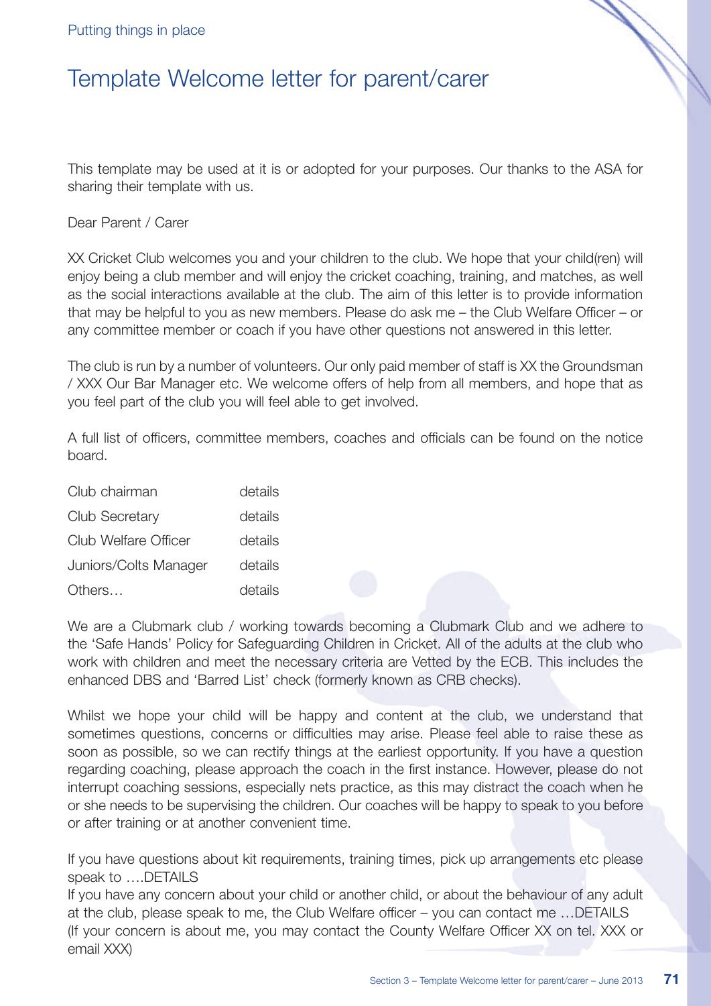# Template Welcome letter for parent/carer

This template may be used at it is or adopted for your purposes. Our thanks to the ASA for sharing their template with us.

Dear Parent / Carer

XX Cricket Club welcomes you and your children to the club. We hope that your child(ren) will enjoy being a club member and will enjoy the cricket coaching, training, and matches, as well as the social interactions available at the club. The aim of this letter is to provide information that may be helpful to you as new members. Please do ask me – the Club Welfare Officer – or any committee member or coach if you have other questions not answered in this letter.

The club is run by a number of volunteers. Our only paid member of staff is XX the Groundsman / XXX Our Bar Manager etc. We welcome offers of help from all members, and hope that as you feel part of the club you will feel able to get involved.

A full list of officers, committee members, coaches and officials can be found on the notice board.

| Club chairman         | details |
|-----------------------|---------|
| <b>Club Secretary</b> | details |
| Club Welfare Officer  | details |
| Juniors/Colts Manager | details |
| Others                | details |

We are a Clubmark club / working towards becoming a Clubmark Club and we adhere to the 'Safe Hands' Policy for Safeguarding Children in Cricket. All of the adults at the club who work with children and meet the necessary criteria are Vetted by the ECB. This includes the enhanced DBS and 'Barred List' check (formerly known as CRB checks).

Whilst we hope your child will be happy and content at the club, we understand that sometimes questions, concerns or difficulties may arise. Please feel able to raise these as soon as possible, so we can rectify things at the earliest opportunity. If you have a question regarding coaching, please approach the coach in the first instance. However, please do not interrupt coaching sessions, especially nets practice, as this may distract the coach when he or she needs to be supervising the children. Our coaches will be happy to speak to you before or after training or at another convenient time.

If you have questions about kit requirements, training times, pick up arrangements etc please speak to ….DETAILS

If you have any concern about your child or another child, or about the behaviour of any adult at the club, please speak to me, the Club Welfare officer – you can contact me …DETAILS (If your concern is about me, you may contact the County Welfare Officer XX on tel. XXX or email XXX)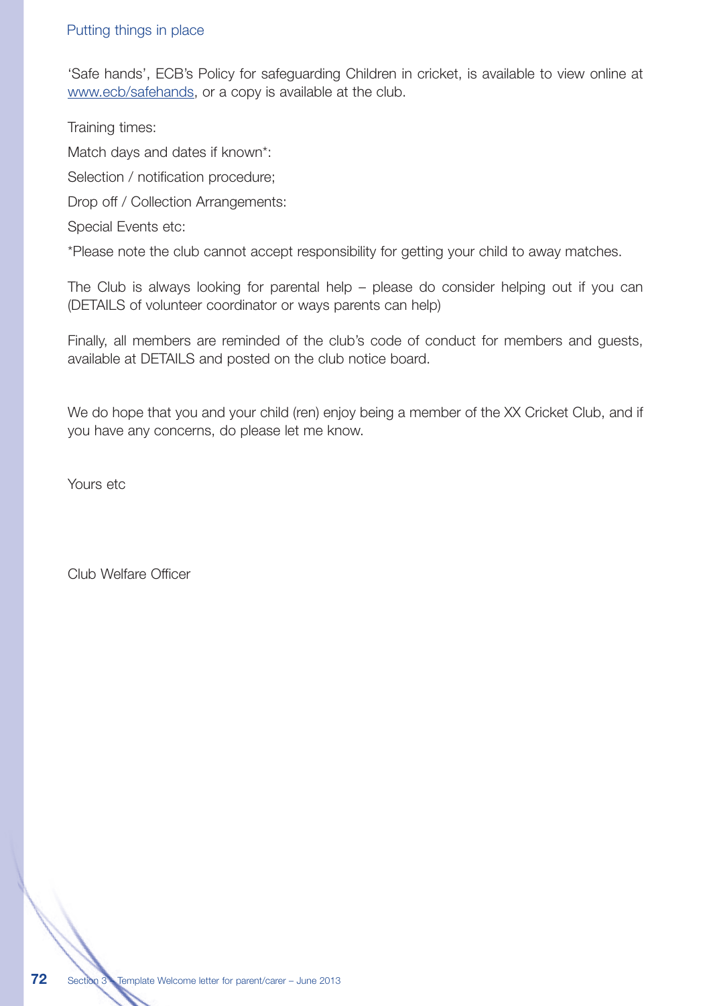### Putting things in place

'Safe hands', ECB's Policy for safeguarding Children in cricket, is available to view online at www.ecb/safehands, or a copy is available at the club.

Training times:

Match days and dates if known\*:

Selection / notification procedure;

Drop off / Collection Arrangements:

Special Events etc:

\*Please note the club cannot accept responsibility for getting your child to away matches.

The Club is always looking for parental help – please do consider helping out if you can (DETAILS of volunteer coordinator or ways parents can help)

Finally, all members are reminded of the club's code of conduct for members and guests, available at DETAILS and posted on the club notice board.

We do hope that you and your child (ren) enjoy being a member of the XX Cricket Club, and if you have any concerns, do please let me know.

Yours etc

Club Welfare Officer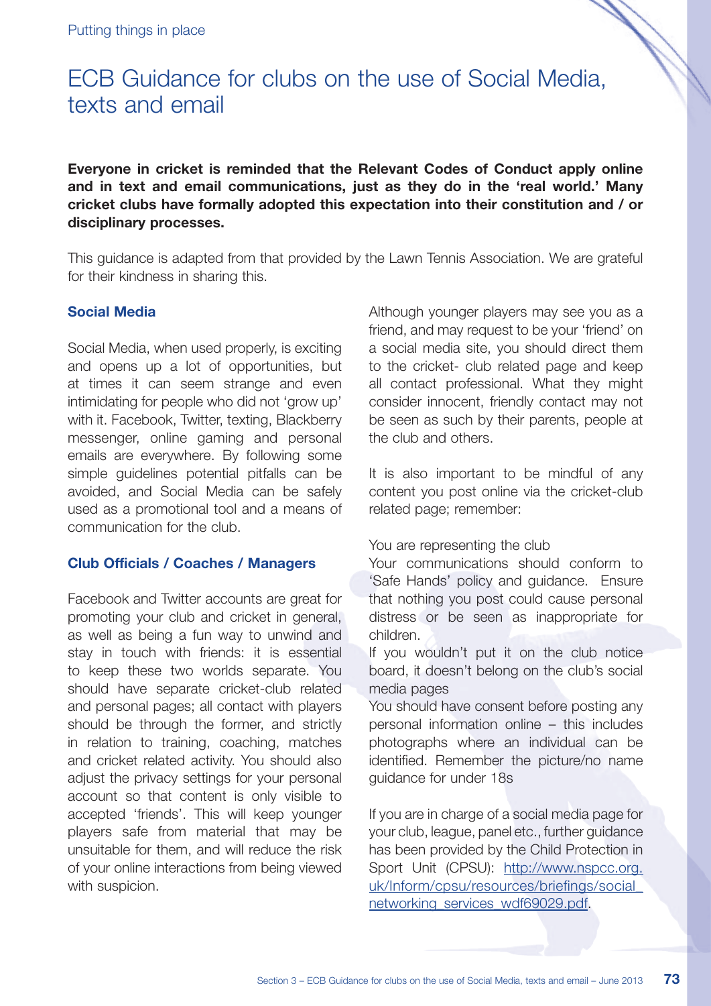# ECB Guidance for clubs on the use of Social Media, texts and email

**Everyone in cricket is reminded that the Relevant Codes of Conduct apply online and in text and email communications, just as they do in the 'real world.' Many cricket clubs have formally adopted this expectation into their constitution and / or disciplinary processes.**

This guidance is adapted from that provided by the Lawn Tennis Association. We are grateful for their kindness in sharing this.

### **Social Media**

Social Media, when used properly, is exciting and opens up a lot of opportunities, but at times it can seem strange and even intimidating for people who did not 'grow up' with it. Facebook, Twitter, texting, Blackberry messenger, online gaming and personal emails are everywhere. By following some simple guidelines potential pitfalls can be avoided, and Social Media can be safely used as a promotional tool and a means of communication for the club.

### **Club Officials / Coaches / Managers**

Facebook and Twitter accounts are great for promoting your club and cricket in general, as well as being a fun way to unwind and stay in touch with friends: it is essential to keep these two worlds separate. You should have separate cricket-club related and personal pages; all contact with players should be through the former, and strictly in relation to training, coaching, matches and cricket related activity. You should also adjust the privacy settings for your personal account so that content is only visible to accepted 'friends'. This will keep younger players safe from material that may be unsuitable for them, and will reduce the risk of your online interactions from being viewed with suspicion.

Although younger players may see you as a friend, and may request to be your 'friend' on a social media site, you should direct them to the cricket- club related page and keep all contact professional. What they might consider innocent, friendly contact may not be seen as such by their parents, people at the club and others.

It is also important to be mindful of any content you post online via the cricket-club related page; remember:

### You are representing the club

Your communications should conform to 'Safe Hands' policy and guidance. Ensure that nothing you post could cause personal distress or be seen as inappropriate for children.

If you wouldn't put it on the club notice board, it doesn't belong on the club's social media pages

You should have consent before posting any personal information online – this includes photographs where an individual can be identified. Remember the picture/no name guidance for under 18s

If you are in charge of a social media page for your club, league, panel etc., further guidance has been provided by the Child Protection in Sport Unit (CPSU): http://www.nspcc.org. uk/Inform/cpsu/resources/briefings/social networking\_services\_wdf69029.pdf.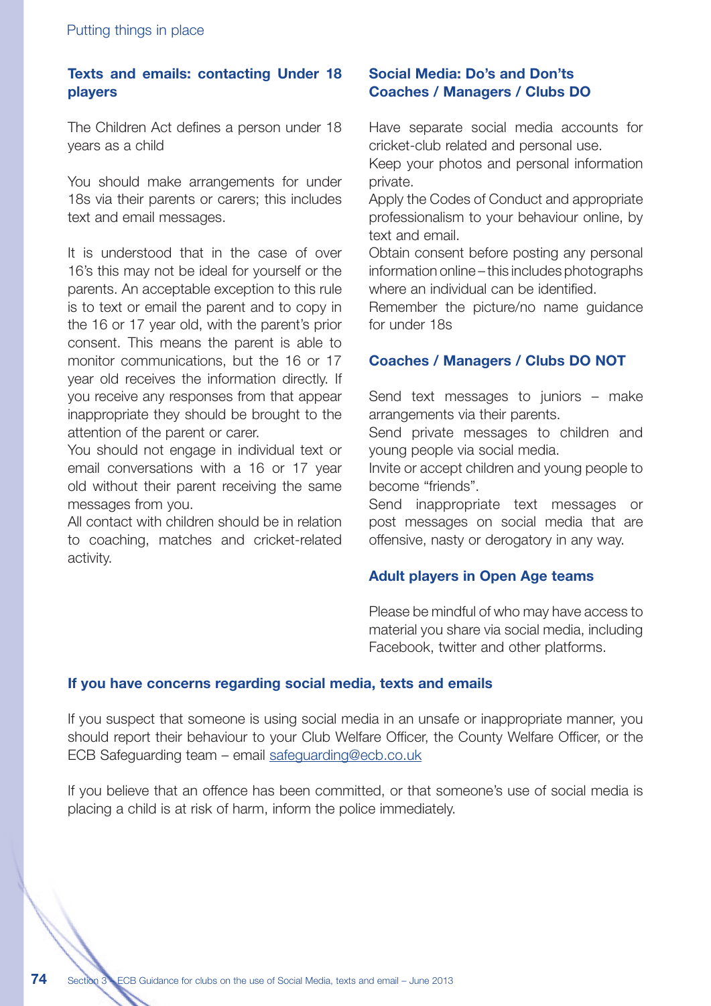# **Texts and emails: contacting Under 18 players**

The Children Act defines a person under 18 years as a child

You should make arrangements for under 18s via their parents or carers; this includes text and email messages.

It is understood that in the case of over 16's this may not be ideal for yourself or the parents. An acceptable exception to this rule is to text or email the parent and to copy in the 16 or 17 year old, with the parent's prior consent. This means the parent is able to monitor communications, but the 16 or 17 year old receives the information directly. If you receive any responses from that appear inappropriate they should be brought to the attention of the parent or carer.

You should not engage in individual text or email conversations with a 16 or 17 year old without their parent receiving the same messages from you.

All contact with children should be in relation to coaching, matches and cricket-related activity.

# **Social Media: Do's and Don'ts Coaches / Managers / Clubs DO**

Have separate social media accounts for cricket-club related and personal use.

Keep your photos and personal information private.

Apply the Codes of Conduct and appropriate professionalism to your behaviour online, by text and email.

Obtain consent before posting any personal information online – this includes photographs where an individual can be identified.

Remember the picture/no name guidance for under 18s

### **Coaches / Managers / Clubs DO NOT**

Send text messages to juniors – make arrangements via their parents.

Send private messages to children and young people via social media.

Invite or accept children and young people to become "friends".

Send inappropriate text messages or post messages on social media that are offensive, nasty or derogatory in any way.

### **Adult players in Open Age teams**

Please be mindful of who may have access to material you share via social media, including Facebook, twitter and other platforms.

### **If you have concerns regarding social media, texts and emails**

If you suspect that someone is using social media in an unsafe or inappropriate manner, you should report their behaviour to your Club Welfare Officer, the County Welfare Officer, or the ECB Safeguarding team – email safeguarding@ecb.co.uk

If you believe that an offence has been committed, or that someone's use of social media is placing a child is at risk of harm, inform the police immediately.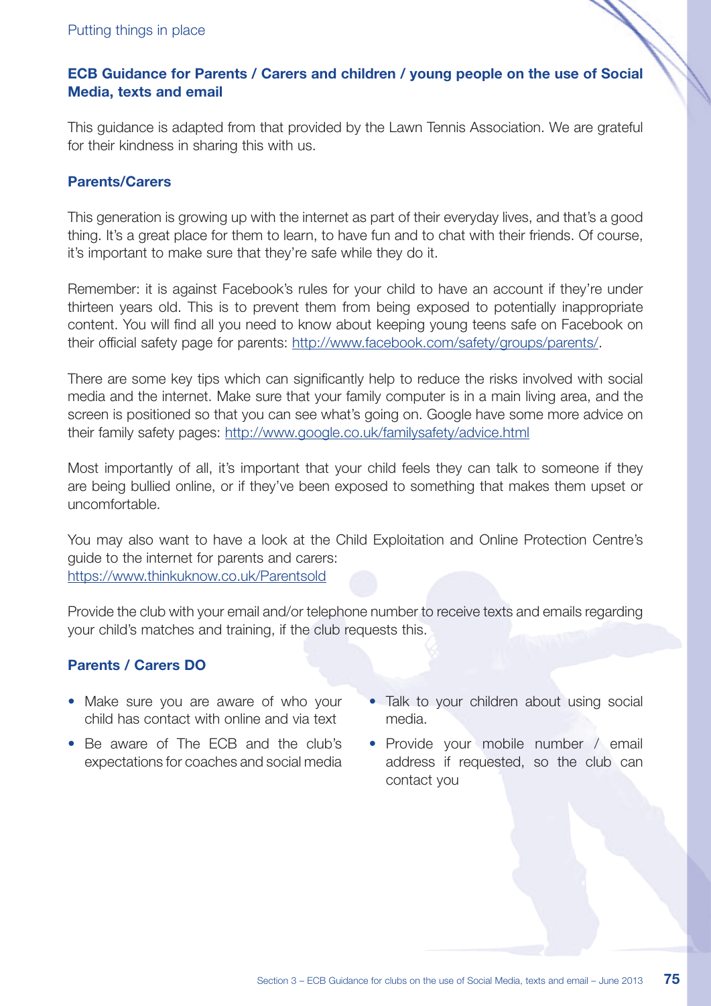# **ECB Guidance for Parents / Carers and children / young people on the use of Social Media, texts and email**

This guidance is adapted from that provided by the Lawn Tennis Association. We are grateful for their kindness in sharing this with us.

# **Parents/Carers**

This generation is growing up with the internet as part of their everyday lives, and that's a good thing. It's a great place for them to learn, to have fun and to chat with their friends. Of course, it's important to make sure that they're safe while they do it.

Remember: it is against Facebook's rules for your child to have an account if they're under thirteen years old. This is to prevent them from being exposed to potentially inappropriate content. You will find all you need to know about keeping young teens safe on Facebook on their official safety page for parents: http://www.facebook.com/safety/groups/parents/.

There are some key tips which can significantly help to reduce the risks involved with social media and the internet. Make sure that your family computer is in a main living area, and the screen is positioned so that you can see what's going on. Google have some more advice on their family safety pages: http://www.google.co.uk/familysafety/advice.html

Most importantly of all, it's important that your child feels they can talk to someone if they are being bullied online, or if they've been exposed to something that makes them upset or uncomfortable.

You may also want to have a look at the Child Exploitation and Online Protection Centre's guide to the internet for parents and carers: https://www.thinkuknow.co.uk/Parentsold

Provide the club with your email and/or telephone number to receive texts and emails regarding your child's matches and training, if the club requests this.

# **Parents / Carers DO**

- Make sure you are aware of who your child has contact with online and via text
- Be aware of The ECB and the club's expectations for coaches and social media
- Talk to your children about using social media.
- Provide your mobile number / email address if requested, so the club can contact you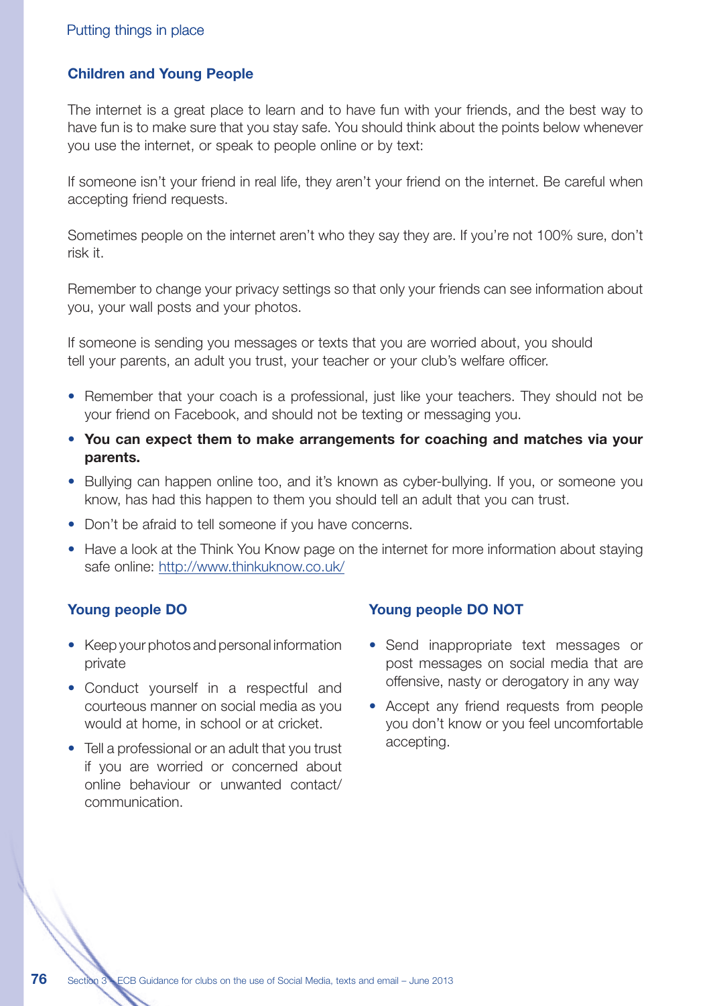### Putting things in place

### **Children and Young People**

The internet is a great place to learn and to have fun with your friends, and the best way to have fun is to make sure that you stay safe. You should think about the points below whenever you use the internet, or speak to people online or by text:

If someone isn't your friend in real life, they aren't your friend on the internet. Be careful when accepting friend requests.

Sometimes people on the internet aren't who they say they are. If you're not 100% sure, don't risk it.

Remember to change your privacy settings so that only your friends can see information about you, your wall posts and your photos.

If someone is sending you messages or texts that you are worried about, you should tell your parents, an adult you trust, your teacher or your club's welfare officer.

- Remember that your coach is a professional, just like your teachers. They should not be your friend on Facebook, and should not be texting or messaging you.
- **You can expect them to make arrangements for coaching and matches via your parents.**
- Bullying can happen online too, and it's known as cyber-bullying. If you, or someone you know, has had this happen to them you should tell an adult that you can trust.
- Don't be afraid to tell someone if you have concerns.
- Have a look at the Think You Know page on the internet for more information about staying safe online: http://www.thinkuknow.co.uk/

### **Young people DO**

- Keep your photos and personal information private
- Conduct yourself in a respectful and courteous manner on social media as you would at home, in school or at cricket.
- Tell a professional or an adult that you trust if you are worried or concerned about online behaviour or unwanted contact/ communication.

#### **Young people DO NOT**

- Send inappropriate text messages or post messages on social media that are offensive, nasty or derogatory in any way
- Accept any friend requests from people you don't know or you feel uncomfortable accepting.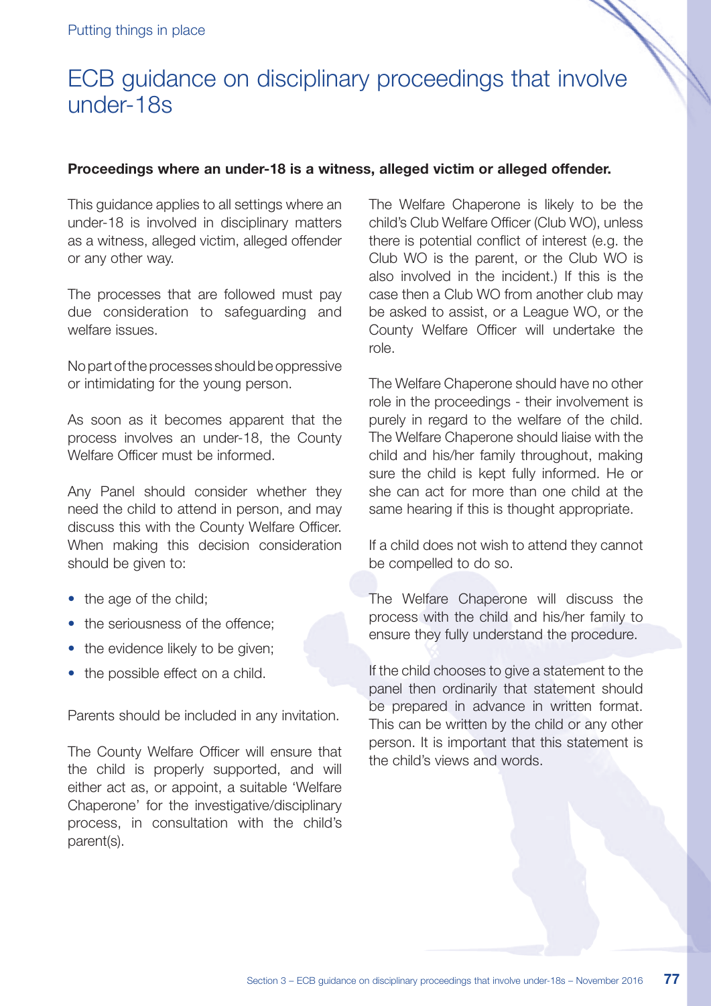# ECB guidance on disciplinary proceedings that involve under-18s

# **Proceedings where an under-18 is a witness, alleged victim or alleged offender.**

This guidance applies to all settings where an under-18 is involved in disciplinary matters as a witness, alleged victim, alleged offender or any other way.

The processes that are followed must pay due consideration to safeguarding and welfare issues.

No part of the processes should be oppressive or intimidating for the young person.

As soon as it becomes apparent that the process involves an under-18, the County Welfare Officer must be informed.

Any Panel should consider whether they need the child to attend in person, and may discuss this with the County Welfare Officer. When making this decision consideration should be given to:

- the age of the child;
- the seriousness of the offence:
- the evidence likely to be given;
- the possible effect on a child.

Parents should be included in any invitation.

The County Welfare Officer will ensure that the child is properly supported, and will either act as, or appoint, a suitable 'Welfare Chaperone' for the investigative/disciplinary process, in consultation with the child's parent(s).

The Welfare Chaperone is likely to be the child's Club Welfare Officer (Club WO), unless there is potential conflict of interest (e.g. the Club WO is the parent, or the Club WO is also involved in the incident.) If this is the case then a Club WO from another club may be asked to assist, or a League WO, or the County Welfare Officer will undertake the role.

The Welfare Chaperone should have no other role in the proceedings - their involvement is purely in regard to the welfare of the child. The Welfare Chaperone should liaise with the child and his/her family throughout, making sure the child is kept fully informed. He or she can act for more than one child at the same hearing if this is thought appropriate.

If a child does not wish to attend they cannot be compelled to do so.

The Welfare Chaperone will discuss the process with the child and his/her family to ensure they fully understand the procedure.

If the child chooses to give a statement to the panel then ordinarily that statement should be prepared in advance in written format. This can be written by the child or any other person. It is important that this statement is the child's views and words.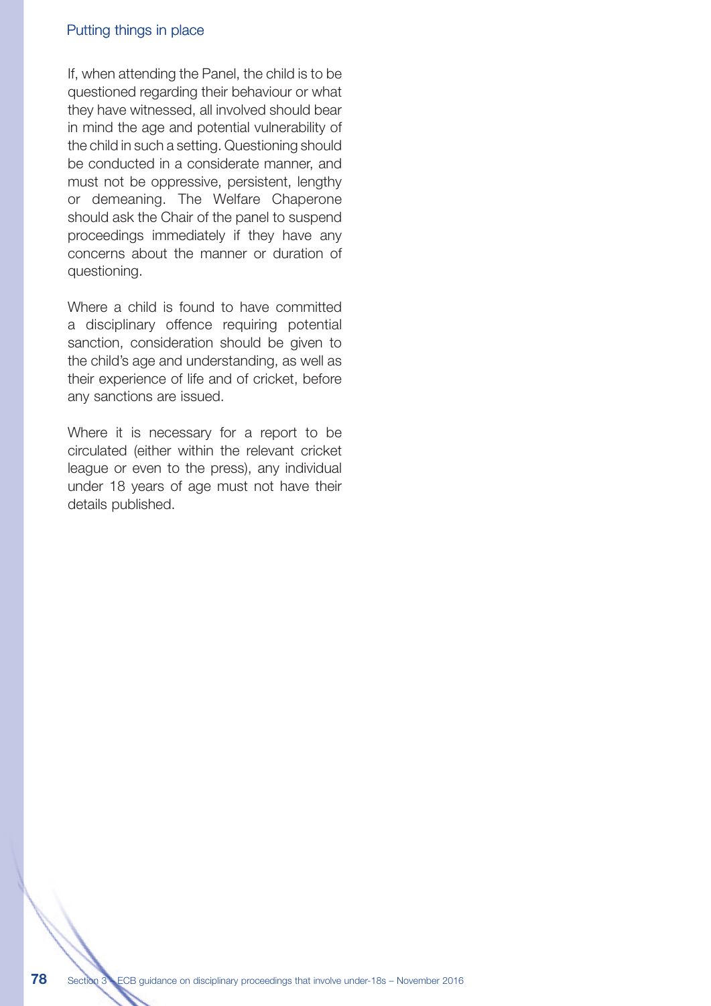### Putting things in place

If, when attending the Panel, the child is to be questioned regarding their behaviour or what they have witnessed, all involved should bear in mind the age and potential vulnerability of the child in such a setting. Questioning should be conducted in a considerate manner, and must not be oppressive, persistent, lengthy or demeaning. The Welfare Chaperone should ask the Chair of the panel to suspend proceedings immediately if they have any concerns about the manner or duration of questioning.

Where a child is found to have committed a disciplinary offence requiring potential sanction, consideration should be given to the child's age and understanding, as well as their experience of life and of cricket, before any sanctions are issued.

Where it is necessary for a report to be circulated (either within the relevant cricket league or even to the press), any individual under 18 years of age must not have their details published.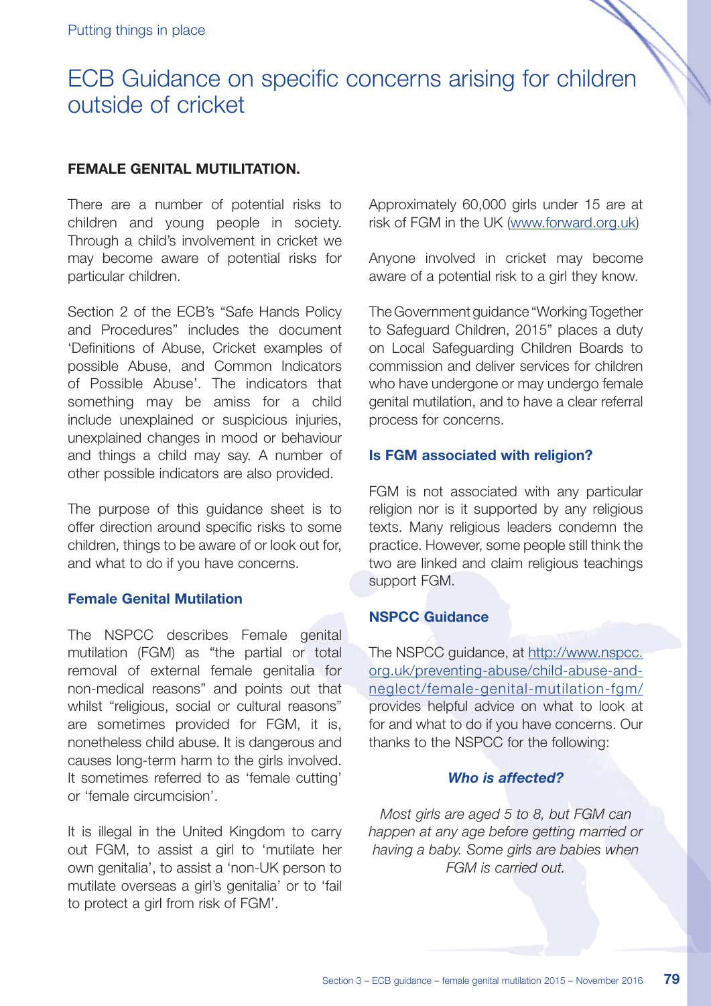# ECB Guidance on specific concerns arising for children outside of cricket

# **FEMALE GENITAL MUTILITATION.**

There are a number of potential risks to children and young people in society. Through a child's involvement in cricket we may become aware of potential risks for particular children.

Section 2 of the ECB's "Safe Hands Policy and Procedures" includes the document 'Definitions of Abuse, Cricket examples of possible Abuse, and Common Indicators of Possible Abuse'. The indicators that something may be amiss for a child include unexplained or suspicious injuries, unexplained changes in mood or behaviour and things a child may say. A number of other possible indicators are also provided.

The purpose of this guidance sheet is to offer direction around specific risks to some children, things to be aware of or look out for, and what to do if you have concerns.

### **Female Genital Mutilation**

The NSPCC describes Female genital mutilation (FGM) as "the partial or total removal of external female genitalia for non-medical reasons" and points out that whilst "religious, social or cultural reasons" are sometimes provided for FGM, it is, nonetheless child abuse. It is dangerous and causes long-term harm to the girls involved. It sometimes referred to as 'female cutting' or 'female circumcision'.

It is illegal in the United Kingdom to carry out FGM, to assist a girl to 'mutilate her own genitalia', to assist a 'non-UK person to mutilate overseas a girl's genitalia' or to 'fail to protect a girl from risk of FGM'.

Approximately 60,000 girls under 15 are at risk of FGM in the UK (www.forward.org.uk)

Anyone involved in cricket may become aware of a potential risk to a girl they know.

The Government guidance "Working Together to Safeguard Children, 2015" places a duty on Local Safeguarding Children Boards to commission and deliver services for children who have undergone or may undergo female genital mutilation, and to have a clear referral process for concerns.

## **Is FGM associated with religion?**

FGM is not associated with any particular religion nor is it supported by any religious texts. Many religious leaders condemn the practice. However, some people still think the two are linked and claim religious teachings support FGM.

# **NSPCC Guidance**

The NSPCC guidance, at http://www.nspcc. org.uk/preventing-abuse/child-abuse-andneglect/female-genital-mutilation-fgm/ provides helpful advice on what to look at for and what to do if you have concerns. Our thanks to the NSPCC for the following:

# *Who is affected?*

*Most girls are aged 5 to 8, but FGM can happen at any age before getting married or having a baby. Some girls are babies when FGM is carried out.*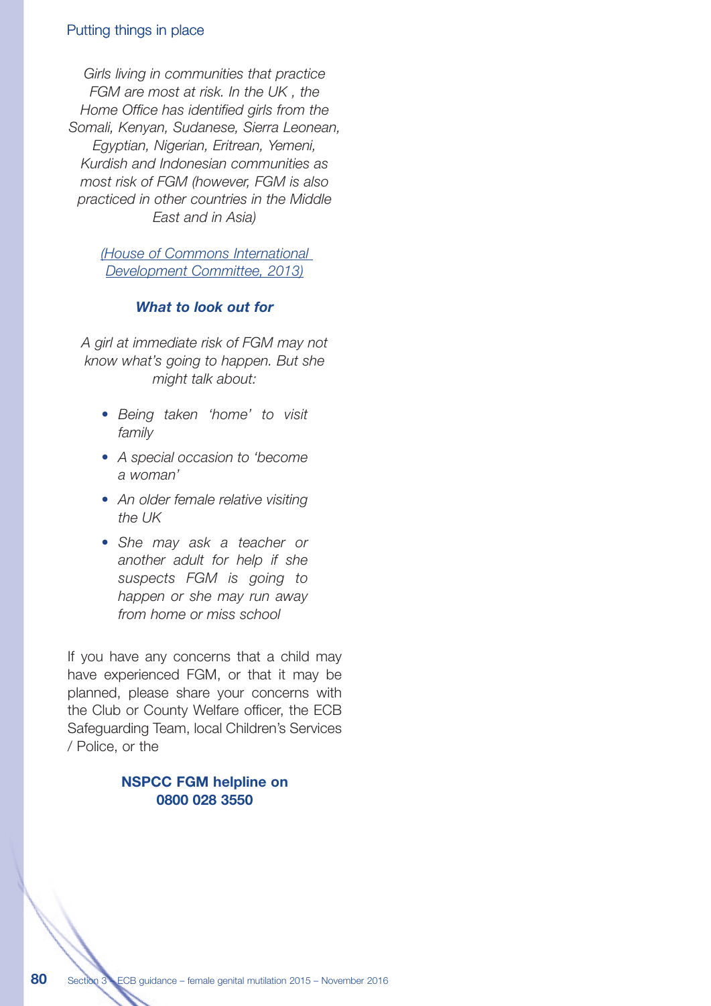#### Putting things in place

*Girls living in communities that practice FGM are most at risk. In the UK , the Home Office has identified girls from the Somali, Kenyan, Sudanese, Sierra Leonean, Egyptian, Nigerian, Eritrean, Yemeni, Kurdish and Indonesian communities as most risk of FGM (however, FGM is also practiced in other countries in the Middle East and in Asia)*

> *(House of Commons International Development Committee, 2013)*

### *What to look out for*

*A girl at immediate risk of FGM may not know what's going to happen. But she might talk about:*

- *Being taken 'home' to visit family*
- *A special occasion to 'become a woman'*
- *An older female relative visiting the UK*
- *She may ask a teacher or another adult for help if she suspects FGM is going to happen or she may run away from home or miss school*

If you have any concerns that a child may have experienced FGM, or that it may be planned, please share your concerns with the Club or County Welfare officer, the ECB Safeguarding Team, local Children's Services / Police, or the

### **NSPCC FGM helpline on 0800 028 3550**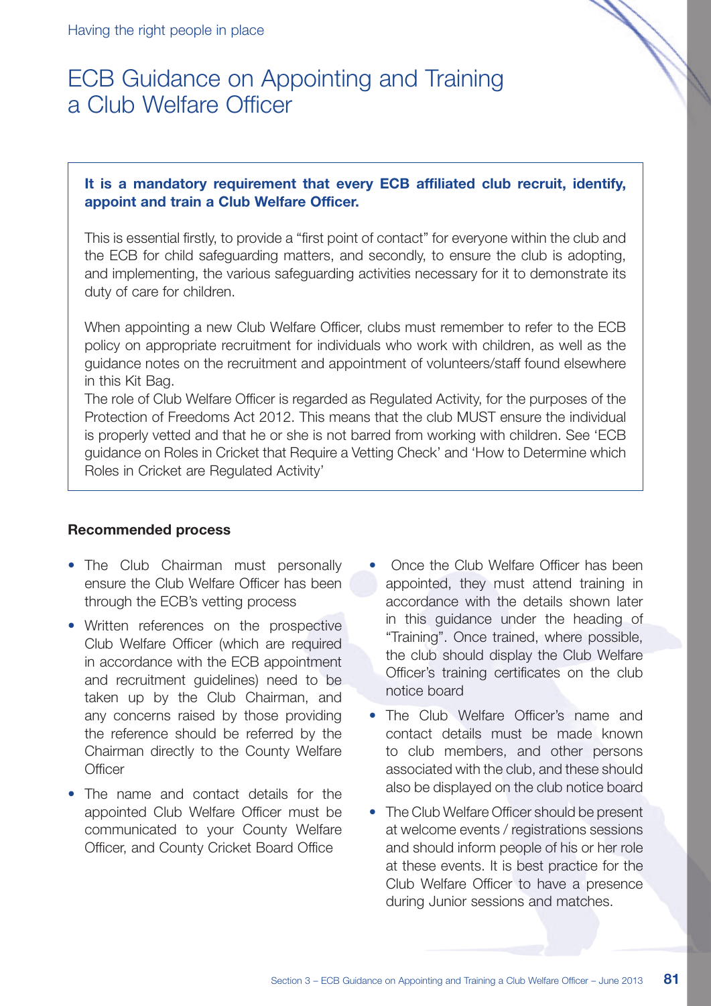# ECB Guidance on Appointing and Training a Club Welfare Officer

# **It is a mandatory requirement that every ECB affiliated club recruit, identify, appoint and train a Club Welfare Officer.**

This is essential firstly, to provide a "first point of contact" for everyone within the club and the ECB for child safeguarding matters, and secondly, to ensure the club is adopting, and implementing, the various safeguarding activities necessary for it to demonstrate its duty of care for children.

When appointing a new Club Welfare Officer, clubs must remember to refer to the ECB policy on appropriate recruitment for individuals who work with children, as well as the guidance notes on the recruitment and appointment of volunteers/staff found elsewhere in this Kit Bag.

The role of Club Welfare Officer is regarded as Regulated Activity, for the purposes of the Protection of Freedoms Act 2012. This means that the club MUST ensure the individual is properly vetted and that he or she is not barred from working with children. See 'ECB guidance on Roles in Cricket that Require a Vetting Check' and 'How to Determine which Roles in Cricket are Regulated Activity'

### **Recommended process**

- The Club Chairman must personally ensure the Club Welfare Officer has been through the ECB's vetting process
- Written references on the prospective Club Welfare Officer (which are required in accordance with the ECB appointment and recruitment guidelines) need to be taken up by the Club Chairman, and any concerns raised by those providing the reference should be referred by the Chairman directly to the County Welfare Officer
- The name and contact details for the appointed Club Welfare Officer must be communicated to your County Welfare Officer, and County Cricket Board Office
- Once the Club Welfare Officer has been appointed, they must attend training in accordance with the details shown later in this guidance under the heading of "Training". Once trained, where possible, the club should display the Club Welfare Officer's training certificates on the club notice board
- The Club Welfare Officer's name and contact details must be made known to club members, and other persons associated with the club, and these should also be displayed on the club notice board
- The Club Welfare Officer should be present at welcome events / registrations sessions and should inform people of his or her role at these events. It is best practice for the Club Welfare Officer to have a presence during Junior sessions and matches.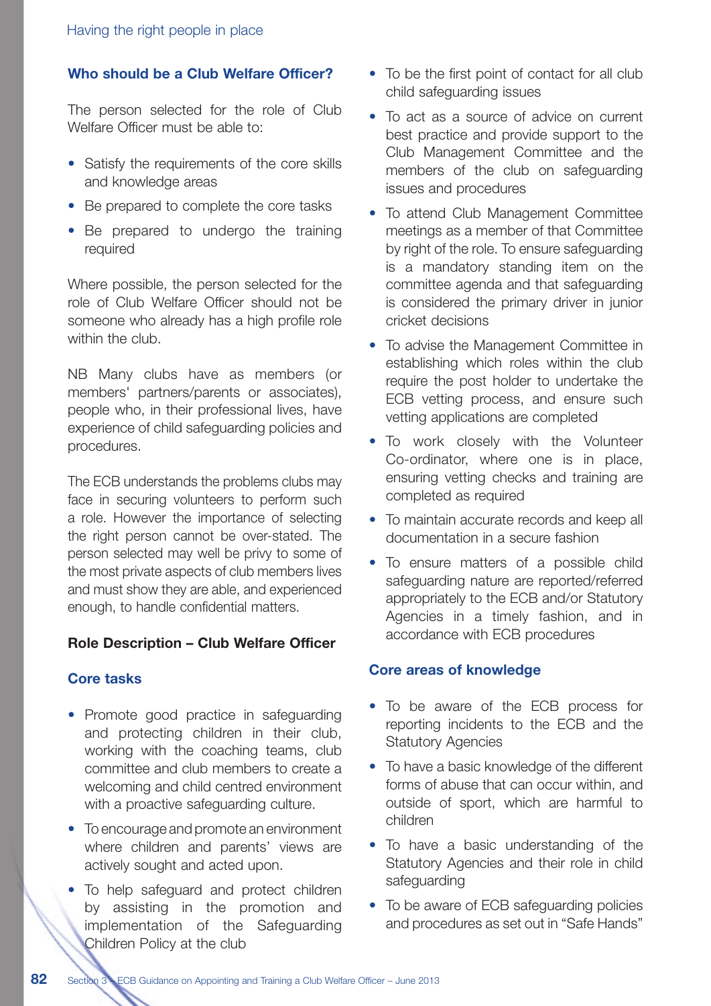# **Who should be a Club Welfare Officer?**

The person selected for the role of Club Welfare Officer must be able to:

- Satisfy the requirements of the core skills and knowledge areas
- Be prepared to complete the core tasks
- Be prepared to undergo the training required

Where possible, the person selected for the role of Club Welfare Officer should not be someone who already has a high profile role within the club.

NB Many clubs have as members (or members' partners/parents or associates), people who, in their professional lives, have experience of child safeguarding policies and procedures.

The ECB understands the problems clubs may face in securing volunteers to perform such a role. However the importance of selecting the right person cannot be over-stated. The person selected may well be privy to some of the most private aspects of club members lives and must show they are able, and experienced enough, to handle confidential matters.

### **Role Description – Club Welfare Officer**

### **Core tasks**

- Promote good practice in safeguarding and protecting children in their club, working with the coaching teams, club committee and club members to create a welcoming and child centred environment with a proactive safeguarding culture.
- To encourage and promote an environment where children and parents' views are actively sought and acted upon.
- To help safeguard and protect children by assisting in the promotion and implementation of the Safeguarding Children Policy at the club
- To be the first point of contact for all club child safeguarding issues
- To act as a source of advice on current best practice and provide support to the Club Management Committee and the members of the club on safeguarding issues and procedures
- To attend Club Management Committee meetings as a member of that Committee by right of the role. To ensure safeguarding is a mandatory standing item on the committee agenda and that safeguarding is considered the primary driver in junior cricket decisions
- To advise the Management Committee in establishing which roles within the club require the post holder to undertake the ECB vetting process, and ensure such vetting applications are completed
- To work closely with the Volunteer Co-ordinator, where one is in place, ensuring vetting checks and training are completed as required
- To maintain accurate records and keep all documentation in a secure fashion
- To ensure matters of a possible child safeguarding nature are reported/referred appropriately to the ECB and/or Statutory Agencies in a timely fashion, and in accordance with ECB procedures

#### **Core areas of knowledge**

- To be aware of the ECB process for reporting incidents to the ECB and the Statutory Agencies
- To have a basic knowledge of the different forms of abuse that can occur within, and outside of sport, which are harmful to children
- To have a basic understanding of the Statutory Agencies and their role in child safeguarding
- To be aware of ECB safeguarding policies and procedures as set out in "Safe Hands"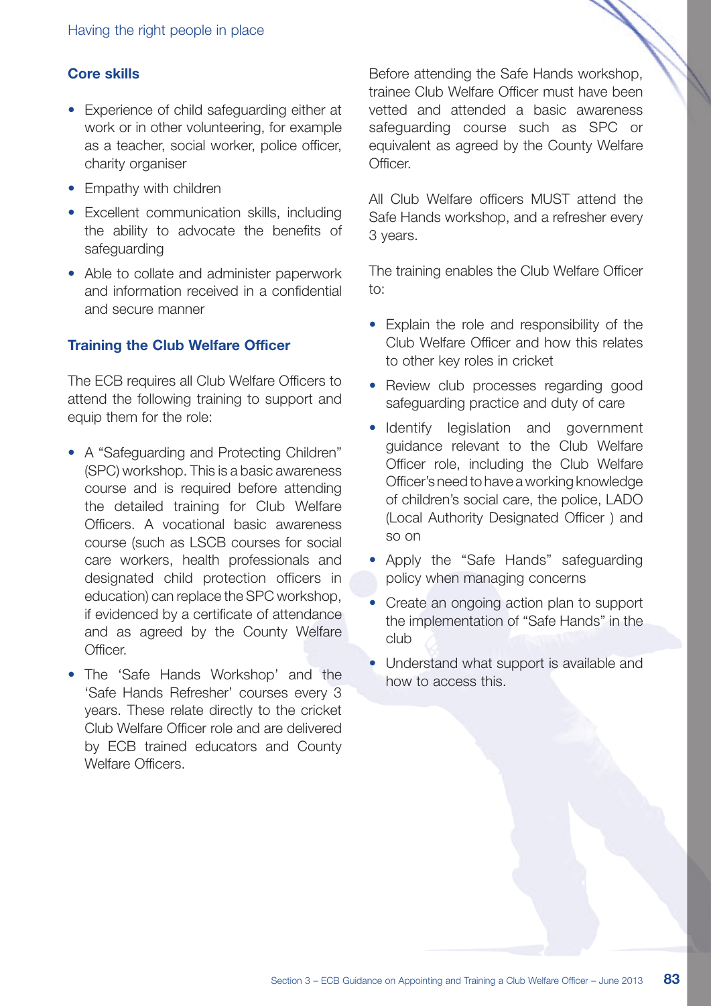# **Core skills**

- Experience of child safeguarding either at work or in other volunteering, for example as a teacher, social worker, police officer, charity organiser
- Empathy with children
- Excellent communication skills, including the ability to advocate the benefits of safeguarding
- Able to collate and administer paperwork and information received in a confidential and secure manner

## **Training the Club Welfare Officer**

The ECB requires all Club Welfare Officers to attend the following training to support and equip them for the role:

- A "Safeguarding and Protecting Children" (SPC) workshop. This is a basic awareness course and is required before attending the detailed training for Club Welfare Officers. A vocational basic awareness course (such as LSCB courses for social care workers, health professionals and designated child protection officers in education) can replace the SPC workshop, if evidenced by a certificate of attendance and as agreed by the County Welfare Officer.
- The 'Safe Hands Workshop' and the 'Safe Hands Refresher' courses every 3 years. These relate directly to the cricket Club Welfare Officer role and are delivered by ECB trained educators and County Welfare Officers.

Before attending the Safe Hands workshop, trainee Club Welfare Officer must have been vetted and attended a basic awareness safeguarding course such as SPC or equivalent as agreed by the County Welfare Officer.

All Club Welfare officers MUST attend the Safe Hands workshop, and a refresher every 3 years.

The training enables the Club Welfare Officer to:

- Explain the role and responsibility of the Club Welfare Officer and how this relates to other key roles in cricket
- Review club processes regarding good safeguarding practice and duty of care
- Identify legislation and government guidance relevant to the Club Welfare Officer role, including the Club Welfare Officer's need to have a working knowledge of children's social care, the police, LADO (Local Authority Designated Officer ) and so on
- Apply the "Safe Hands" safeguarding policy when managing concerns
- Create an ongoing action plan to support the implementation of "Safe Hands" in the club
- Understand what support is available and how to access this.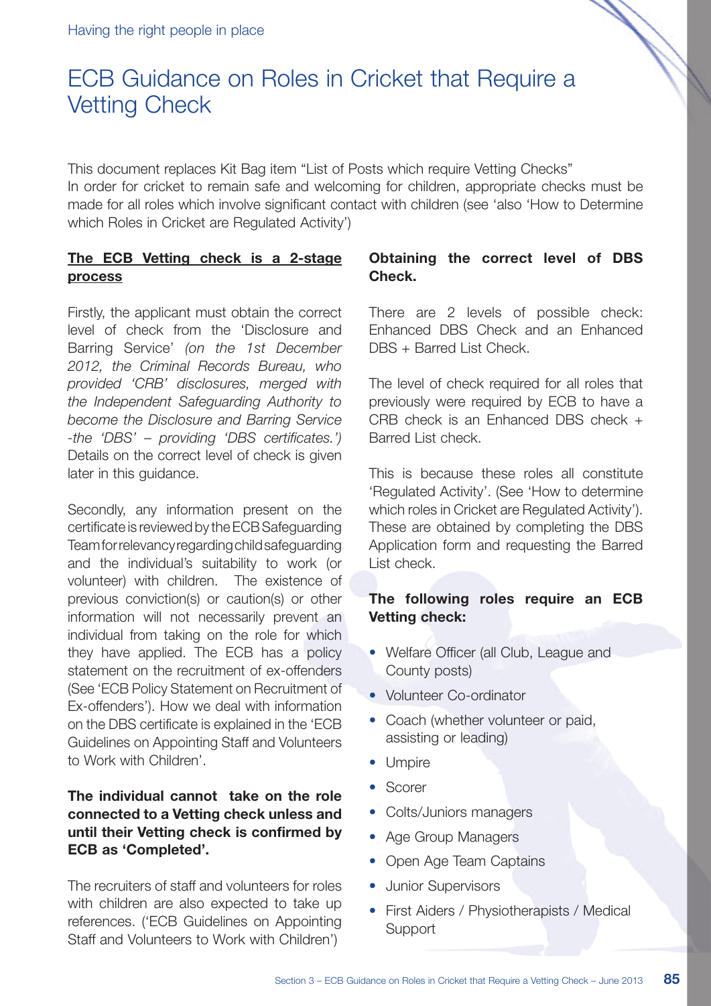# ECB Guidance on Roles in Cricket that Require a Vetting Check

This document replaces Kit Bag item "List of Posts which require Vetting Checks" In order for cricket to remain safe and welcoming for children, appropriate checks must be made for all roles which involve significant contact with children (see 'also 'How to Determine which Roles in Cricket are Regulated Activity')

# **The ECB Vetting check is a 2-stage process**

Firstly, the applicant must obtain the correct level of check from the 'Disclosure and Barring Service' *(on the 1st December 2012, the Criminal Records Bureau, who provided 'CRB' disclosures, merged with the Independent Safeguarding Authority to become the Disclosure and Barring Service -the 'DBS' – providing 'DBS certificates.')* Details on the correct level of check is given later in this guidance.

Secondly, any information present on the certificate is reviewed by the ECB Safeguarding Team for relevancy regarding child safeguarding and the individual's suitability to work (or volunteer) with children. The existence of previous conviction(s) or caution(s) or other information will not necessarily prevent an individual from taking on the role for which they have applied. The ECB has a policy statement on the recruitment of ex-offenders (See 'ECB Policy Statement on Recruitment of Ex-offenders'). How we deal with information on the DBS certificate is explained in the 'ECB Guidelines on Appointing Staff and Volunteers to Work with Children'.

# **The individual cannot take on the role connected to a Vetting check unless and until their Vetting check is confirmed by ECB as 'Completed'.**

The recruiters of staff and volunteers for roles with children are also expected to take up references. ('ECB Guidelines on Appointing Staff and Volunteers to Work with Children')

# **Obtaining the correct level of DBS Check.**

There are 2 levels of possible check: Enhanced DBS Check and an Enhanced DBS + Barred List Check.

The level of check required for all roles that previously were required by ECB to have a CRB check is an Enhanced DBS check + Barred List check.

This is because these roles all constitute 'Regulated Activity'. (See 'How to determine which roles in Cricket are Regulated Activity'). These are obtained by completing the DBS Application form and requesting the Barred List check.

# **The following roles require an ECB Vetting check:**

- Welfare Officer (all Club, League and County posts)
- Volunteer Co-ordinator
- Coach (whether volunteer or paid, assisting or leading)
- Umpire
- Scorer
- Colts/Juniors managers
- Age Group Managers
- Open Age Team Captains
- Junior Supervisors
- First Aiders / Physiotherapists / Medical **Support**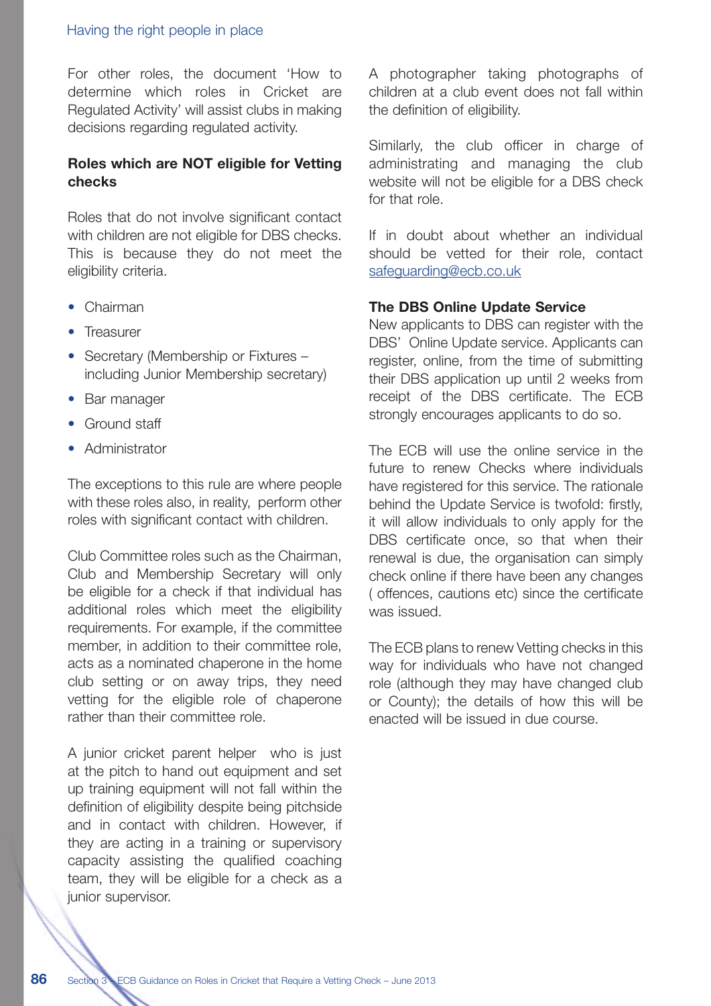#### Having the right people in place

For other roles, the document 'How to determine which roles in Cricket are Regulated Activity' will assist clubs in making decisions regarding regulated activity.

### **Roles which are NOT eligible for Vetting checks**

Roles that do not involve significant contact with children are not eligible for DBS checks. This is because they do not meet the eligibility criteria.

- Chairman
- Treasurer
- Secretary (Membership or Fixtures including Junior Membership secretary)
- Bar manager
- Ground staff
- Administrator

The exceptions to this rule are where people with these roles also, in reality, perform other roles with significant contact with children.

Club Committee roles such as the Chairman, Club and Membership Secretary will only be eligible for a check if that individual has additional roles which meet the eligibility requirements. For example, if the committee member, in addition to their committee role, acts as a nominated chaperone in the home club setting or on away trips, they need vetting for the eligible role of chaperone rather than their committee role.

A junior cricket parent helper who is just at the pitch to hand out equipment and set up training equipment will not fall within the definition of eligibility despite being pitchside and in contact with children. However, if they are acting in a training or supervisory capacity assisting the qualified coaching team, they will be eligible for a check as a junior supervisor.

A photographer taking photographs of children at a club event does not fall within the definition of eligibility.

Similarly, the club officer in charge of administrating and managing the club website will not be eligible for a DBS check for that role.

If in doubt about whether an individual should be vetted for their role, contact safeguarding@ecb.co.uk

### **The DBS Online Update Service**

New applicants to DBS can register with the DBS' Online Update service. Applicants can register, online, from the time of submitting their DBS application up until 2 weeks from receipt of the DBS certificate. The ECB strongly encourages applicants to do so.

The ECB will use the online service in the future to renew Checks where individuals have registered for this service. The rationale behind the Update Service is twofold: firstly, it will allow individuals to only apply for the DBS certificate once, so that when their renewal is due, the organisation can simply check online if there have been any changes ( offences, cautions etc) since the certificate was issued.

The ECB plans to renew Vetting checks in this way for individuals who have not changed role (although they may have changed club or County); the details of how this will be enacted will be issued in due course.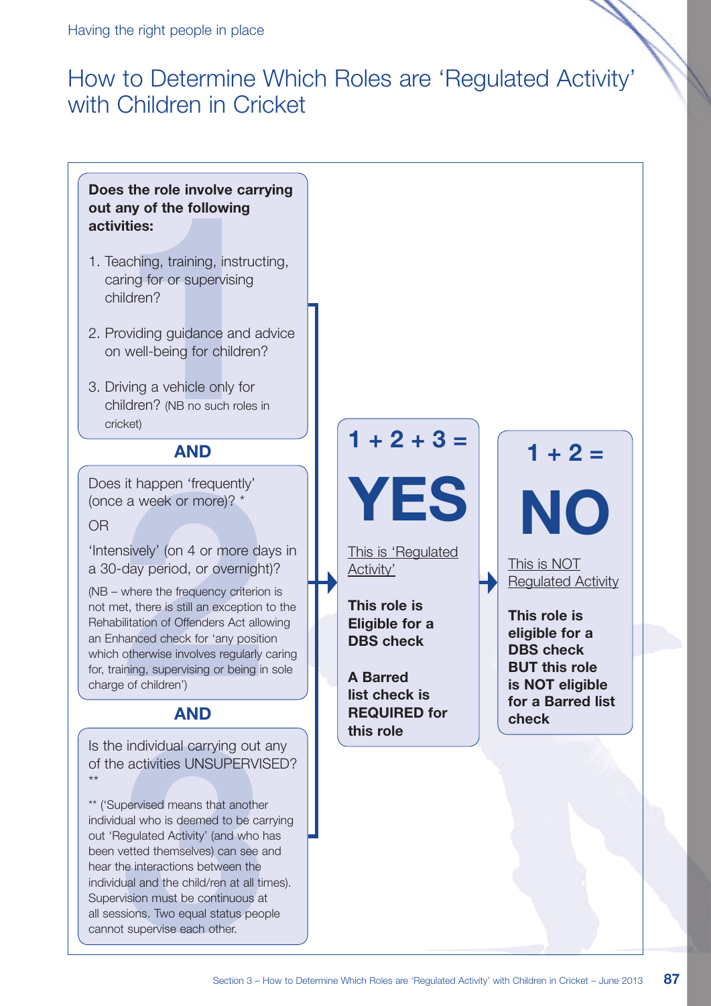# How to Determine Which Roles are 'Regulated Activity' with Children in Cricket

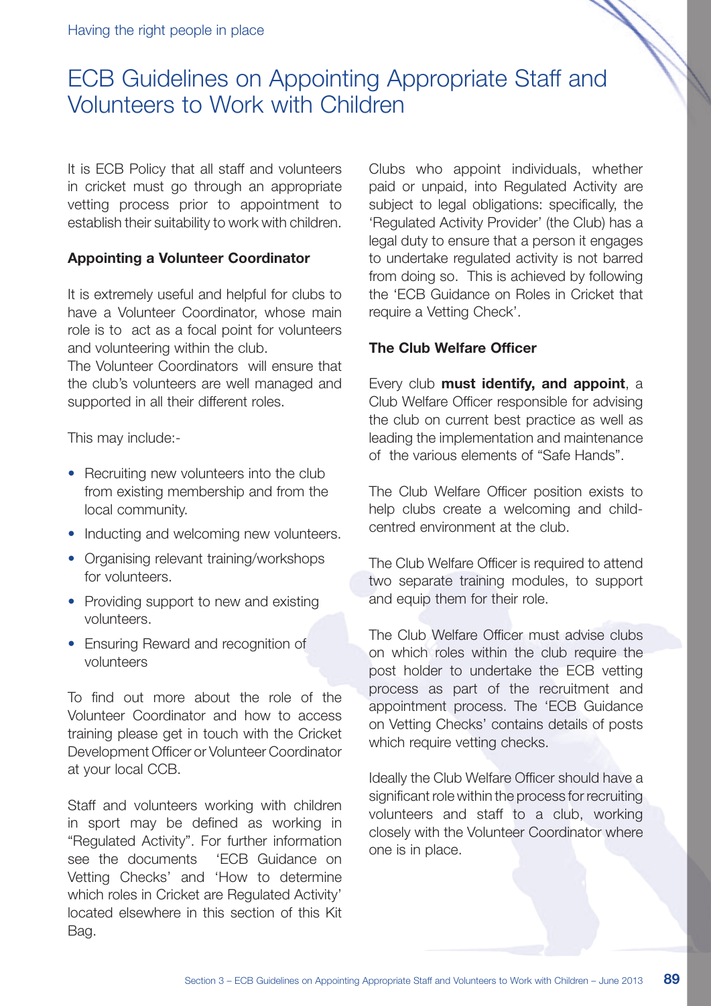# ECB Guidelines on Appointing Appropriate Staff and Volunteers to Work with Children

It is ECB Policy that all staff and volunteers in cricket must go through an appropriate vetting process prior to appointment to establish their suitability to work with children.

### **Appointing a Volunteer Coordinator**

It is extremely useful and helpful for clubs to have a Volunteer Coordinator, whose main role is to act as a focal point for volunteers and volunteering within the club.

The Volunteer Coordinators will ensure that the club's volunteers are well managed and supported in all their different roles.

This may include:-

- Recruiting new volunteers into the club from existing membership and from the local community.
- Inducting and welcoming new volunteers.
- Organising relevant training/workshops for volunteers.
- Providing support to new and existing volunteers.
- Ensuring Reward and recognition of volunteers

To find out more about the role of the Volunteer Coordinator and how to access training please get in touch with the Cricket Development Officer or Volunteer Coordinator at your local CCB.

Staff and volunteers working with children in sport may be defined as working in "Regulated Activity". For further information see the documents 'ECB Guidance on Vetting Checks' and 'How to determine which roles in Cricket are Regulated Activity' located elsewhere in this section of this Kit Bag.

Clubs who appoint individuals, whether paid or unpaid, into Regulated Activity are subject to legal obligations: specifically, the 'Regulated Activity Provider' (the Club) has a legal duty to ensure that a person it engages to undertake regulated activity is not barred from doing so. This is achieved by following the 'ECB Guidance on Roles in Cricket that require a Vetting Check'.

### **The Club Welfare Officer**

Every club **must identify, and appoint**, a Club Welfare Officer responsible for advising the club on current best practice as well as leading the implementation and maintenance of the various elements of "Safe Hands".

The Club Welfare Officer position exists to help clubs create a welcoming and childcentred environment at the club.

The Club Welfare Officer is required to attend two separate training modules, to support and equip them for their role.

The Club Welfare Officer must advise clubs on which roles within the club require the post holder to undertake the ECB vetting process as part of the recruitment and appointment process. The 'ECB Guidance on Vetting Checks' contains details of posts which require vetting checks.

Ideally the Club Welfare Officer should have a significant role within the process for recruiting volunteers and staff to a club, working closely with the Volunteer Coordinator where one is in place.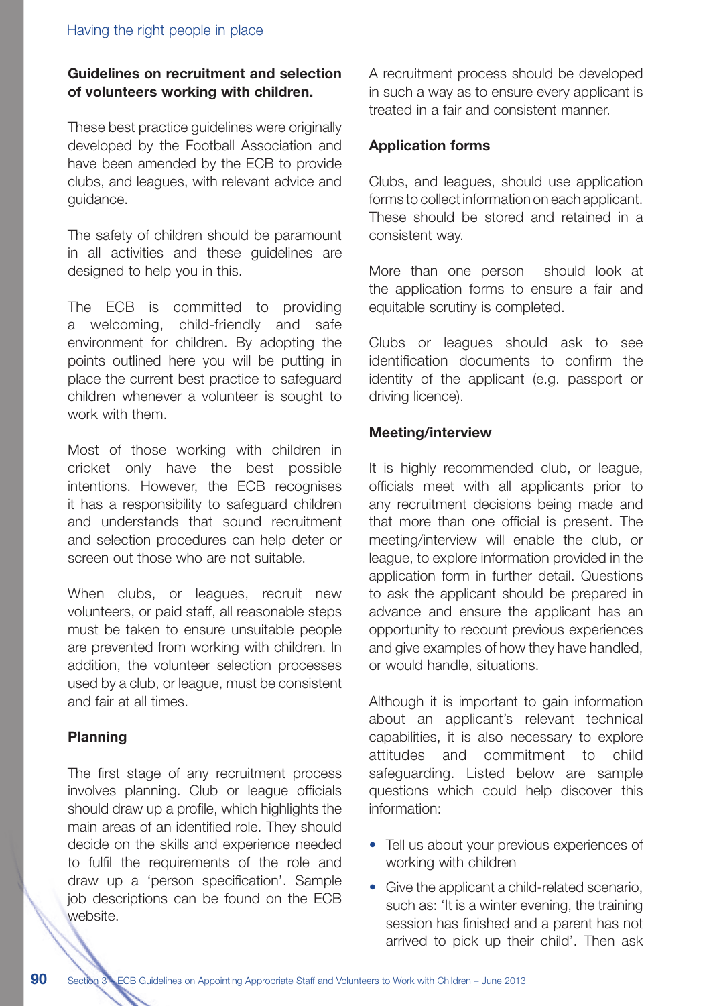# **Guidelines on recruitment and selection of volunteers working with children.**

These best practice guidelines were originally developed by the Football Association and have been amended by the ECB to provide clubs, and leagues, with relevant advice and guidance.

The safety of children should be paramount in all activities and these guidelines are designed to help you in this.

The ECB is committed to providing a welcoming, child-friendly and safe environment for children. By adopting the points outlined here you will be putting in place the current best practice to safeguard children whenever a volunteer is sought to work with them.

Most of those working with children in cricket only have the best possible intentions. However, the ECB recognises it has a responsibility to safeguard children and understands that sound recruitment and selection procedures can help deter or screen out those who are not suitable.

When clubs, or leagues, recruit new volunteers, or paid staff, all reasonable steps must be taken to ensure unsuitable people are prevented from working with children. In addition, the volunteer selection processes used by a club, or league, must be consistent and fair at all times.

### **Planning**

The first stage of any recruitment process involves planning. Club or league officials should draw up a profile, which highlights the main areas of an identified role. They should decide on the skills and experience needed to fulfil the requirements of the role and draw up a 'person specification'. Sample job descriptions can be found on the ECB website.

A recruitment process should be developed in such a way as to ensure every applicant is treated in a fair and consistent manner.

### **Application forms**

Clubs, and leagues, should use application forms to collect information on each applicant. These should be stored and retained in a consistent way.

More than one person should look at the application forms to ensure a fair and equitable scrutiny is completed.

Clubs or leagues should ask to see identification documents to confirm the identity of the applicant (e.g. passport or driving licence).

### **Meeting/interview**

It is highly recommended club, or league, officials meet with all applicants prior to any recruitment decisions being made and that more than one official is present. The meeting/interview will enable the club, or league, to explore information provided in the application form in further detail. Questions to ask the applicant should be prepared in advance and ensure the applicant has an opportunity to recount previous experiences and give examples of how they have handled, or would handle, situations.

Although it is important to gain information about an applicant's relevant technical capabilities, it is also necessary to explore attitudes and commitment to child safeguarding. Listed below are sample questions which could help discover this information:

- Tell us about your previous experiences of working with children
- Give the applicant a child-related scenario, such as: 'It is a winter evening, the training session has finished and a parent has not arrived to pick up their child'. Then ask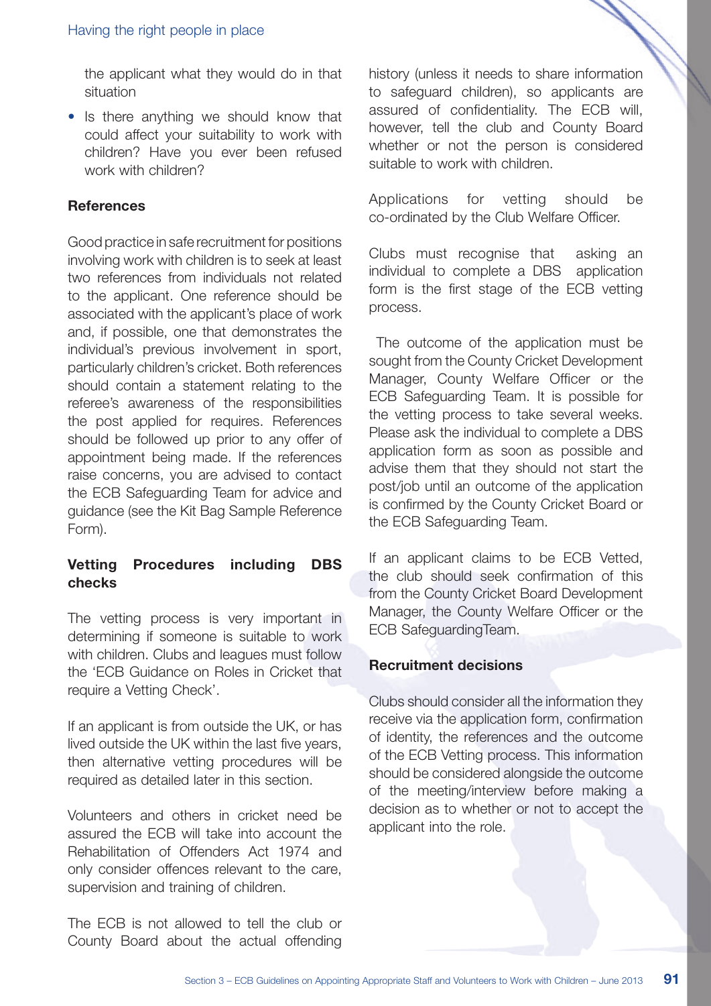the applicant what they would do in that situation

• Is there anything we should know that could affect your suitability to work with children? Have you ever been refused work with children?

### **References**

Good practice in safe recruitment for positions involving work with children is to seek at least two references from individuals not related to the applicant. One reference should be associated with the applicant's place of work and, if possible, one that demonstrates the individual's previous involvement in sport, particularly children's cricket. Both references should contain a statement relating to the referee's awareness of the responsibilities the post applied for requires. References should be followed up prior to any offer of appointment being made. If the references raise concerns, you are advised to contact the ECB Safeguarding Team for advice and guidance (see the Kit Bag Sample Reference Form).

## **Vetting Procedures including DBS checks**

The vetting process is very important in determining if someone is suitable to work with children. Clubs and leagues must follow the 'ECB Guidance on Roles in Cricket that require a Vetting Check'.

If an applicant is from outside the UK, or has lived outside the UK within the last five years, then alternative vetting procedures will be required as detailed later in this section.

Volunteers and others in cricket need be assured the ECB will take into account the Rehabilitation of Offenders Act 1974 and only consider offences relevant to the care, supervision and training of children.

The ECB is not allowed to tell the club or County Board about the actual offending

history (unless it needs to share information to safeguard children), so applicants are assured of confidentiality. The ECB will, however, tell the club and County Board whether or not the person is considered suitable to work with children.

Applications for vetting should be co-ordinated by the Club Welfare Officer.

Clubs must recognise that asking an individual to complete a DBS application form is the first stage of the ECB vetting process.

 The outcome of the application must be sought from the County Cricket Development Manager, County Welfare Officer or the ECB Safeguarding Team. It is possible for the vetting process to take several weeks. Please ask the individual to complete a DBS application form as soon as possible and advise them that they should not start the post/job until an outcome of the application is confirmed by the County Cricket Board or the ECB Safeguarding Team.

If an applicant claims to be ECB Vetted, the club should seek confirmation of this from the County Cricket Board Development Manager, the County Welfare Officer or the ECB SafeguardingTeam.

### **Recruitment decisions**

Clubs should consider all the information they receive via the application form, confirmation of identity, the references and the outcome of the ECB Vetting process. This information should be considered alongside the outcome of the meeting/interview before making a decision as to whether or not to accept the applicant into the role.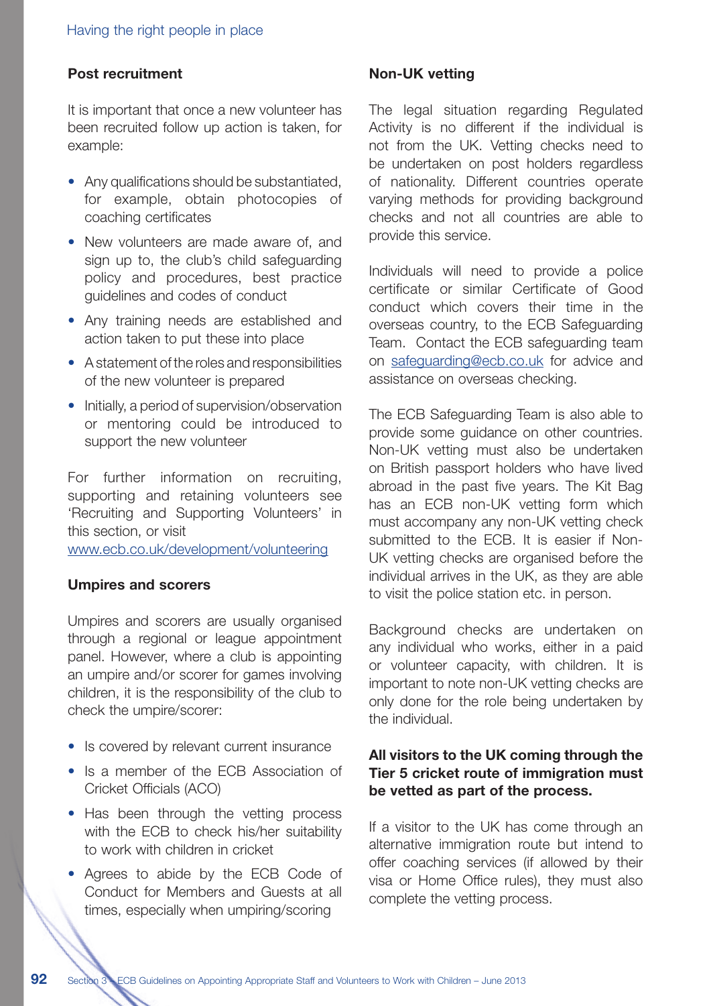# **Post recruitment**

It is important that once a new volunteer has been recruited follow up action is taken, for example:

- Any qualifications should be substantiated, for example, obtain photocopies of coaching certificates
- New volunteers are made aware of, and sign up to, the club's child safeguarding policy and procedures, best practice guidelines and codes of conduct
- Any training needs are established and action taken to put these into place
- A statement of the roles and responsibilities of the new volunteer is prepared
- Initially, a period of supervision/observation or mentoring could be introduced to support the new volunteer

For further information on recruiting, supporting and retaining volunteers see 'Recruiting and Supporting Volunteers' in this section, or visit

www.ecb.co.uk/development/volunteering

### **Umpires and scorers**

Umpires and scorers are usually organised through a regional or league appointment panel. However, where a club is appointing an umpire and/or scorer for games involving children, it is the responsibility of the club to check the umpire/scorer:

- Is covered by relevant current insurance
- Is a member of the ECB Association of Cricket Officials (ACO)
- Has been through the vetting process with the ECB to check his/her suitability to work with children in cricket
- Agrees to abide by the ECB Code of Conduct for Members and Guests at all times, especially when umpiring/scoring

### **Non-UK vetting**

The legal situation regarding Regulated Activity is no different if the individual is not from the UK. Vetting checks need to be undertaken on post holders regardless of nationality. Different countries operate varying methods for providing background checks and not all countries are able to provide this service.

Individuals will need to provide a police certificate or similar Certificate of Good conduct which covers their time in the overseas country, to the ECB Safeguarding Team. Contact the ECB safeguarding team on safeguarding@ecb.co.uk for advice and assistance on overseas checking.

The ECB Safeguarding Team is also able to provide some guidance on other countries. Non-UK vetting must also be undertaken on British passport holders who have lived abroad in the past five years. The Kit Bag has an ECB non-UK vetting form which must accompany any non-UK vetting check submitted to the ECB. It is easier if Non-UK vetting checks are organised before the individual arrives in the UK, as they are able to visit the police station etc. in person.

Background checks are undertaken on any individual who works, either in a paid or volunteer capacity, with children. It is important to note non-UK vetting checks are only done for the role being undertaken by the individual.

# **All visitors to the UK coming through the Tier 5 cricket route of immigration must be vetted as part of the process.**

If a visitor to the UK has come through an alternative immigration route but intend to offer coaching services (if allowed by their visa or Home Office rules), they must also complete the vetting process.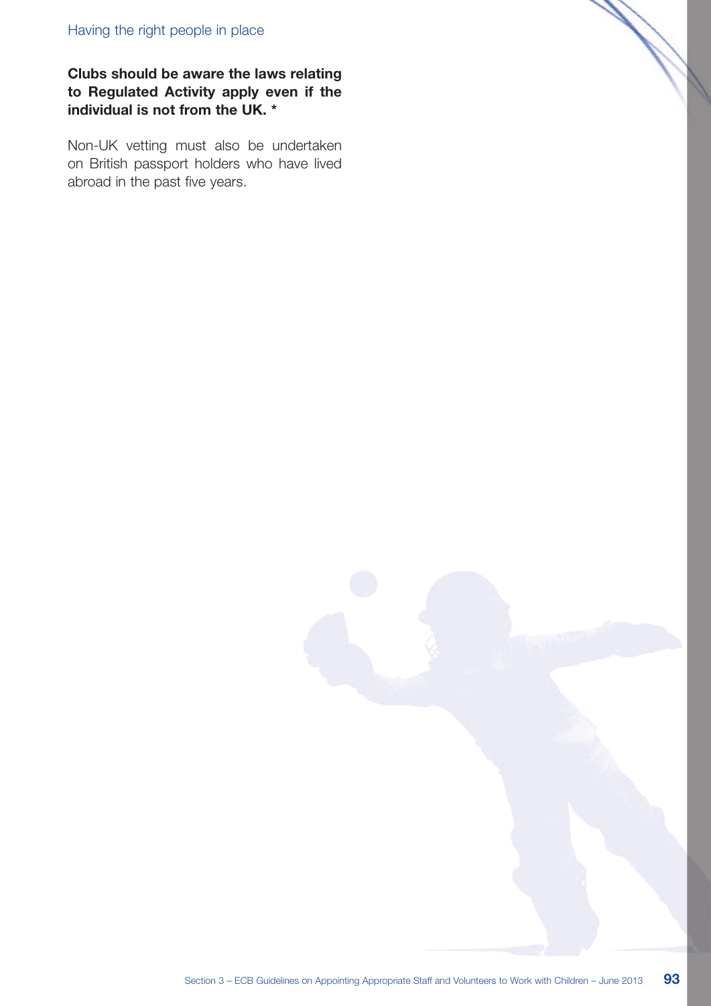# Having the right people in place

# **Clubs should be aware the laws relating to Regulated Activity apply even if the individual is not from the UK. \***

Non-UK vetting must also be undertaken on British passport holders who have lived abroad in the past five years.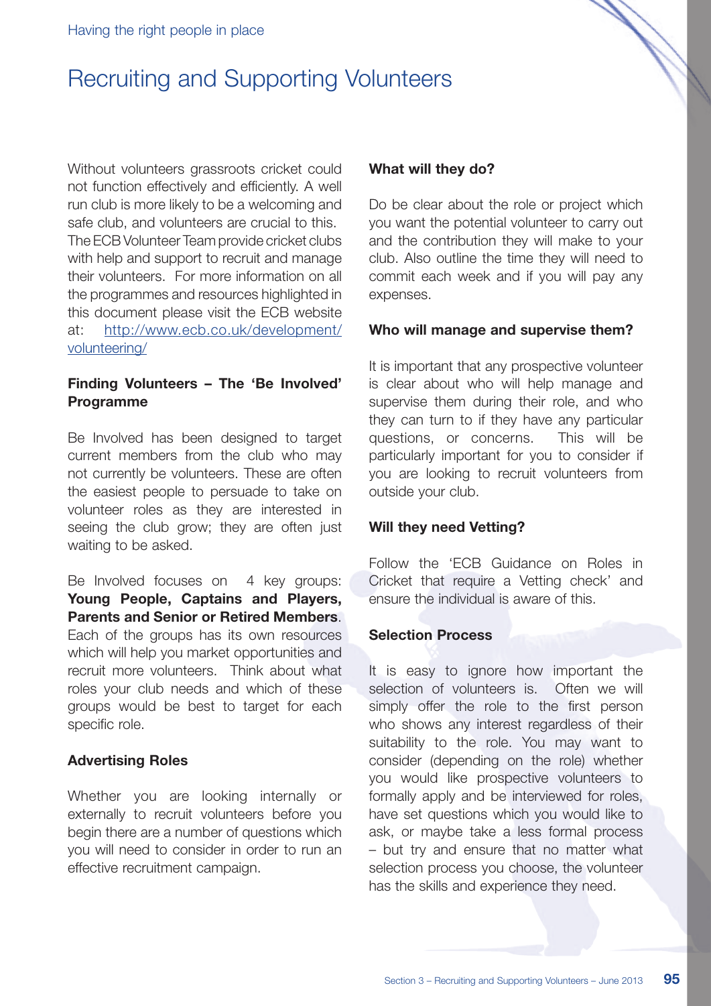# Recruiting and Supporting Volunteers

Without volunteers grassroots cricket could not function effectively and efficiently. A well run club is more likely to be a welcoming and safe club, and volunteers are crucial to this. The ECB Volunteer Team provide cricket clubs with help and support to recruit and manage their volunteers. For more information on all the programmes and resources highlighted in this document please visit the ECB website at: http://www.ecb.co.uk/development/ volunteering/

### **Finding Volunteers – The 'Be Involved' Programme**

Be Involved has been designed to target current members from the club who may not currently be volunteers. These are often the easiest people to persuade to take on volunteer roles as they are interested in seeing the club grow; they are often just waiting to be asked.

Be Involved focuses on 4 key groups: **Young People, Captains and Players, Parents and Senior or Retired Members**. Each of the groups has its own resources which will help you market opportunities and recruit more volunteers. Think about what roles your club needs and which of these groups would be best to target for each specific role.

### **Advertising Roles**

Whether you are looking internally or externally to recruit volunteers before you begin there are a number of questions which you will need to consider in order to run an effective recruitment campaign.

### **What will they do?**

Do be clear about the role or project which you want the potential volunteer to carry out and the contribution they will make to your club. Also outline the time they will need to commit each week and if you will pay any expenses.

### **Who will manage and supervise them?**

It is important that any prospective volunteer is clear about who will help manage and supervise them during their role, and who they can turn to if they have any particular questions, or concerns. This will be particularly important for you to consider if you are looking to recruit volunteers from outside your club.

### **Will they need Vetting?**

Follow the 'ECB Guidance on Roles in Cricket that require a Vetting check' and ensure the individual is aware of this.

### **Selection Process**

It is easy to ignore how important the selection of volunteers is. Often we will simply offer the role to the first person who shows any interest regardless of their suitability to the role. You may want to consider (depending on the role) whether you would like prospective volunteers to formally apply and be interviewed for roles. have set questions which you would like to ask, or maybe take a less formal process – but try and ensure that no matter what selection process you choose, the volunteer has the skills and experience they need.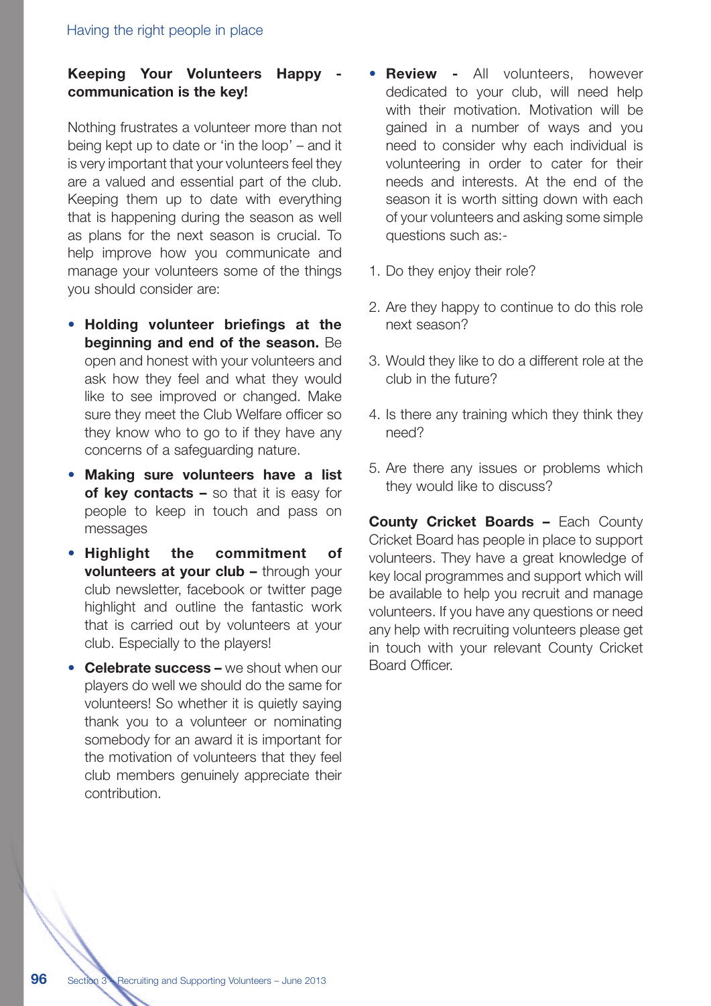# **Keeping Your Volunteers Happy communication is the key!**

Nothing frustrates a volunteer more than not being kept up to date or 'in the loop' – and it is very important that your volunteers feel they are a valued and essential part of the club. Keeping them up to date with everything that is happening during the season as well as plans for the next season is crucial. To help improve how you communicate and manage your volunteers some of the things you should consider are:

- **Holding volunteer briefings at the beginning and end of the season.** Be open and honest with your volunteers and ask how they feel and what they would like to see improved or changed. Make sure they meet the Club Welfare officer so they know who to go to if they have any concerns of a safeguarding nature.
- **Making sure volunteers have a list of key contacts –** so that it is easy for people to keep in touch and pass on messages
- **Highlight the commitment of volunteers at your club –** through your club newsletter, facebook or twitter page highlight and outline the fantastic work that is carried out by volunteers at your club. Especially to the players!
- **Celebrate success** we shout when our players do well we should do the same for volunteers! So whether it is quietly saying thank you to a volunteer or nominating somebody for an award it is important for the motivation of volunteers that they feel club members genuinely appreciate their contribution.
- **Review -** All volunteers, however dedicated to your club, will need help with their motivation. Motivation will be gained in a number of ways and you need to consider why each individual is volunteering in order to cater for their needs and interests. At the end of the season it is worth sitting down with each of your volunteers and asking some simple questions such as:-
- 1. Do they enjoy their role?
- 2. Are they happy to continue to do this role next season?
- 3. Would they like to do a different role at the club in the future?
- 4. Is there any training which they think they need?
- 5. Are there any issues or problems which they would like to discuss?

**County Cricket Boards - Each County** Cricket Board has people in place to support volunteers. They have a great knowledge of key local programmes and support which will be available to help you recruit and manage volunteers. If you have any questions or need any help with recruiting volunteers please get in touch with your relevant County Cricket Board Officer.

Section 3 – Recruiting and Supporting Volunteers – June 2013

**96**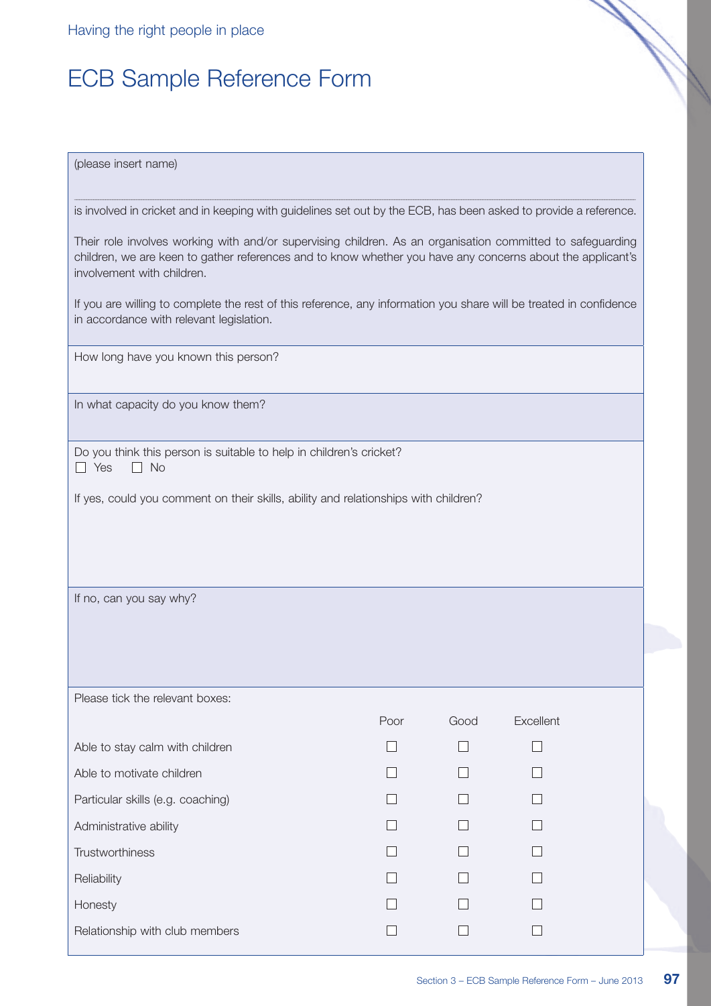# ECB Sample Reference Form

| (please insert name)                                                                                                                                                                                                                                   |              |      |           |  |
|--------------------------------------------------------------------------------------------------------------------------------------------------------------------------------------------------------------------------------------------------------|--------------|------|-----------|--|
|                                                                                                                                                                                                                                                        |              |      |           |  |
| is involved in cricket and in keeping with guidelines set out by the ECB, has been asked to provide a reference.                                                                                                                                       |              |      |           |  |
| Their role involves working with and/or supervising children. As an organisation committed to safeguarding<br>children, we are keen to gather references and to know whether you have any concerns about the applicant's<br>involvement with children. |              |      |           |  |
| If you are willing to complete the rest of this reference, any information you share will be treated in confidence<br>in accordance with relevant legislation.                                                                                         |              |      |           |  |
| How long have you known this person?                                                                                                                                                                                                                   |              |      |           |  |
| In what capacity do you know them?                                                                                                                                                                                                                     |              |      |           |  |
| Do you think this person is suitable to help in children's cricket?<br>$\Box$ Yes<br><b>No</b><br>$\mathsf{L}$                                                                                                                                         |              |      |           |  |
| If yes, could you comment on their skills, ability and relationships with children?                                                                                                                                                                    |              |      |           |  |
|                                                                                                                                                                                                                                                        |              |      |           |  |
|                                                                                                                                                                                                                                                        |              |      |           |  |
| If no, can you say why?                                                                                                                                                                                                                                |              |      |           |  |
|                                                                                                                                                                                                                                                        |              |      |           |  |
|                                                                                                                                                                                                                                                        |              |      |           |  |
| Please tick the relevant boxes:                                                                                                                                                                                                                        |              |      |           |  |
|                                                                                                                                                                                                                                                        | Poor         | Good | Excellent |  |
| Able to stay calm with children                                                                                                                                                                                                                        | $\mathbf{I}$ |      |           |  |
| Able to motivate children                                                                                                                                                                                                                              |              |      |           |  |
| Particular skills (e.g. coaching)                                                                                                                                                                                                                      |              |      |           |  |
| Administrative ability                                                                                                                                                                                                                                 |              |      |           |  |
| Trustworthiness                                                                                                                                                                                                                                        |              |      |           |  |
| Reliability                                                                                                                                                                                                                                            |              |      |           |  |
| Honesty                                                                                                                                                                                                                                                |              |      |           |  |
| Relationship with club members                                                                                                                                                                                                                         |              |      |           |  |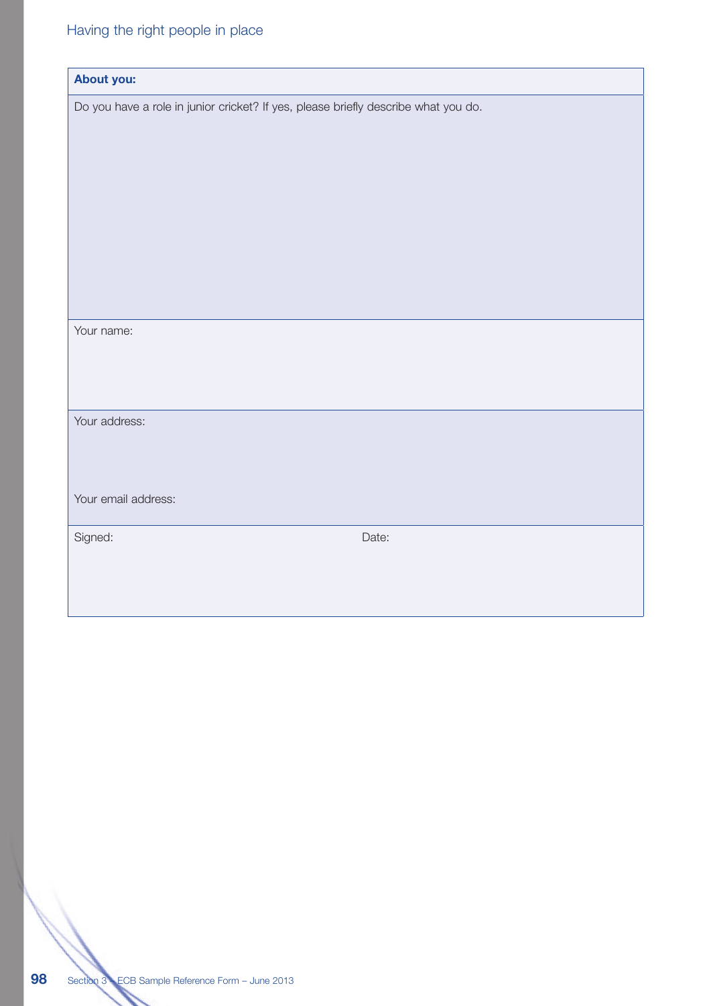## Having the right people in place

| <b>About you:</b>                                                                  |       |
|------------------------------------------------------------------------------------|-------|
| Do you have a role in junior cricket? If yes, please briefly describe what you do. |       |
| Your name:                                                                         |       |
| Your address:                                                                      |       |
| Your email address:                                                                |       |
| Signed:                                                                            | Date: |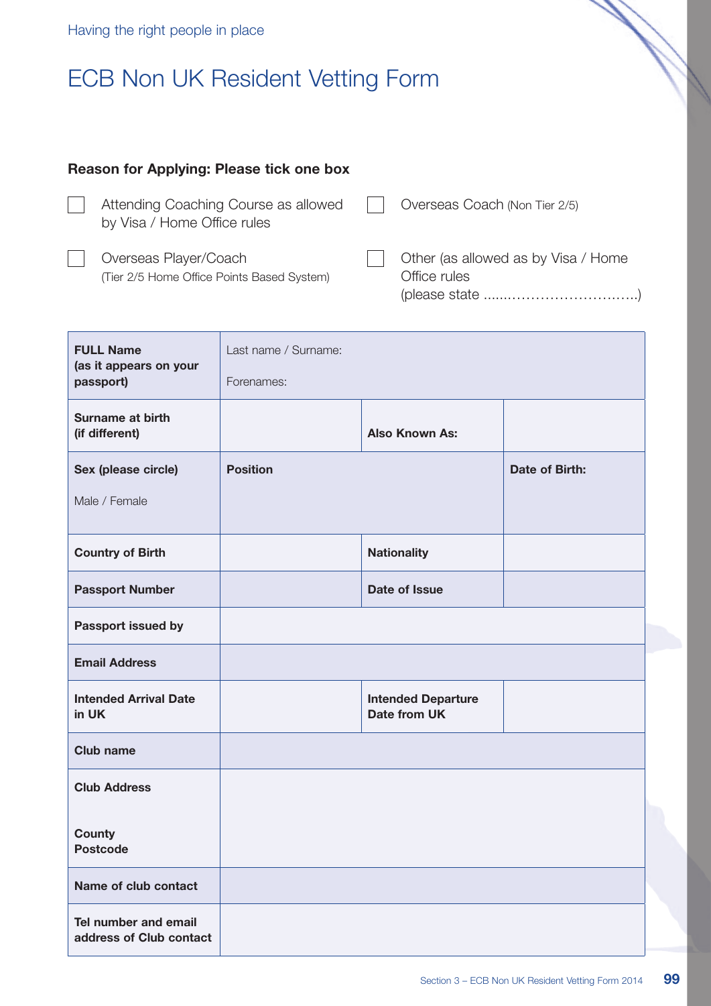# ECB Non UK Resident Vetting Form

## **Reason for Applying: Please tick one box**

| Attending Coaching Course as allowed<br>by Visa / Home Office rules | Overseas Coach (Non Tier 2/5)       |
|---------------------------------------------------------------------|-------------------------------------|
| Overseas Player/Coach                                               | Other (as allowed as by Visa / Home |

(Tier 2/5 Home Office Points Based System)

| Other (as allowed as by Visa / Home |  |
|-------------------------------------|--|
| Office rules                        |  |
|                                     |  |

| <b>FULL Name</b><br>(as it appears on your      | Last name / Surname: |                                           |                |  |
|-------------------------------------------------|----------------------|-------------------------------------------|----------------|--|
| passport)                                       | Forenames:           |                                           |                |  |
| Surname at birth<br>(if different)              |                      | <b>Also Known As:</b>                     |                |  |
| Sex (please circle)                             | <b>Position</b>      |                                           | Date of Birth: |  |
| Male / Female                                   |                      |                                           |                |  |
| <b>Country of Birth</b>                         |                      | <b>Nationality</b>                        |                |  |
| <b>Passport Number</b>                          |                      | Date of Issue                             |                |  |
| Passport issued by                              |                      |                                           |                |  |
| <b>Email Address</b>                            |                      |                                           |                |  |
| <b>Intended Arrival Date</b><br>in UK           |                      | <b>Intended Departure</b><br>Date from UK |                |  |
| <b>Club name</b>                                |                      |                                           |                |  |
| <b>Club Address</b>                             |                      |                                           |                |  |
| <b>County</b><br><b>Postcode</b>                |                      |                                           |                |  |
| Name of club contact                            |                      |                                           |                |  |
| Tel number and email<br>address of Club contact |                      |                                           |                |  |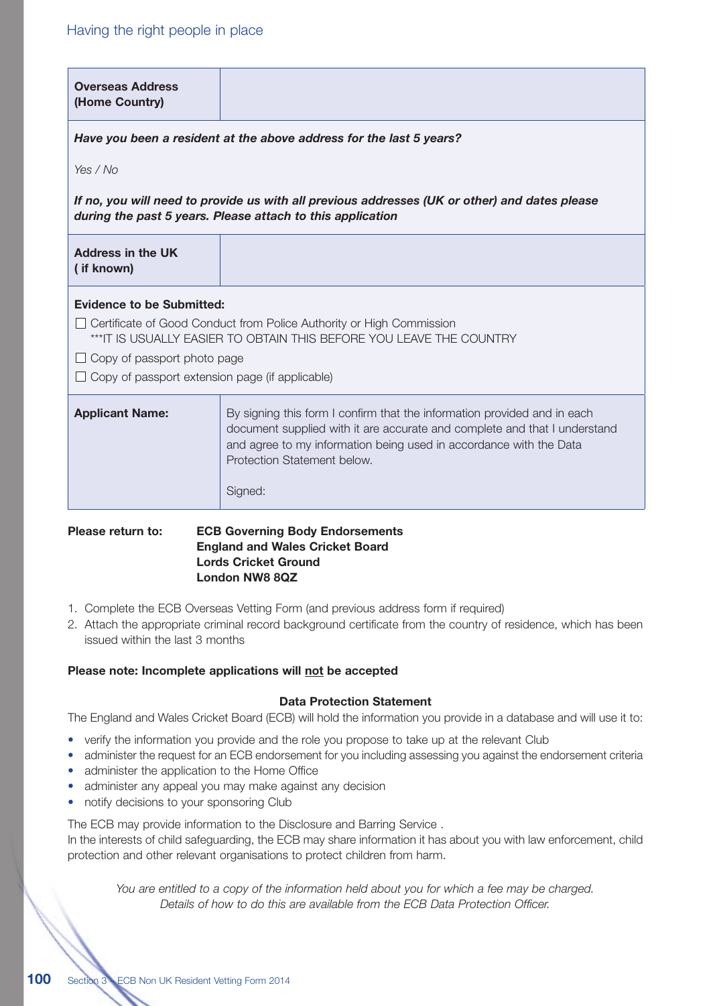| <b>Overseas Address</b><br>(Home Country)                                                                                                                                                                                                                                       |                                                                                                                                                                                                                                                                       |  |  |
|---------------------------------------------------------------------------------------------------------------------------------------------------------------------------------------------------------------------------------------------------------------------------------|-----------------------------------------------------------------------------------------------------------------------------------------------------------------------------------------------------------------------------------------------------------------------|--|--|
| Have you been a resident at the above address for the last 5 years?                                                                                                                                                                                                             |                                                                                                                                                                                                                                                                       |  |  |
| Yes / No                                                                                                                                                                                                                                                                        |                                                                                                                                                                                                                                                                       |  |  |
| If no, you will need to provide us with all previous addresses (UK or other) and dates please<br>during the past 5 years. Please attach to this application                                                                                                                     |                                                                                                                                                                                                                                                                       |  |  |
| <b>Address in the UK</b><br>(if known)                                                                                                                                                                                                                                          |                                                                                                                                                                                                                                                                       |  |  |
| <b>Evidence to be Submitted:</b><br>Certificate of Good Conduct from Police Authority or High Commission<br>***IT IS USUALLY EASIER TO OBTAIN THIS BEFORE YOU LEAVE THE COUNTRY<br>$\Box$ Copy of passport photo page<br>$\Box$ Copy of passport extension page (if applicable) |                                                                                                                                                                                                                                                                       |  |  |
| <b>Applicant Name:</b>                                                                                                                                                                                                                                                          | By signing this form I confirm that the information provided and in each<br>document supplied with it are accurate and complete and that I understand<br>and agree to my information being used in accordance with the Data<br>Protection Statement below.<br>Signed: |  |  |
| Please return to:<br><b>ECB Governing Body Endorsements</b><br><b>England and Wales Cricket Board</b>                                                                                                                                                                           |                                                                                                                                                                                                                                                                       |  |  |

# **Lords Cricket Ground London NW8 8QZ**

- 1. Complete the ECB Overseas Vetting Form (and previous address form if required)
- 2. Attach the appropriate criminal record background certificate from the country of residence, which has been issued within the last 3 months

## **Please note: Incomplete applications will not be accepted**

## **Data Protection Statement**

The England and Wales Cricket Board (ECB) will hold the information you provide in a database and will use it to:

- verify the information you provide and the role you propose to take up at the relevant Club
- administer the request for an ECB endorsement for you including assessing you against the endorsement criteria
- administer the application to the Home Office
- administer any appeal you may make against any decision
- notify decisions to your sponsoring Club

The ECB may provide information to the Disclosure and Barring Service .

In the interests of child safeguarding, the ECB may share information it has about you with law enforcement, child protection and other relevant organisations to protect children from harm.

*You are entitled to a copy of the information held about you for which a fee may be charged. Details of how to do this are available from the ECB Data Protection Officer.*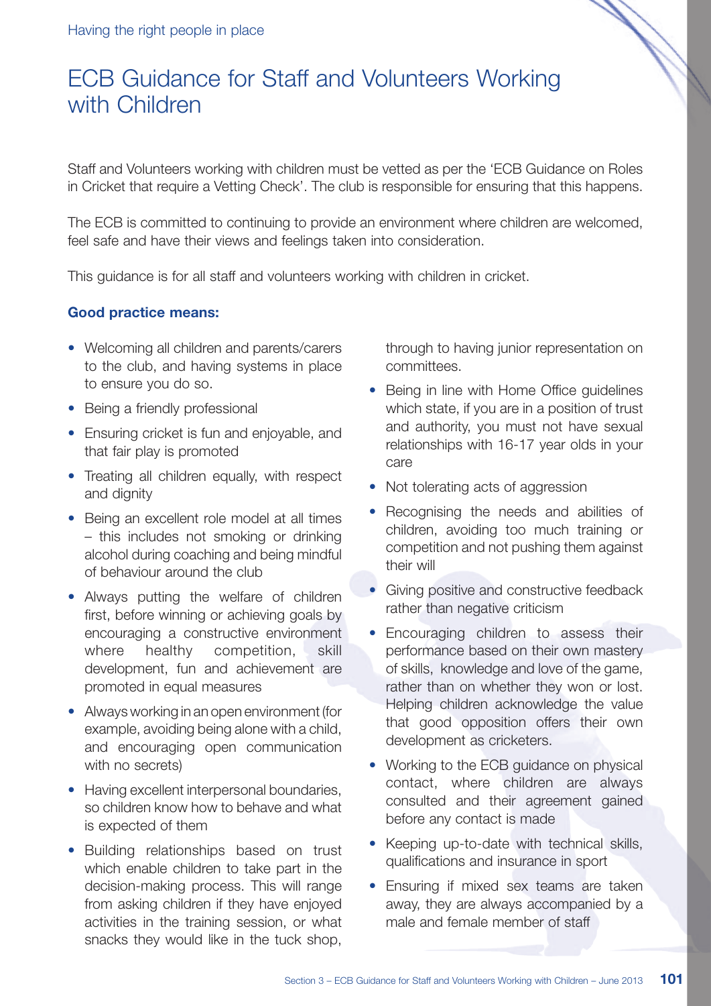# ECB Guidance for Staff and Volunteers Working with Children

Staff and Volunteers working with children must be vetted as per the 'ECB Guidance on Roles in Cricket that require a Vetting Check'. The club is responsible for ensuring that this happens.

The ECB is committed to continuing to provide an environment where children are welcomed, feel safe and have their views and feelings taken into consideration.

This guidance is for all staff and volunteers working with children in cricket.

## **Good practice means:**

- Welcoming all children and parents/carers to the club, and having systems in place to ensure you do so.
- Being a friendly professional
- Ensuring cricket is fun and enjoyable, and that fair play is promoted
- Treating all children equally, with respect and dignity
- Being an excellent role model at all times – this includes not smoking or drinking alcohol during coaching and being mindful of behaviour around the club
- Always putting the welfare of children first, before winning or achieving goals by encouraging a constructive environment where healthy competition, skill development, fun and achievement are promoted in equal measures
- Always working in an open environment (for example, avoiding being alone with a child, and encouraging open communication with no secrets)
- Having excellent interpersonal boundaries, so children know how to behave and what is expected of them
- Building relationships based on trust which enable children to take part in the decision-making process. This will range from asking children if they have enjoyed activities in the training session, or what snacks they would like in the tuck shop,

through to having junior representation on committees.

- Being in line with Home Office guidelines which state, if you are in a position of trust and authority, you must not have sexual relationships with 16-17 year olds in your care
- Not tolerating acts of aggression
- Recognising the needs and abilities of children, avoiding too much training or competition and not pushing them against their will
- Giving positive and constructive feedback rather than negative criticism
- Encouraging children to assess their performance based on their own mastery of skills, knowledge and love of the game, rather than on whether they won or lost. Helping children acknowledge the value that good opposition offers their own development as cricketers.
- Working to the ECB guidance on physical contact, where children are always consulted and their agreement gained before any contact is made
- Keeping up-to-date with technical skills, qualifications and insurance in sport
- Ensuring if mixed sex teams are taken away, they are always accompanied by a male and female member of staff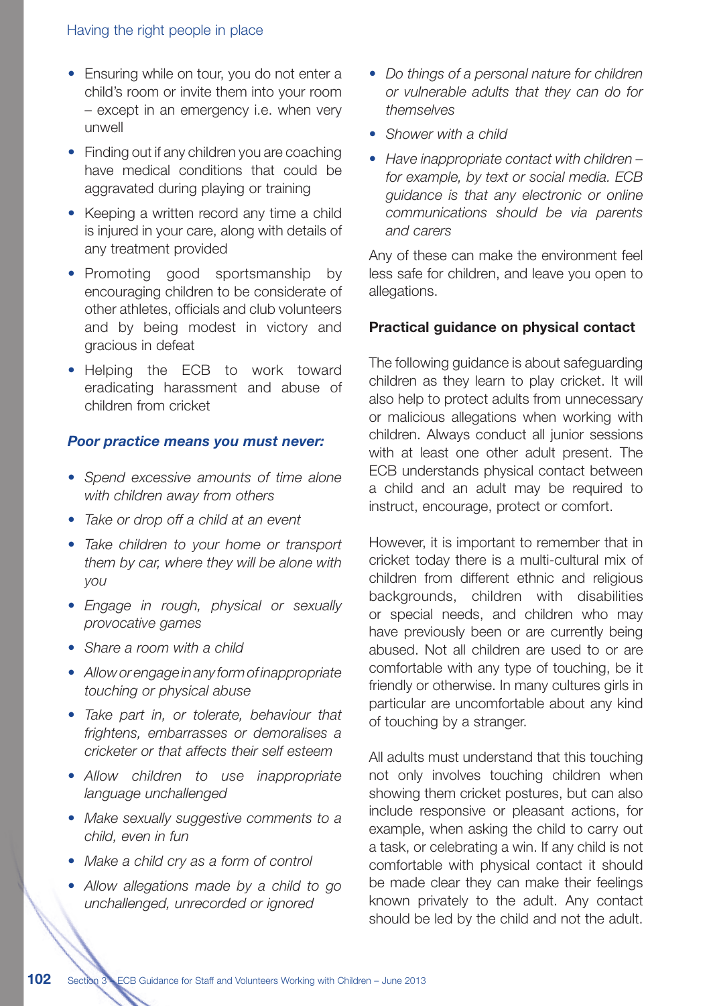### Having the right people in place

- Ensuring while on tour, you do not enter a child's room or invite them into your room – except in an emergency i.e. when very unwell
- Finding out if any children you are coaching have medical conditions that could be aggravated during playing or training
- Keeping a written record any time a child is injured in your care, along with details of any treatment provided
- Promoting good sportsmanship by encouraging children to be considerate of other athletes, officials and club volunteers and by being modest in victory and gracious in defeat
- Helping the ECB to work toward eradicating harassment and abuse of children from cricket

#### *Poor practice means you must never:*

- *Spend excessive amounts of time alone with children away from others*
- *Take or drop off a child at an event*
- *Take children to your home or transport them by car, where they will be alone with you*
- *Engage in rough, physical or sexually provocative games*
- *Share a room with a child*
- *Allow or engage in any form of inappropriate touching or physical abuse*
- *Take part in, or tolerate, behaviour that frightens, embarrasses or demoralises a cricketer or that affects their self esteem*
- *Allow children to use inappropriate language unchallenged*
- *Make sexually suggestive comments to a child, even in fun*
- *Make a child cry as a form of control*
- *Allow allegations made by a child to go unchallenged, unrecorded or ignored*
- *Do things of a personal nature for children or vulnerable adults that they can do for themselves*
- *Shower with a child*
- *Have inappropriate contact with children for example, by text or social media. ECB guidance is that any electronic or online communications should be via parents and carers*

Any of these can make the environment feel less safe for children, and leave you open to allegations.

#### **Practical guidance on physical contact**

The following guidance is about safeguarding children as they learn to play cricket. It will also help to protect adults from unnecessary or malicious allegations when working with children. Always conduct all junior sessions with at least one other adult present. The ECB understands physical contact between a child and an adult may be required to instruct, encourage, protect or comfort.

However, it is important to remember that in cricket today there is a multi-cultural mix of children from different ethnic and religious backgrounds, children with disabilities or special needs, and children who may have previously been or are currently being abused. Not all children are used to or are comfortable with any type of touching, be it friendly or otherwise. In many cultures girls in particular are uncomfortable about any kind of touching by a stranger.

All adults must understand that this touching not only involves touching children when showing them cricket postures, but can also include responsive or pleasant actions, for example, when asking the child to carry out a task, or celebrating a win. If any child is not comfortable with physical contact it should be made clear they can make their feelings known privately to the adult. Any contact should be led by the child and not the adult.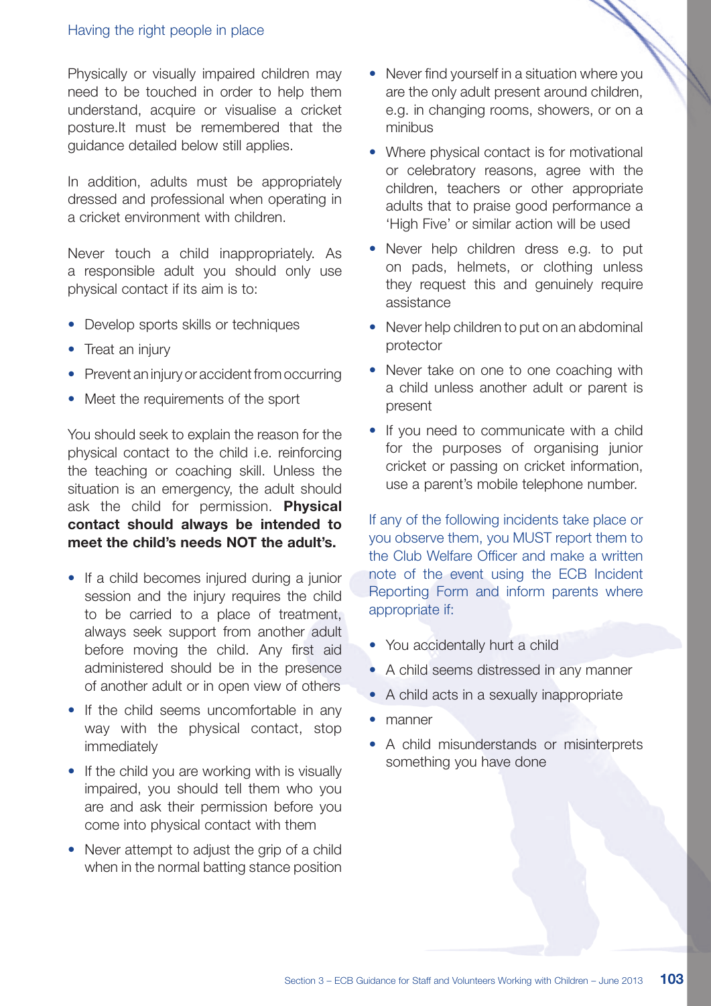### Having the right people in place

Physically or visually impaired children may need to be touched in order to help them understand, acquire or visualise a cricket posture.It must be remembered that the guidance detailed below still applies.

In addition, adults must be appropriately dressed and professional when operating in a cricket environment with children.

Never touch a child inappropriately. As a responsible adult you should only use physical contact if its aim is to:

- Develop sports skills or techniques
- Treat an injury
- Prevent an injury or accident from occurring
- Meet the requirements of the sport

You should seek to explain the reason for the physical contact to the child i.e. reinforcing the teaching or coaching skill. Unless the situation is an emergency, the adult should ask the child for permission. **Physical contact should always be intended to meet the child's needs NOT the adult's.**

- If a child becomes injured during a junior session and the injury requires the child to be carried to a place of treatment, always seek support from another adult before moving the child. Any first aid administered should be in the presence of another adult or in open view of others
- If the child seems uncomfortable in any way with the physical contact, stop immediately
- If the child you are working with is visually impaired, you should tell them who you are and ask their permission before you come into physical contact with them
- Never attempt to adjust the grip of a child when in the normal batting stance position
- Never find yourself in a situation where you are the only adult present around children, e.g. in changing rooms, showers, or on a minibus
- Where physical contact is for motivational or celebratory reasons, agree with the children, teachers or other appropriate adults that to praise good performance a 'High Five' or similar action will be used
- Never help children dress e.g. to put on pads, helmets, or clothing unless they request this and genuinely require assistance
- Never help children to put on an abdominal protector
- Never take on one to one coaching with a child unless another adult or parent is present
- If you need to communicate with a child for the purposes of organising junior cricket or passing on cricket information, use a parent's mobile telephone number.

If any of the following incidents take place or you observe them, you MUST report them to the Club Welfare Officer and make a written note of the event using the ECB Incident Reporting Form and inform parents where appropriate if:

- You accidentally hurt a child
- A child seems distressed in any manner
- A child acts in a sexually inappropriate
- manner
- A child misunderstands or misinterprets something you have done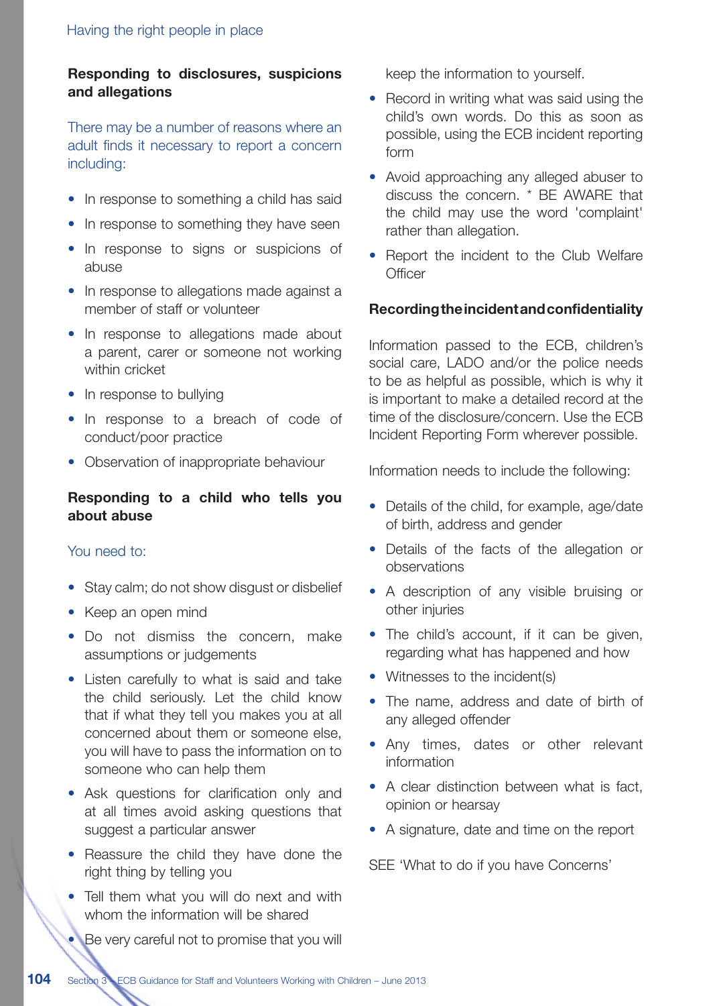## **Responding to disclosures, suspicions and allegations**

There may be a number of reasons where an adult finds it necessary to report a concern including:

- In response to something a child has said
- In response to something they have seen
- In response to signs or suspicions of abuse
- In response to allegations made against a member of staff or volunteer
- In response to allegations made about a parent, carer or someone not working within cricket
- In response to bullying
- In response to a breach of code of conduct/poor practice
- Observation of inappropriate behaviour

## **Responding to a child who tells you about abuse**

### You need to:

- Stay calm; do not show disgust or disbelief
- Keep an open mind
- Do not dismiss the concern, make assumptions or judgements
- Listen carefully to what is said and take the child seriously. Let the child know that if what they tell you makes you at all concerned about them or someone else, you will have to pass the information on to someone who can help them
- Ask questions for clarification only and at all times avoid asking questions that suggest a particular answer
- Reassure the child they have done the right thing by telling you
- Tell them what you will do next and with whom the information will be shared
- Be very careful not to promise that you will

keep the information to yourself.

- Record in writing what was said using the child's own words. Do this as soon as possible, using the ECB incident reporting form
- Avoid approaching any alleged abuser to discuss the concern. \* BE AWARE that the child may use the word 'complaint' rather than allegation.
- Report the incident to the Club Welfare **Officer**

#### **Recording the incident and confidentiality**

Information passed to the ECB, children's social care, LADO and/or the police needs to be as helpful as possible, which is why it is important to make a detailed record at the time of the disclosure/concern. Use the ECB Incident Reporting Form wherever possible.

Information needs to include the following:

- Details of the child, for example, age/date of birth, address and gender
- Details of the facts of the allegation or observations
- A description of any visible bruising or other injuries
- The child's account, if it can be given, regarding what has happened and how
- Witnesses to the incident(s)
- The name, address and date of birth of any alleged offender
- Any times, dates or other relevant information
- A clear distinction between what is fact, opinion or hearsay
- A signature, date and time on the report

SEE 'What to do if you have Concerns'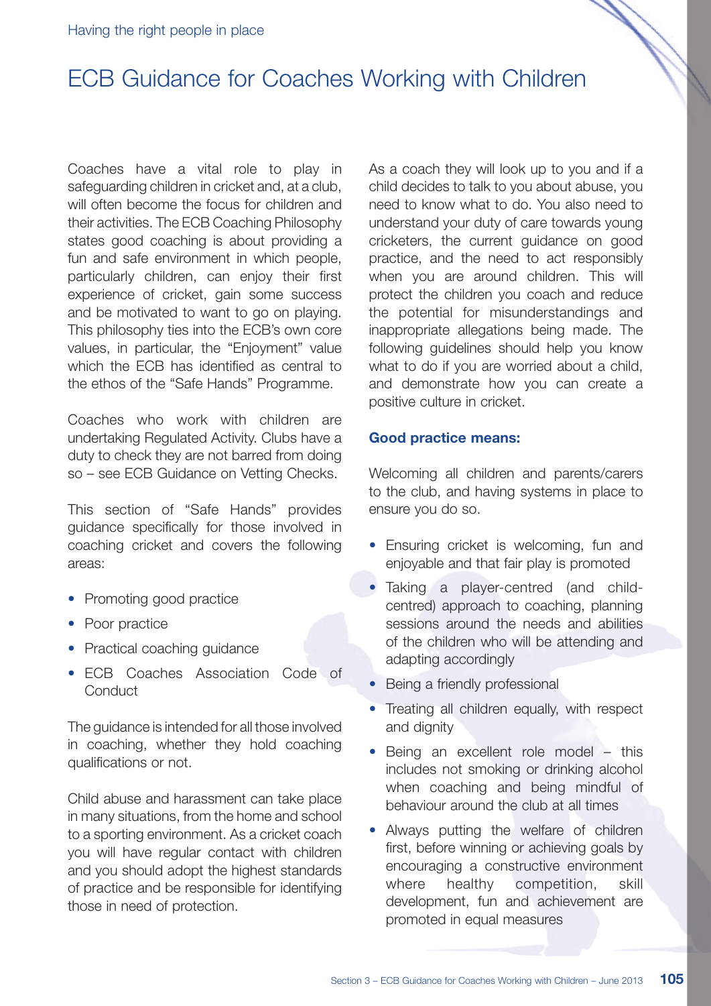# ECB Guidance for Coaches Working with Children

Coaches have a vital role to play in safeguarding children in cricket and, at a club, will often become the focus for children and their activities. The ECB Coaching Philosophy states good coaching is about providing a fun and safe environment in which people, particularly children, can enjoy their first experience of cricket, gain some success and be motivated to want to go on playing. This philosophy ties into the ECB's own core values, in particular, the "Enjoyment" value which the ECB has identified as central to the ethos of the "Safe Hands" Programme.

Coaches who work with children are undertaking Regulated Activity. Clubs have a duty to check they are not barred from doing so – see ECB Guidance on Vetting Checks.

This section of "Safe Hands" provides guidance specifically for those involved in coaching cricket and covers the following areas:

- Promoting good practice
- Poor practice
- Practical coaching quidance
- ECB Coaches Association Code of **Conduct**

The guidance is intended for all those involved in coaching, whether they hold coaching qualifications or not.

Child abuse and harassment can take place in many situations, from the home and school to a sporting environment. As a cricket coach you will have regular contact with children and you should adopt the highest standards of practice and be responsible for identifying those in need of protection.

As a coach they will look up to you and if a child decides to talk to you about abuse, you need to know what to do. You also need to understand your duty of care towards young cricketers, the current guidance on good practice, and the need to act responsibly when you are around children. This will protect the children you coach and reduce the potential for misunderstandings and inappropriate allegations being made. The following guidelines should help you know what to do if you are worried about a child, and demonstrate how you can create a positive culture in cricket.

#### **Good practice means:**

Welcoming all children and parents/carers to the club, and having systems in place to ensure you do so.

- Ensuring cricket is welcoming, fun and enjoyable and that fair play is promoted
- Taking a player-centred (and childcentred) approach to coaching, planning sessions around the needs and abilities of the children who will be attending and adapting accordingly
- Being a friendly professional
- Treating all children equally, with respect and dignity
- Being an excellent role model this includes not smoking or drinking alcohol when coaching and being mindful of behaviour around the club at all times
- Always putting the welfare of children first, before winning or achieving goals by encouraging a constructive environment where healthy competition, skill development, fun and achievement are promoted in equal measures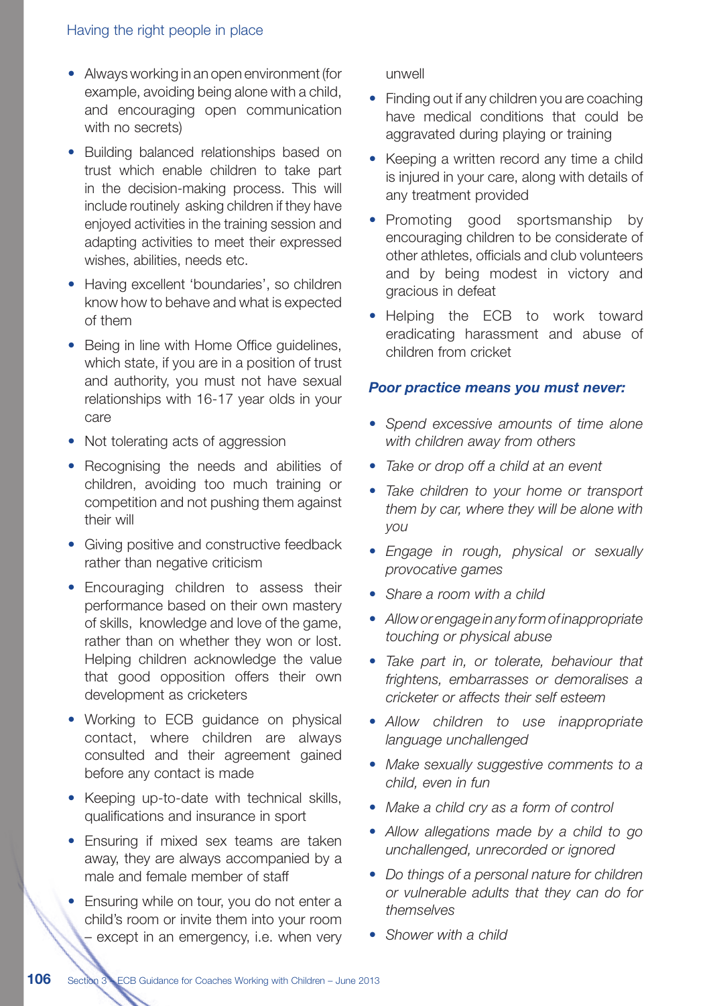### Having the right people in place

- Always working in an open environment (for example, avoiding being alone with a child, and encouraging open communication with no secrets)
- Building balanced relationships based on trust which enable children to take part in the decision-making process. This will include routinely asking children if they have enjoyed activities in the training session and adapting activities to meet their expressed wishes, abilities, needs etc.
- Having excellent 'boundaries', so children know how to behave and what is expected of them
- Being in line with Home Office guidelines, which state, if you are in a position of trust and authority, you must not have sexual relationships with 16-17 year olds in your care
- Not tolerating acts of aggression
- Recognising the needs and abilities of children, avoiding too much training or competition and not pushing them against their will
- Giving positive and constructive feedback rather than negative criticism
- Encouraging children to assess their performance based on their own mastery of skills, knowledge and love of the game, rather than on whether they won or lost. Helping children acknowledge the value that good opposition offers their own development as cricketers
- Working to ECB guidance on physical contact, where children are always consulted and their agreement gained before any contact is made
- Keeping up-to-date with technical skills, qualifications and insurance in sport
- Ensuring if mixed sex teams are taken away, they are always accompanied by a male and female member of staff
- Ensuring while on tour, you do not enter a child's room or invite them into your room – except in an emergency, i.e. when very

unwell

- Finding out if any children you are coaching have medical conditions that could be aggravated during playing or training
- Keeping a written record any time a child is injured in your care, along with details of any treatment provided
- Promoting good sportsmanship by encouraging children to be considerate of other athletes, officials and club volunteers and by being modest in victory and gracious in defeat
- Helping the ECB to work toward eradicating harassment and abuse of children from cricket

### *Poor practice means you must never:*

- *Spend excessive amounts of time alone with children away from others*
- *Take or drop off a child at an event*
- *Take children to your home or transport them by car, where they will be alone with you*
- *Engage in rough, physical or sexually provocative games*
- *Share a room with a child*
- *Allow or engage in any form of inappropriate touching or physical abuse*
- *Take part in, or tolerate, behaviour that frightens, embarrasses or demoralises a cricketer or affects their self esteem*
- *Allow children to use inappropriate language unchallenged*
- *Make sexually suggestive comments to a child, even in fun*
- *Make a child cry as a form of control*
- *Allow allegations made by a child to go unchallenged, unrecorded or ignored*
- *Do things of a personal nature for children or vulnerable adults that they can do for themselves*
- *Shower with a child*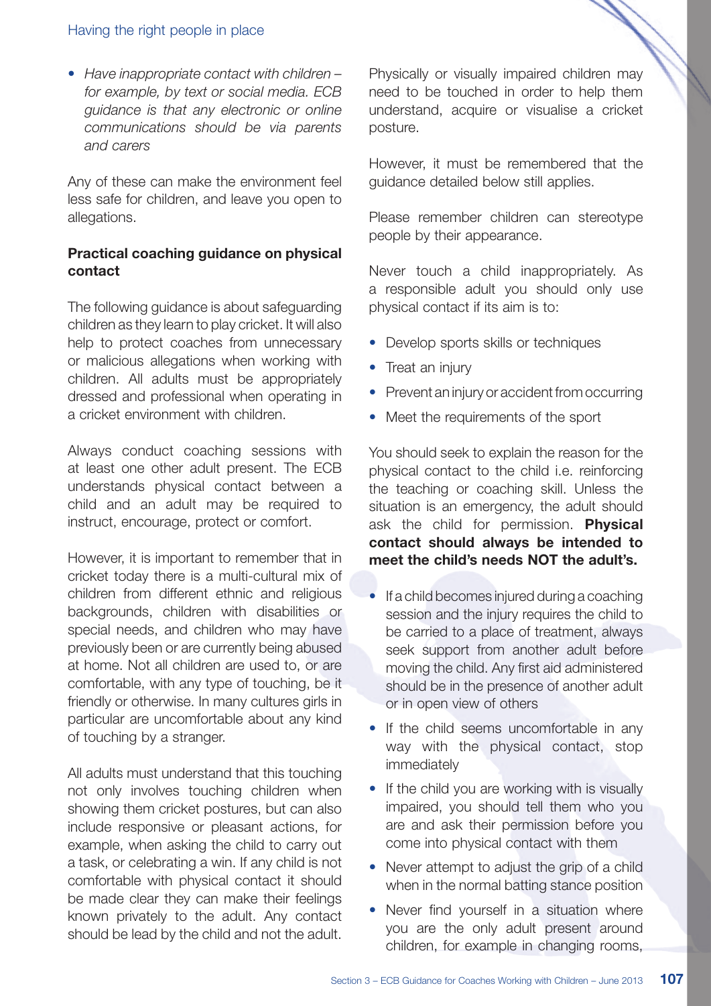### Having the right people in place

• *Have inappropriate contact with children – for example, by text or social media. ECB guidance is that any electronic or online communications should be via parents and carers* 

Any of these can make the environment feel less safe for children, and leave you open to allegations.

## **Practical coaching guidance on physical contact**

The following guidance is about safeguarding children as they learn to play cricket. It will also help to protect coaches from unnecessary or malicious allegations when working with children. All adults must be appropriately dressed and professional when operating in a cricket environment with children.

Always conduct coaching sessions with at least one other adult present. The ECB understands physical contact between a child and an adult may be required to instruct, encourage, protect or comfort.

However, it is important to remember that in cricket today there is a multi-cultural mix of children from different ethnic and religious backgrounds, children with disabilities or special needs, and children who may have previously been or are currently being abused at home. Not all children are used to, or are comfortable, with any type of touching, be it friendly or otherwise. In many cultures girls in particular are uncomfortable about any kind of touching by a stranger.

All adults must understand that this touching not only involves touching children when showing them cricket postures, but can also include responsive or pleasant actions, for example, when asking the child to carry out a task, or celebrating a win. If any child is not comfortable with physical contact it should be made clear they can make their feelings known privately to the adult. Any contact should be lead by the child and not the adult.

Physically or visually impaired children may need to be touched in order to help them understand, acquire or visualise a cricket posture.

However, it must be remembered that the guidance detailed below still applies.

Please remember children can stereotype people by their appearance.

Never touch a child inappropriately. As a responsible adult you should only use physical contact if its aim is to:

- Develop sports skills or techniques
- Treat an injury
- Prevent an injury or accident from occurring
- Meet the requirements of the sport

You should seek to explain the reason for the physical contact to the child i.e. reinforcing the teaching or coaching skill. Unless the situation is an emergency, the adult should ask the child for permission. **Physical contact should always be intended to meet the child's needs NOT the adult's.**

- If a child becomes injured during a coaching session and the injury requires the child to be carried to a place of treatment, always seek support from another adult before moving the child. Any first aid administered should be in the presence of another adult or in open view of others
- If the child seems uncomfortable in any way with the physical contact, stop immediately
- If the child you are working with is visually impaired, you should tell them who you are and ask their permission before you come into physical contact with them
- Never attempt to adjust the grip of a child when in the normal batting stance position
- Never find yourself in a situation where you are the only adult present around children, for example in changing rooms,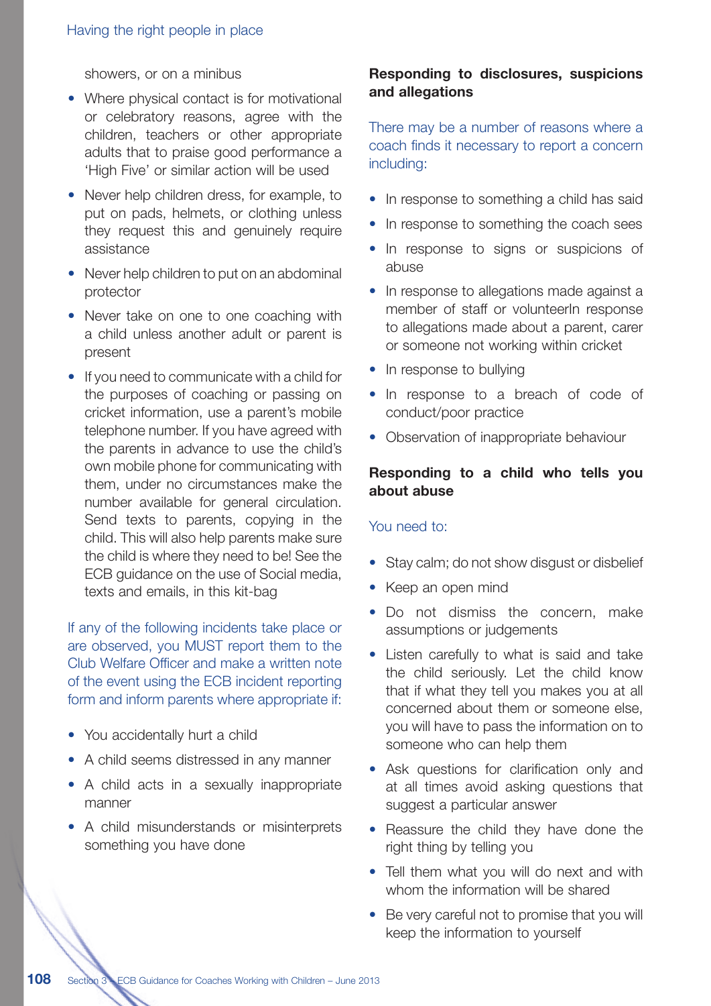showers, or on a minibus

- Where physical contact is for motivational or celebratory reasons, agree with the children, teachers or other appropriate adults that to praise good performance a 'High Five' or similar action will be used
- Never help children dress, for example, to put on pads, helmets, or clothing unless they request this and genuinely require assistance
- Never help children to put on an abdominal protector
- Never take on one to one coaching with a child unless another adult or parent is present
- If you need to communicate with a child for the purposes of coaching or passing on cricket information, use a parent's mobile telephone number. If you have agreed with the parents in advance to use the child's own mobile phone for communicating with them, under no circumstances make the number available for general circulation. Send texts to parents, copying in the child. This will also help parents make sure the child is where they need to be! See the ECB guidance on the use of Social media, texts and emails, in this kit-bag

If any of the following incidents take place or are observed, you MUST report them to the Club Welfare Officer and make a written note of the event using the ECB incident reporting form and inform parents where appropriate if:

- You accidentally hurt a child
- A child seems distressed in any manner
- A child acts in a sexually inappropriate manner
- A child misunderstands or misinterprets something you have done

## **Responding to disclosures, suspicions and allegations**

There may be a number of reasons where a coach finds it necessary to report a concern including:

- In response to something a child has said
- In response to something the coach sees
- In response to signs or suspicions of abuse
- In response to allegations made against a member of staff or volunteerIn response to allegations made about a parent, carer or someone not working within cricket
- In response to bullying
- In response to a breach of code of conduct/poor practice
- Observation of inappropriate behaviour

## **Responding to a child who tells you about abuse**

#### You need to:

- Stay calm; do not show disgust or disbelief
- Keep an open mind
- Do not dismiss the concern, make assumptions or judgements
- Listen carefully to what is said and take the child seriously. Let the child know that if what they tell you makes you at all concerned about them or someone else, you will have to pass the information on to someone who can help them
- Ask questions for clarification only and at all times avoid asking questions that suggest a particular answer
- Reassure the child they have done the right thing by telling you
- Tell them what you will do next and with whom the information will be shared
- Be very careful not to promise that you will keep the information to yourself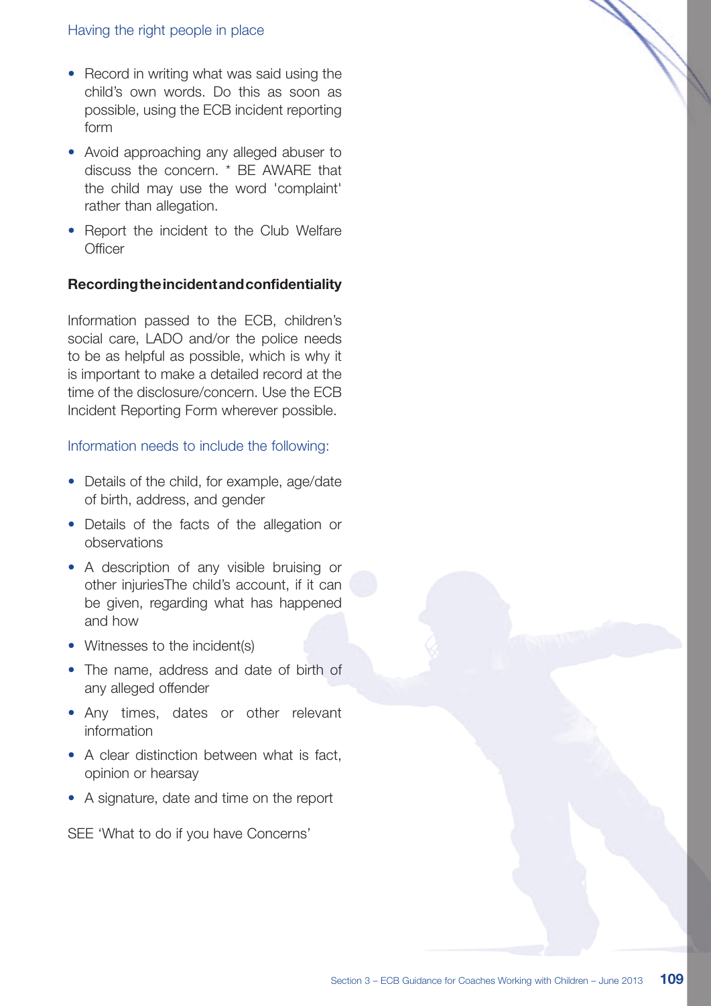## Having the right people in place

- Record in writing what was said using the child's own words. Do this as soon as possible, using the ECB incident reporting form
- Avoid approaching any alleged abuser to discuss the concern. \* BE AWARE that the child may use the word 'complaint' rather than allegation.
- Report the incident to the Club Welfare **Officer**

## **Recording the incident and confidentiality**

Information passed to the ECB, children's social care, LADO and/or the police needs to be as helpful as possible, which is why it is important to make a detailed record at the time of the disclosure/concern. Use the ECB Incident Reporting Form wherever possible.

### Information needs to include the following:

- Details of the child, for example, age/date of birth, address, and gender
- Details of the facts of the allegation or observations
- A description of any visible bruising or other injuriesThe child's account, if it can be given, regarding what has happened and how
- Witnesses to the incident(s)
- The name, address and date of birth of any alleged offender
- Any times, dates or other relevant information
- A clear distinction between what is fact, opinion or hearsay
- A signature, date and time on the report

SEE 'What to do if you have Concerns'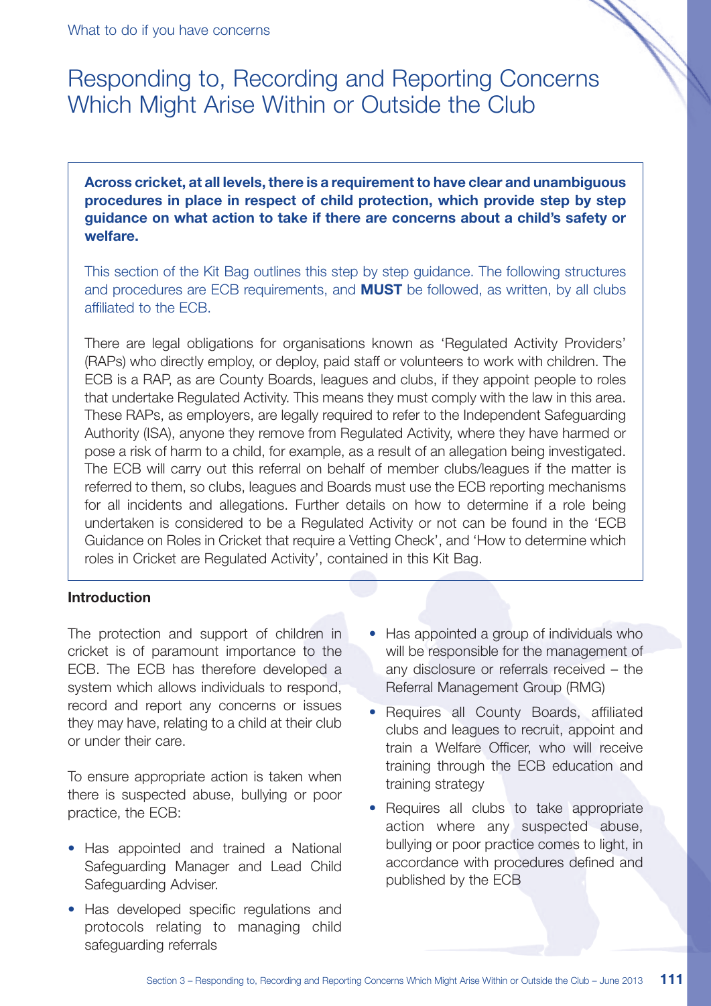## Responding to, Recording and Reporting Concerns Which Might Arise Within or Outside the Club

**Across cricket, at all levels, there is a requirement to have clear and unambiguous procedures in place in respect of child protection, which provide step by step guidance on what action to take if there are concerns about a child's safety or welfare.**

This section of the Kit Bag outlines this step by step guidance. The following structures and procedures are ECB requirements, and **MUST** be followed, as written, by all clubs affiliated to the ECB.

There are legal obligations for organisations known as 'Regulated Activity Providers' (RAPs) who directly employ, or deploy, paid staff or volunteers to work with children. The ECB is a RAP, as are County Boards, leagues and clubs, if they appoint people to roles that undertake Regulated Activity. This means they must comply with the law in this area. These RAPs, as employers, are legally required to refer to the Independent Safeguarding Authority (ISA), anyone they remove from Regulated Activity, where they have harmed or pose a risk of harm to a child, for example, as a result of an allegation being investigated. The ECB will carry out this referral on behalf of member clubs/leagues if the matter is referred to them, so clubs, leagues and Boards must use the ECB reporting mechanisms for all incidents and allegations. Further details on how to determine if a role being undertaken is considered to be a Regulated Activity or not can be found in the 'ECB Guidance on Roles in Cricket that require a Vetting Check', and 'How to determine which roles in Cricket are Regulated Activity', contained in this Kit Bag.

#### **Introduction**

The protection and support of children in cricket is of paramount importance to the ECB. The ECB has therefore developed a system which allows individuals to respond, record and report any concerns or issues they may have, relating to a child at their club or under their care.

To ensure appropriate action is taken when there is suspected abuse, bullying or poor practice, the ECB:

- Has appointed and trained a National Safeguarding Manager and Lead Child Safeguarding Adviser.
- Has developed specific regulations and protocols relating to managing child safeguarding referrals
- Has appointed a group of individuals who will be responsible for the management of any disclosure or referrals received – the Referral Management Group (RMG)
- Requires all County Boards, affiliated clubs and leagues to recruit, appoint and train a Welfare Officer, who will receive training through the ECB education and training strategy
- Requires all clubs to take appropriate action where any suspected abuse, bullying or poor practice comes to light, in accordance with procedures defined and published by the ECB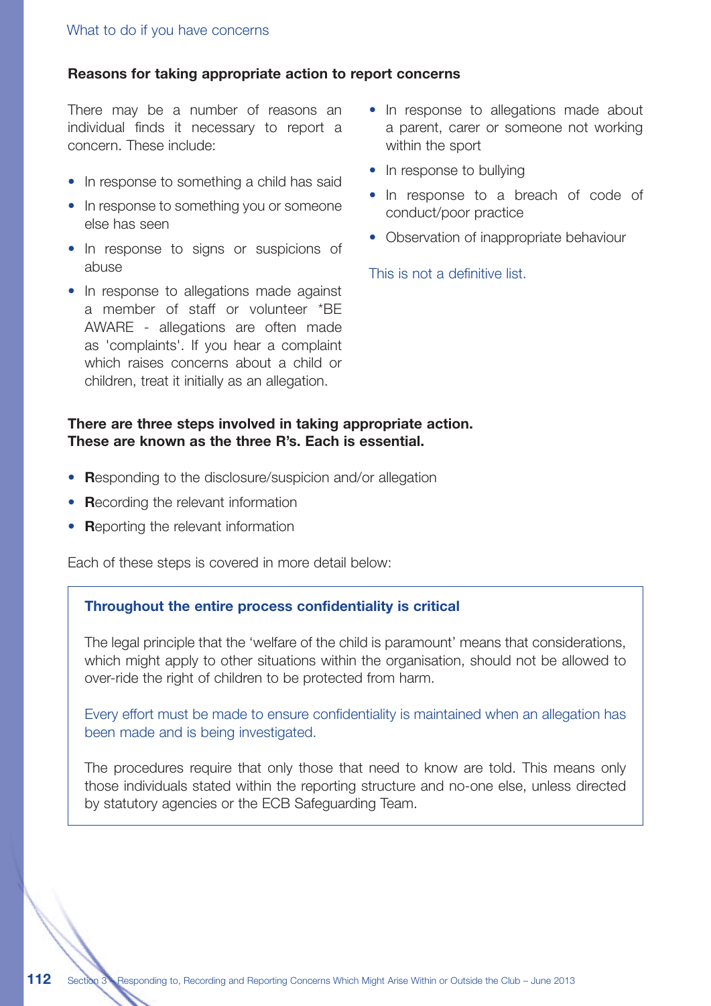#### **Reasons for taking appropriate action to report concerns**

There may be a number of reasons an individual finds it necessary to report a concern. These include:

- In response to something a child has said
- In response to something you or someone else has seen
- In response to signs or suspicions of abuse
- In response to allegations made against a member of staff or volunteer \*BE AWARE - allegations are often made as 'complaints'. If you hear a complaint which raises concerns about a child or children, treat it initially as an allegation.
- In response to allegations made about a parent, carer or someone not working within the sport
- In response to bullying
- In response to a breach of code of conduct/poor practice
- Observation of inappropriate behaviour

This is not a definitive list.

## **There are three steps involved in taking appropriate action. These are known as the three R's. Each is essential.**

- **R**esponding to the disclosure/suspicion and/or allegation
- **R**ecording the relevant information
- **R**eporting the relevant information

Each of these steps is covered in more detail below:

#### **Throughout the entire process confidentiality is critical**

The legal principle that the 'welfare of the child is paramount' means that considerations, which might apply to other situations within the organisation, should not be allowed to over-ride the right of children to be protected from harm.

Every effort must be made to ensure confidentiality is maintained when an allegation has been made and is being investigated.

The procedures require that only those that need to know are told. This means only those individuals stated within the reporting structure and no-one else, unless directed by statutory agencies or the ECB Safeguarding Team.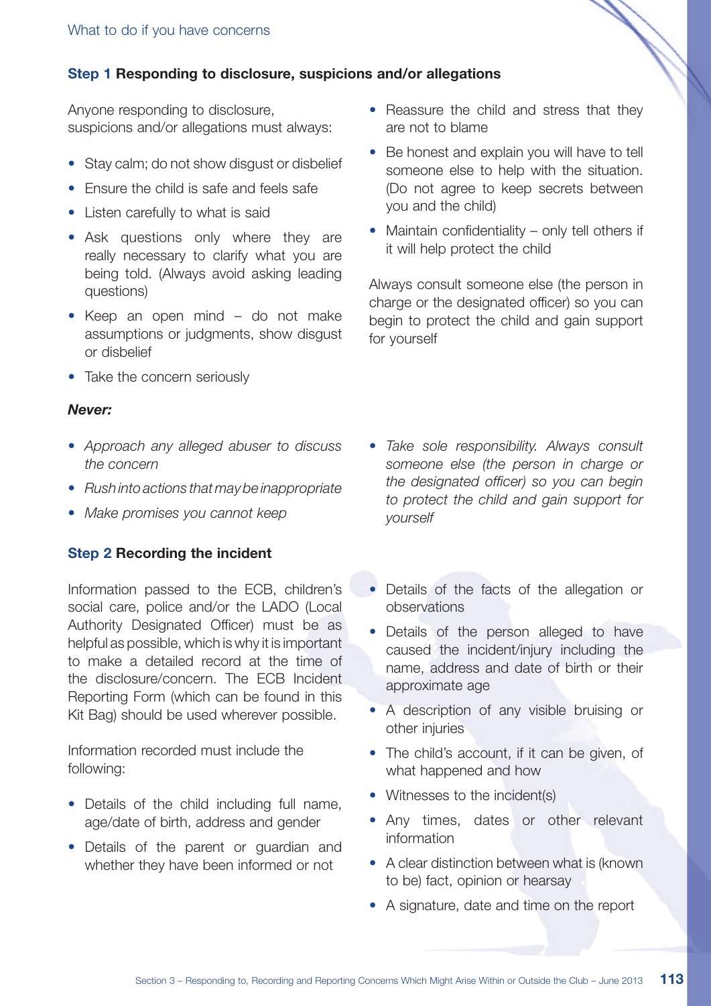## **Step 1 Responding to disclosure, suspicions and/or allegations**

Anyone responding to disclosure, suspicions and/or allegations must always:

- Stay calm; do not show disqust or disbelief
- Ensure the child is safe and feels safe
- Listen carefully to what is said
- Ask questions only where they are really necessary to clarify what you are being told. (Always avoid asking leading questions)
- Keep an open mind do not make assumptions or judgments, show disgust or disbelief
- Take the concern seriously

### *Never:*

- *Approach any alleged abuser to discuss the concern*
- *Rush into actions that may be inappropriate*
- *Make promises you cannot keep*

## **Step 2 Recording the incident**

Information passed to the ECB, children's social care, police and/or the LADO (Local Authority Designated Officer) must be as helpful as possible, which is why it is important to make a detailed record at the time of the disclosure/concern. The ECB Incident Reporting Form (which can be found in this Kit Bag) should be used wherever possible.

Information recorded must include the following:

- Details of the child including full name, age/date of birth, address and gender
- Details of the parent or guardian and whether they have been informed or not
- Reassure the child and stress that they are not to blame
- Be honest and explain you will have to tell someone else to help with the situation. (Do not agree to keep secrets between you and the child)
- Maintain confidentiality only tell others if it will help protect the child

Always consult someone else (the person in charge or the designated officer) so you can begin to protect the child and gain support for yourself

- *Take sole responsibility. Always consult someone else (the person in charge or the designated officer) so you can begin to protect the child and gain support for yourself*
- Details of the facts of the allegation or observations
- Details of the person alleged to have caused the incident/injury including the name, address and date of birth or their approximate age
- A description of any visible bruising or other injuries
- The child's account, if it can be given, of what happened and how
- Witnesses to the incident(s)
- Any times, dates or other relevant information
- A clear distinction between what is (known to be) fact, opinion or hearsay
- A signature, date and time on the report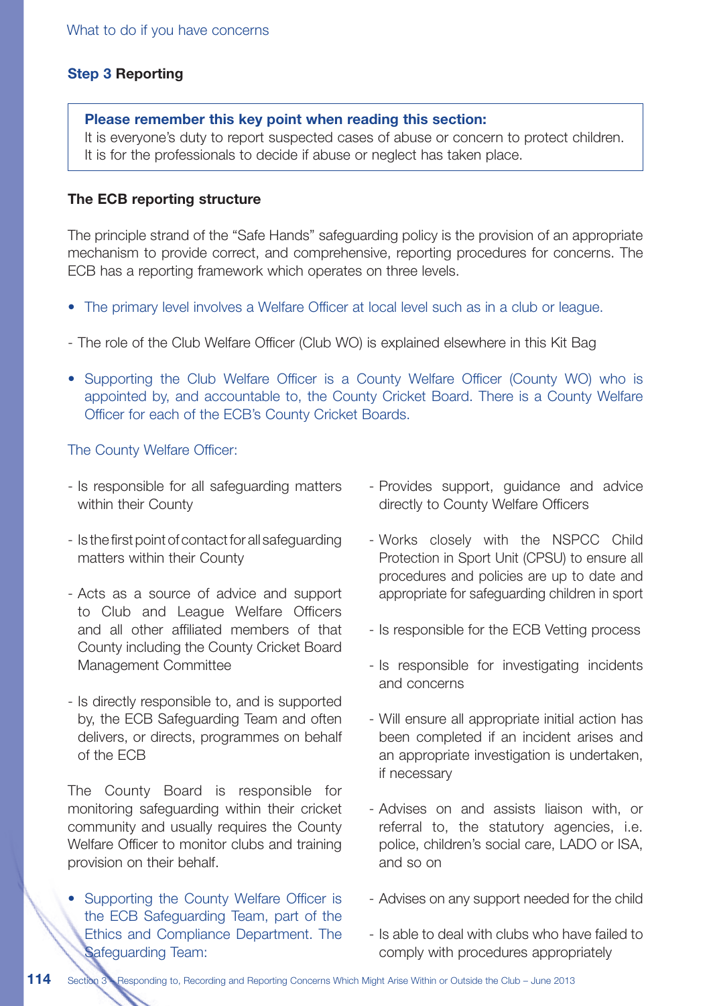## **Step 3 Reporting**

#### **Please remember this key point when reading this section:**

It is everyone's duty to report suspected cases of abuse or concern to protect children. It is for the professionals to decide if abuse or neglect has taken place.

#### **The ECB reporting structure**

The principle strand of the "Safe Hands" safeguarding policy is the provision of an appropriate mechanism to provide correct, and comprehensive, reporting procedures for concerns. The ECB has a reporting framework which operates on three levels.

- The primary level involves a Welfare Officer at local level such as in a club or league.
- The role of the Club Welfare Officer (Club WO) is explained elsewhere in this Kit Bag
- Supporting the Club Welfare Officer is a County Welfare Officer (County WO) who is appointed by, and accountable to, the County Cricket Board. There is a County Welfare Officer for each of the ECB's County Cricket Boards.

### The County Welfare Officer:

- Is responsible for all safeguarding matters within their County
- Is the first point of contact for all safeguarding matters within their County
- Acts as a source of advice and support to Club and League Welfare Officers and all other affiliated members of that County including the County Cricket Board Management Committee
- Is directly responsible to, and is supported by, the ECB Safeguarding Team and often delivers, or directs, programmes on behalf of the ECB

The County Board is responsible for monitoring safeguarding within their cricket community and usually requires the County Welfare Officer to monitor clubs and training provision on their behalf.

• Supporting the County Welfare Officer is the ECB Safeguarding Team, part of the Ethics and Compliance Department. The Safeguarding Team:

- Provides support, guidance and advice directly to County Welfare Officers
- Works closely with the NSPCC Child Protection in Sport Unit (CPSU) to ensure all procedures and policies are up to date and appropriate for safeguarding children in sport
- Is responsible for the ECB Vetting process
- Is responsible for investigating incidents and concerns
- Will ensure all appropriate initial action has been completed if an incident arises and an appropriate investigation is undertaken, if necessary
- Advises on and assists liaison with, or referral to, the statutory agencies, i.e. police, children's social care, LADO or ISA, and so on
- Advises on any support needed for the child
- Is able to deal with clubs who have failed to comply with procedures appropriately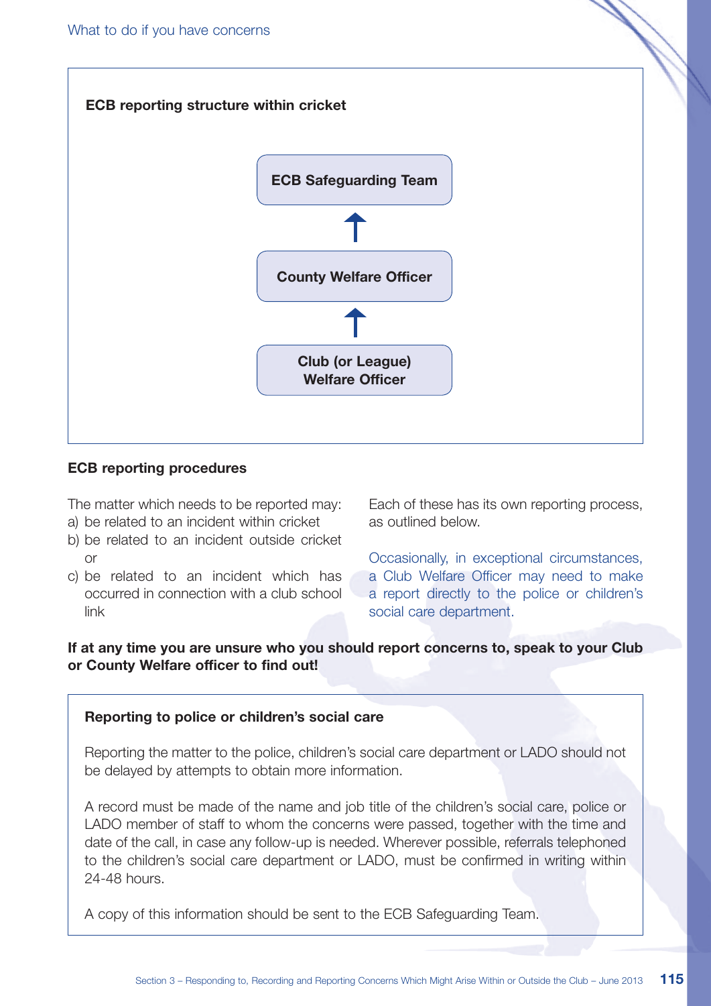

## **ECB reporting procedures**

The matter which needs to be reported may:

- a) be related to an incident within cricket
- b) be related to an incident outside cricket or
- c) be related to an incident which has occurred in connection with a club school link

Each of these has its own reporting process, as outlined below.

Occasionally, in exceptional circumstances, a Club Welfare Officer may need to make a report directly to the police or children's social care department.

## **If at any time you are unsure who you should report concerns to, speak to your Club or County Welfare officer to find out!**

## **Reporting to police or children's social care**

Reporting the matter to the police, children's social care department or LADO should not be delayed by attempts to obtain more information.

A record must be made of the name and job title of the children's social care, police or LADO member of staff to whom the concerns were passed, together with the time and date of the call, in case any follow-up is needed. Wherever possible, referrals telephoned to the children's social care department or LADO, must be confirmed in writing within 24-48 hours.

A copy of this information should be sent to the ECB Safeguarding Team.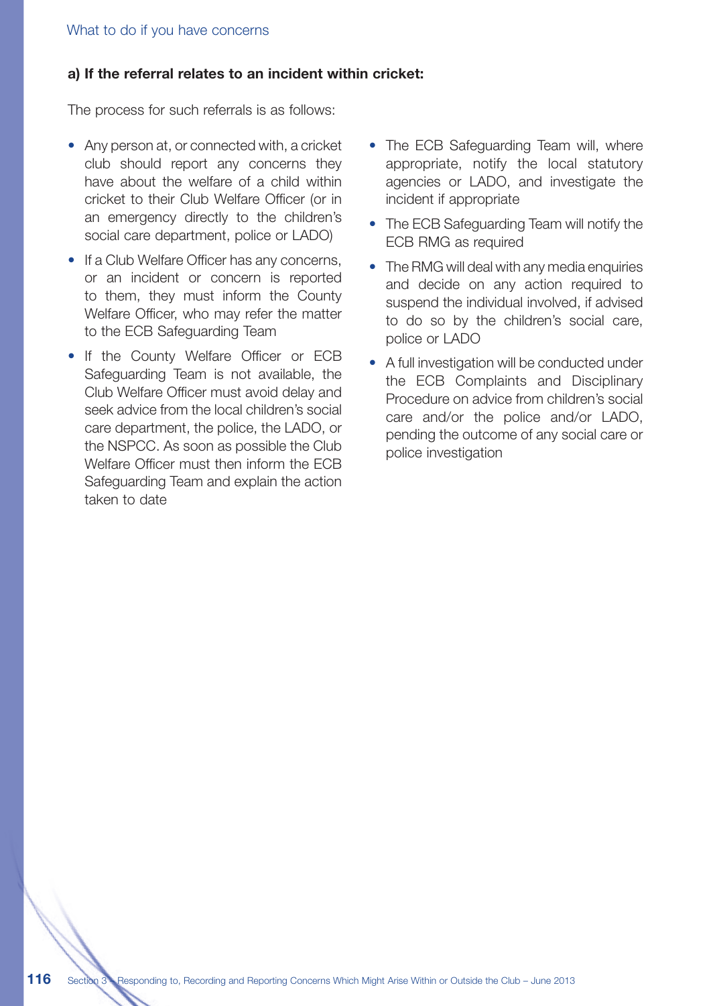### **a) If the referral relates to an incident within cricket:**

The process for such referrals is as follows:

- Any person at, or connected with, a cricket club should report any concerns they have about the welfare of a child within cricket to their Club Welfare Officer (or in an emergency directly to the children's social care department, police or LADO)
- If a Club Welfare Officer has any concerns, or an incident or concern is reported to them, they must inform the County Welfare Officer, who may refer the matter to the ECB Safeguarding Team
- If the County Welfare Officer or ECB Safeguarding Team is not available, the Club Welfare Officer must avoid delay and seek advice from the local children's social care department, the police, the LADO, or the NSPCC. As soon as possible the Club Welfare Officer must then inform the ECB Safeguarding Team and explain the action taken to date
- The ECB Safeguarding Team will, where appropriate, notify the local statutory agencies or LADO, and investigate the incident if appropriate
- The ECB Safeguarding Team will notify the ECB RMG as required
- The RMG will deal with any media enquiries and decide on any action required to suspend the individual involved, if advised to do so by the children's social care, police or LADO
- A full investigation will be conducted under the ECB Complaints and Disciplinary Procedure on advice from children's social care and/or the police and/or LADO, pending the outcome of any social care or police investigation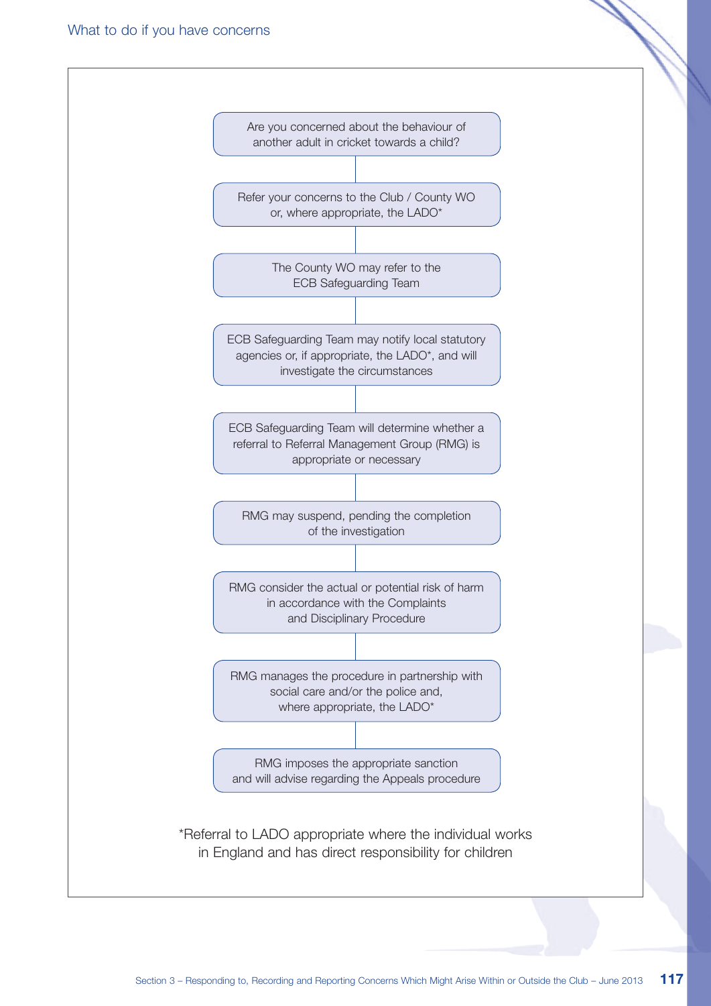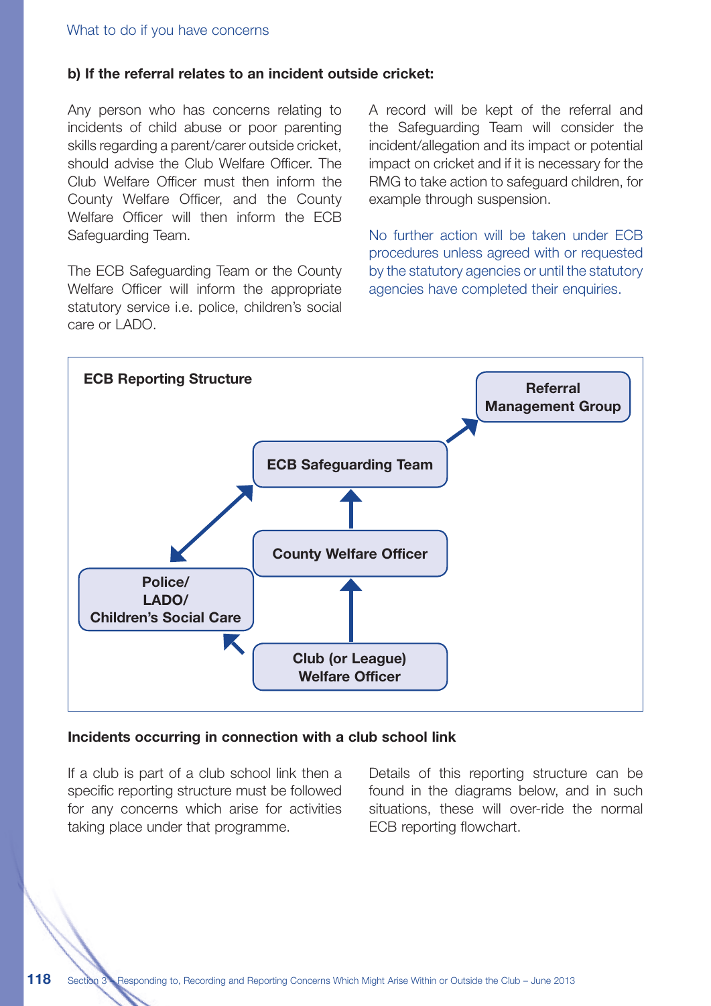#### **b) If the referral relates to an incident outside cricket:**

Any person who has concerns relating to incidents of child abuse or poor parenting skills regarding a parent/carer outside cricket, should advise the Club Welfare Officer. The Club Welfare Officer must then inform the County Welfare Officer, and the County Welfare Officer will then inform the ECB Safeguarding Team.

The ECB Safeguarding Team or the County Welfare Officer will inform the appropriate statutory service i.e. police, children's social care or LADO.

A record will be kept of the referral and the Safeguarding Team will consider the incident/allegation and its impact or potential impact on cricket and if it is necessary for the RMG to take action to safeguard children, for example through suspension.

No further action will be taken under ECB procedures unless agreed with or requested by the statutory agencies or until the statutory agencies have completed their enquiries.



#### **Incidents occurring in connection with a club school link**

If a club is part of a club school link then a specific reporting structure must be followed for any concerns which arise for activities taking place under that programme.

Details of this reporting structure can be found in the diagrams below, and in such situations, these will over-ride the normal ECB reporting flowchart.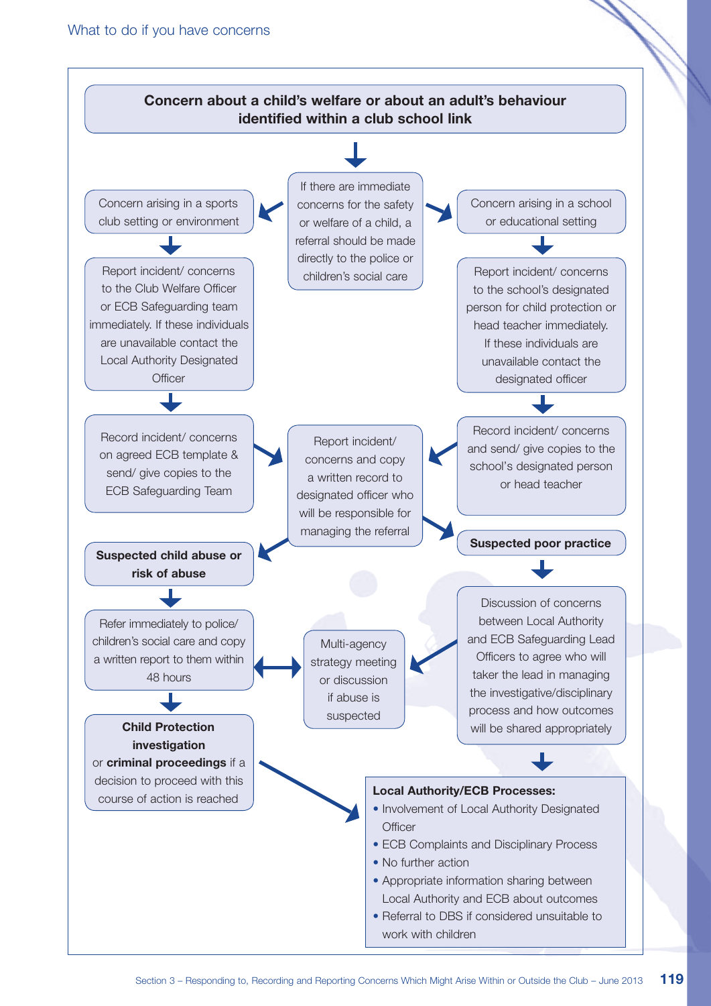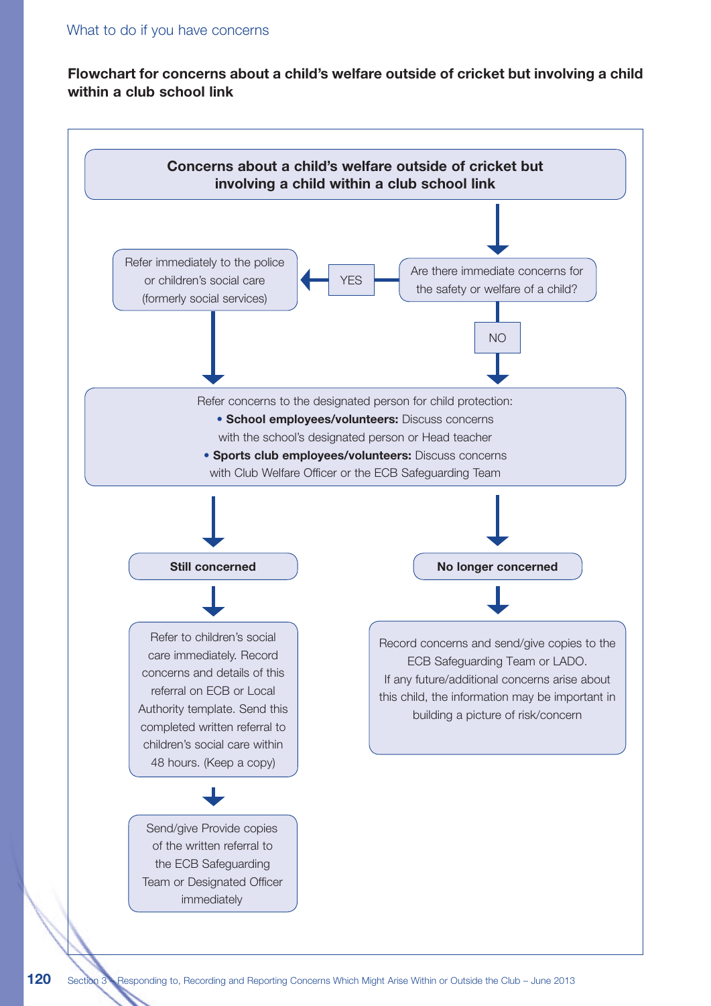**Flowchart for concerns about a child's welfare outside of cricket but involving a child within a club school link**



**120**

Section 3 – Responding to, Recording and Reporting Concerns Which Might Arise Within or Outside the Club – June 2013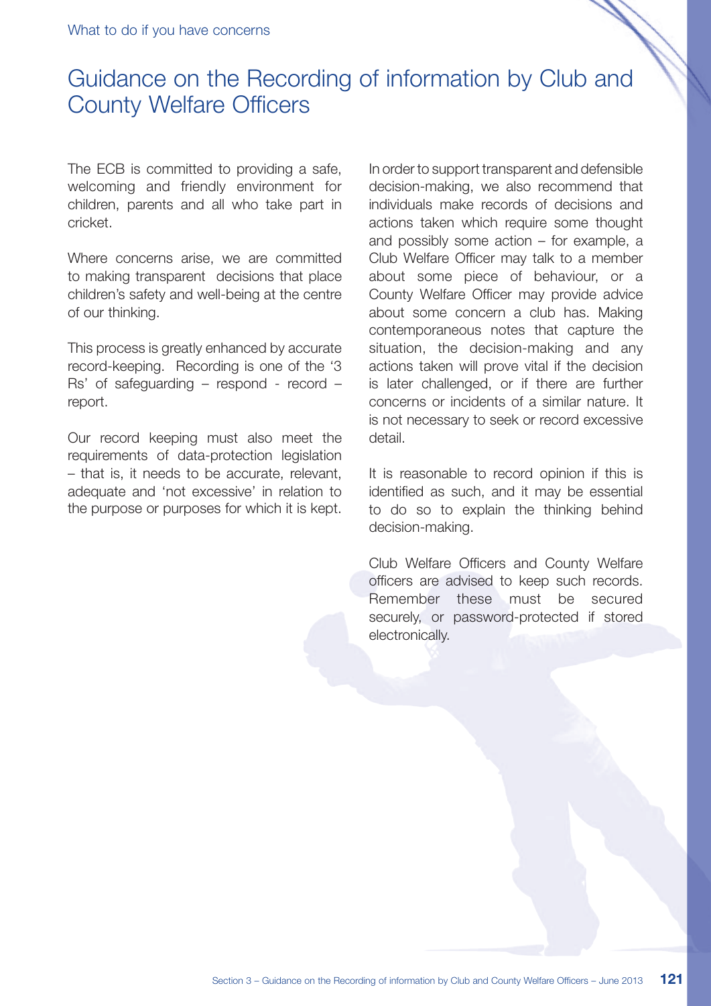## Guidance on the Recording of information by Club and County Welfare Officers

The ECB is committed to providing a safe, welcoming and friendly environment for children, parents and all who take part in cricket.

Where concerns arise, we are committed to making transparent decisions that place children's safety and well-being at the centre of our thinking.

This process is greatly enhanced by accurate record-keeping. Recording is one of the '3 Rs' of safeguarding – respond - record – report.

Our record keeping must also meet the requirements of data-protection legislation – that is, it needs to be accurate, relevant, adequate and 'not excessive' in relation to the purpose or purposes for which it is kept.

In order to support transparent and defensible decision-making, we also recommend that individuals make records of decisions and actions taken which require some thought and possibly some action – for example, a Club Welfare Officer may talk to a member about some piece of behaviour, or a County Welfare Officer may provide advice about some concern a club has. Making contemporaneous notes that capture the situation, the decision-making and any actions taken will prove vital if the decision is later challenged, or if there are further concerns or incidents of a similar nature. It is not necessary to seek or record excessive detail.

It is reasonable to record opinion if this is identified as such, and it may be essential to do so to explain the thinking behind decision-making.

Club Welfare Officers and County Welfare officers are advised to keep such records. Remember these must be secured securely, or password-protected if stored electronically.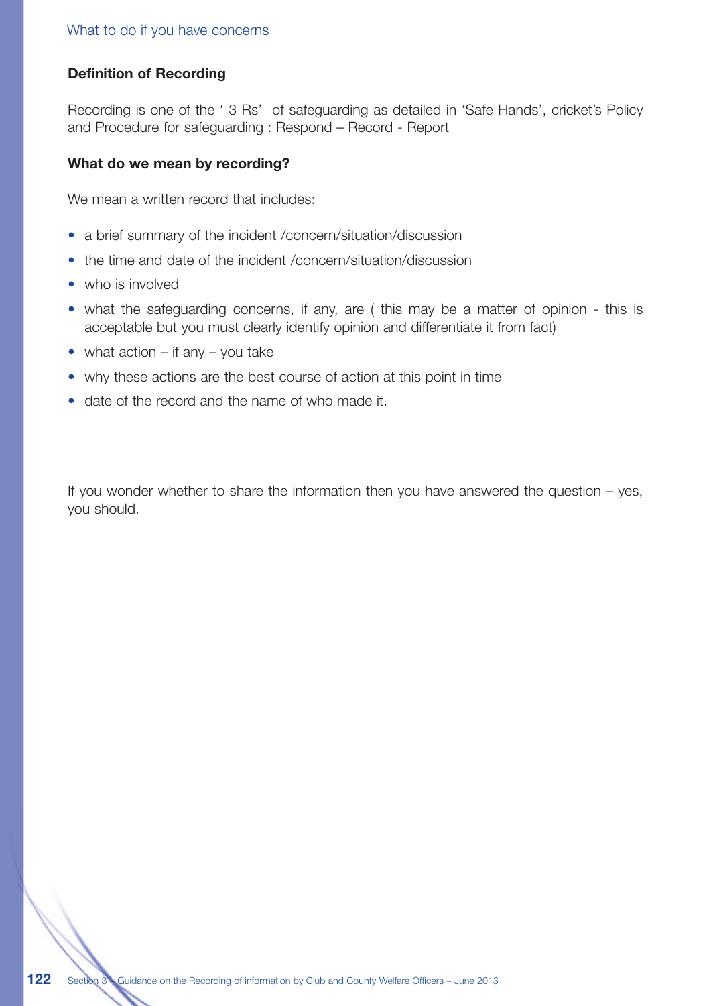### **Definition of Recording**

Recording is one of the ' 3 Rs' of safeguarding as detailed in 'Safe Hands', cricket's Policy and Procedure for safeguarding : Respond – Record - Report

### **What do we mean by recording?**

We mean a written record that includes:

- a brief summary of the incident /concern/situation/discussion
- the time and date of the incident /concern/situation/discussion
- who is involved
- what the safeguarding concerns, if any, are (this may be a matter of opinion this is acceptable but you must clearly identify opinion and differentiate it from fact)
- what action if any you take
- why these actions are the best course of action at this point in time
- date of the record and the name of who made it.

If you wonder whether to share the information then you have answered the question – yes, you should.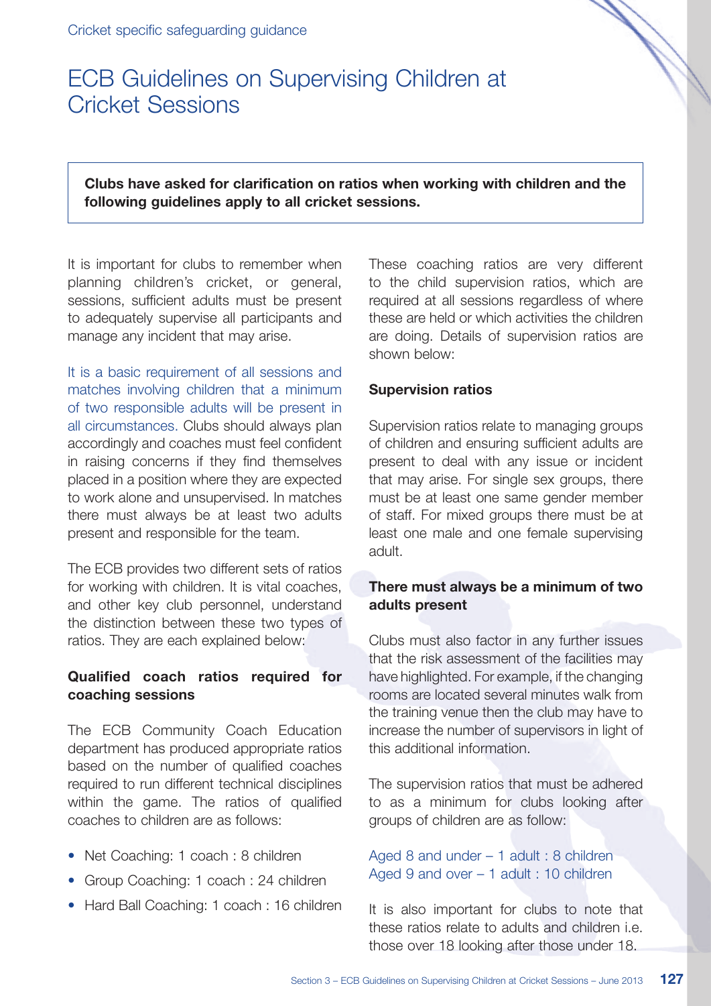# ECB Guidelines on Supervising Children at Cricket Sessions

**Clubs have asked for clarification on ratios when working with children and the following guidelines apply to all cricket sessions.**

It is important for clubs to remember when planning children's cricket, or general, sessions, sufficient adults must be present to adequately supervise all participants and manage any incident that may arise.

It is a basic requirement of all sessions and matches involving children that a minimum of two responsible adults will be present in all circumstances. Clubs should always plan accordingly and coaches must feel confident in raising concerns if they find themselves placed in a position where they are expected to work alone and unsupervised. In matches there must always be at least two adults present and responsible for the team.

The ECB provides two different sets of ratios for working with children. It is vital coaches, and other key club personnel, understand the distinction between these two types of ratios. They are each explained below:

## **Qualified coach ratios required for coaching sessions**

The ECB Community Coach Education department has produced appropriate ratios based on the number of qualified coaches required to run different technical disciplines within the game. The ratios of qualified coaches to children are as follows:

- Net Coaching: 1 coach : 8 children
- Group Coaching: 1 coach : 24 children
- Hard Ball Coaching: 1 coach : 16 children

These coaching ratios are very different to the child supervision ratios, which are required at all sessions regardless of where these are held or which activities the children are doing. Details of supervision ratios are shown below:

### **Supervision ratios**

Supervision ratios relate to managing groups of children and ensuring sufficient adults are present to deal with any issue or incident that may arise. For single sex groups, there must be at least one same gender member of staff. For mixed groups there must be at least one male and one female supervising adult.

## **There must always be a minimum of two adults present**

Clubs must also factor in any further issues that the risk assessment of the facilities may have highlighted. For example, if the changing rooms are located several minutes walk from the training venue then the club may have to increase the number of supervisors in light of this additional information.

The supervision ratios that must be adhered to as a minimum for clubs looking after groups of children are as follow:

Aged 8 and under – 1 adult : 8 children Aged 9 and over – 1 adult : 10 children

It is also important for clubs to note that these ratios relate to adults and children i.e. those over 18 looking after those under 18.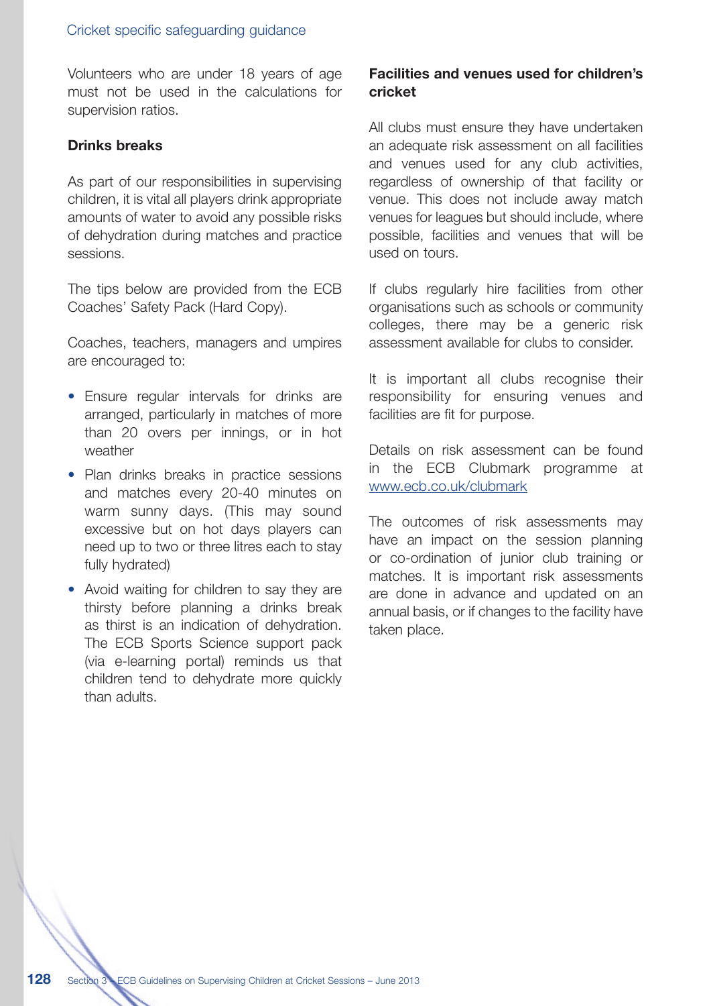#### Cricket specific safeguarding guidance

Volunteers who are under 18 years of age must not be used in the calculations for supervision ratios.

#### **Drinks breaks**

As part of our responsibilities in supervising children, it is vital all players drink appropriate amounts of water to avoid any possible risks of dehydration during matches and practice sessions.

The tips below are provided from the ECB Coaches' Safety Pack (Hard Copy).

Coaches, teachers, managers and umpires are encouraged to:

- Ensure regular intervals for drinks are arranged, particularly in matches of more than 20 overs per innings, or in hot weather
- Plan drinks breaks in practice sessions and matches every 20-40 minutes on warm sunny days. (This may sound excessive but on hot days players can need up to two or three litres each to stay fully hydrated)
- Avoid waiting for children to say they are thirsty before planning a drinks break as thirst is an indication of dehydration. The ECB Sports Science support pack (via e-learning portal) reminds us that children tend to dehydrate more quickly than adults.

## **Facilities and venues used for children's cricket**

All clubs must ensure they have undertaken an adequate risk assessment on all facilities and venues used for any club activities, regardless of ownership of that facility or venue. This does not include away match venues for leagues but should include, where possible, facilities and venues that will be used on tours.

If clubs regularly hire facilities from other organisations such as schools or community colleges, there may be a generic risk assessment available for clubs to consider.

It is important all clubs recognise their responsibility for ensuring venues and facilities are fit for purpose.

Details on risk assessment can be found in the ECB Clubmark programme at www.ecb.co.uk/clubmark

The outcomes of risk assessments may have an impact on the session planning or co-ordination of junior club training or matches. It is important risk assessments are done in advance and updated on an annual basis, or if changes to the facility have taken place.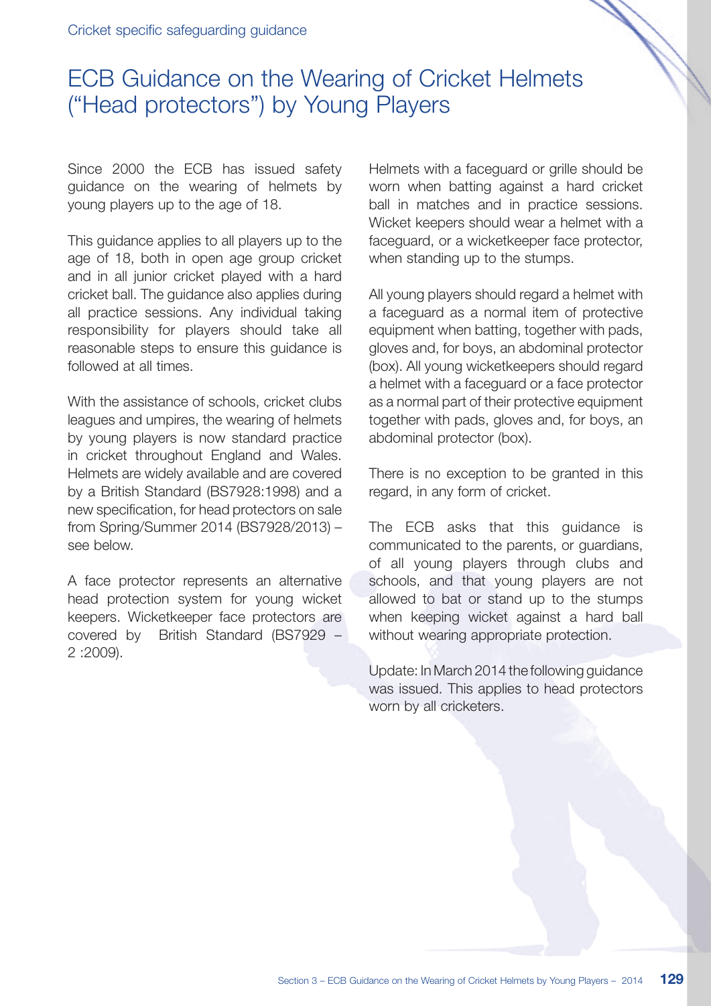## ECB Guidance on the Wearing of Cricket Helmets ("Head protectors") by Young Players

Since 2000 the ECB has issued safety guidance on the wearing of helmets by young players up to the age of 18.

This guidance applies to all players up to the age of 18, both in open age group cricket and in all junior cricket played with a hard cricket ball. The guidance also applies during all practice sessions. Any individual taking responsibility for players should take all reasonable steps to ensure this guidance is followed at all times.

With the assistance of schools, cricket clubs leagues and umpires, the wearing of helmets by young players is now standard practice in cricket throughout England and Wales. Helmets are widely available and are covered by a British Standard (BS7928:1998) and a new specification, for head protectors on sale from Spring/Summer 2014 (BS7928/2013) – see below.

A face protector represents an alternative head protection system for young wicket keepers. Wicketkeeper face protectors are covered by British Standard (BS7929 – 2 :2009).

Helmets with a faceguard or grille should be worn when batting against a hard cricket ball in matches and in practice sessions. Wicket keepers should wear a helmet with a faceguard, or a wicketkeeper face protector, when standing up to the stumps.

All young players should regard a helmet with a faceguard as a normal item of protective equipment when batting, together with pads, gloves and, for boys, an abdominal protector (box). All young wicketkeepers should regard a helmet with a faceguard or a face protector as a normal part of their protective equipment together with pads, gloves and, for boys, an abdominal protector (box).

There is no exception to be granted in this regard, in any form of cricket.

The ECB asks that this guidance is communicated to the parents, or guardians, of all young players through clubs and schools, and that young players are not allowed to bat or stand up to the stumps when keeping wicket against a hard ball without wearing appropriate protection.

Update: In March 2014 the following guidance was issued. This applies to head protectors worn by all cricketers.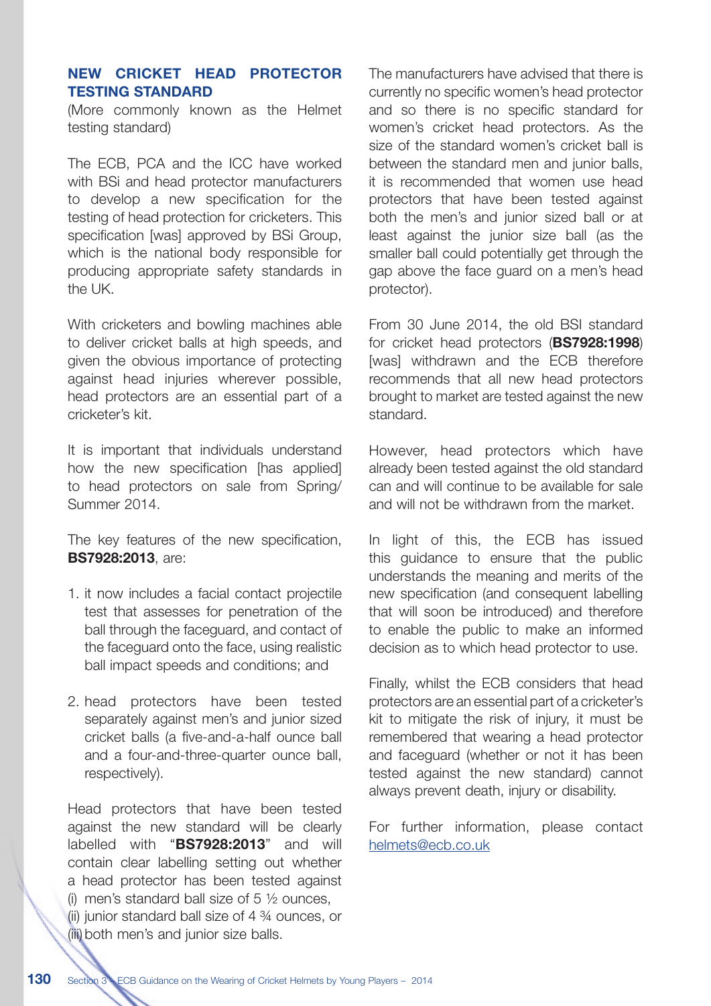## **NEW CRICKET HEAD PROTECTOR TESTING STANDARD**

(More commonly known as the Helmet testing standard)

The ECB, PCA and the ICC have worked with BSi and head protector manufacturers to develop a new specification for the testing of head protection for cricketers. This specification [was] approved by BSi Group, which is the national body responsible for producing appropriate safety standards in the UK.

With cricketers and bowling machines able to deliver cricket balls at high speeds, and given the obvious importance of protecting against head injuries wherever possible, head protectors are an essential part of a cricketer's kit.

It is important that individuals understand how the new specification [has applied] to head protectors on sale from Spring/ Summer 2014.

The key features of the new specification, **BS7928:2013**, are:

- 1. it now includes a facial contact projectile test that assesses for penetration of the ball through the faceguard, and contact of the faceguard onto the face, using realistic ball impact speeds and conditions; and
- 2. head protectors have been tested separately against men's and junior sized cricket balls (a five-and-a-half ounce ball and a four-and-three-quarter ounce ball, respectively).

Head protectors that have been tested against the new standard will be clearly labelled with "**BS7928:2013**" and will contain clear labelling setting out whether a head protector has been tested against (i) men's standard ball size of  $5\frac{1}{2}$  ounces, (ii) junior standard ball size of 4 ¾ ounces, or (iii) both men's and junior size balls.

The manufacturers have advised that there is currently no specific women's head protector and so there is no specific standard for women's cricket head protectors. As the size of the standard women's cricket ball is between the standard men and junior balls, it is recommended that women use head protectors that have been tested against both the men's and junior sized ball or at least against the junior size ball (as the smaller ball could potentially get through the gap above the face guard on a men's head protector).

From 30 June 2014, the old BSI standard for cricket head protectors (**BS7928:1998**) [was] withdrawn and the ECB therefore recommends that all new head protectors brought to market are tested against the new standard.

However, head protectors which have already been tested against the old standard can and will continue to be available for sale and will not be withdrawn from the market.

In light of this, the ECB has issued this guidance to ensure that the public understands the meaning and merits of the new specification (and consequent labelling that will soon be introduced) and therefore to enable the public to make an informed decision as to which head protector to use.

Finally, whilst the ECB considers that head protectors are an essential part of a cricketer's kit to mitigate the risk of injury, it must be remembered that wearing a head protector and faceguard (whether or not it has been tested against the new standard) cannot always prevent death, injury or disability.

For further information, please contact helmets@ecb.co.uk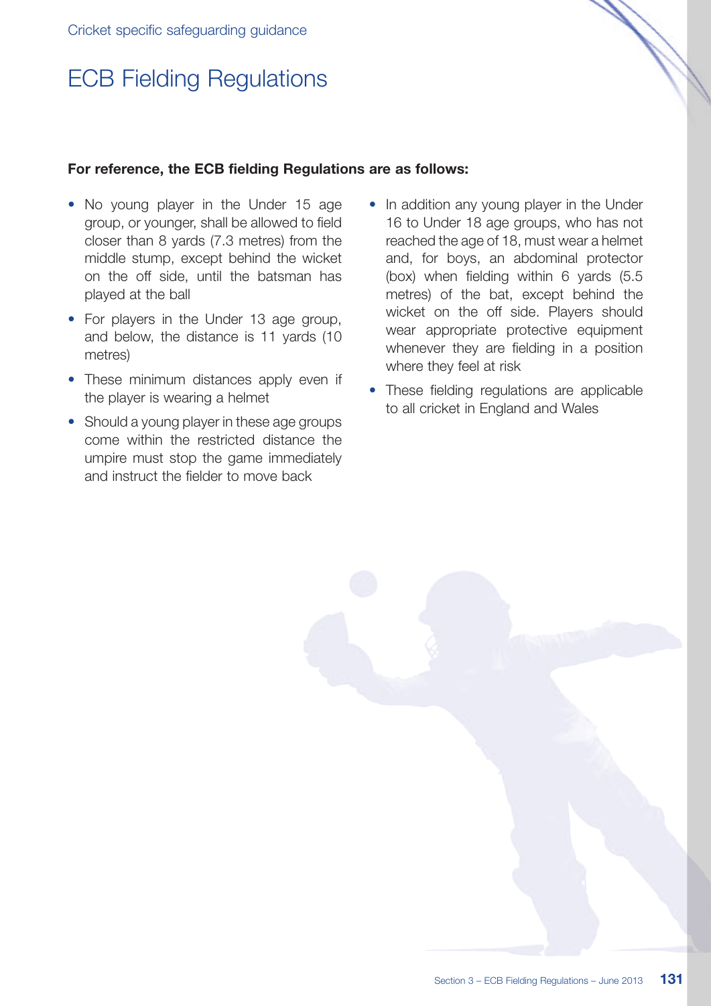# ECB Fielding Regulations

## **For reference, the ECB fielding Regulations are as follows:**

- No young player in the Under 15 age group, or younger, shall be allowed to field closer than 8 yards (7.3 metres) from the middle stump, except behind the wicket on the off side, until the batsman has played at the ball
- For players in the Under 13 age group, and below, the distance is 11 yards (10 metres)
- These minimum distances apply even if the player is wearing a helmet
- Should a young player in these age groups come within the restricted distance the umpire must stop the game immediately and instruct the fielder to move back
- In addition any young player in the Under 16 to Under 18 age groups, who has not reached the age of 18, must wear a helmet and, for boys, an abdominal protector (box) when fielding within 6 yards (5.5 metres) of the bat, except behind the wicket on the off side. Players should wear appropriate protective equipment whenever they are fielding in a position where they feel at risk
- These fielding regulations are applicable to all cricket in England and Wales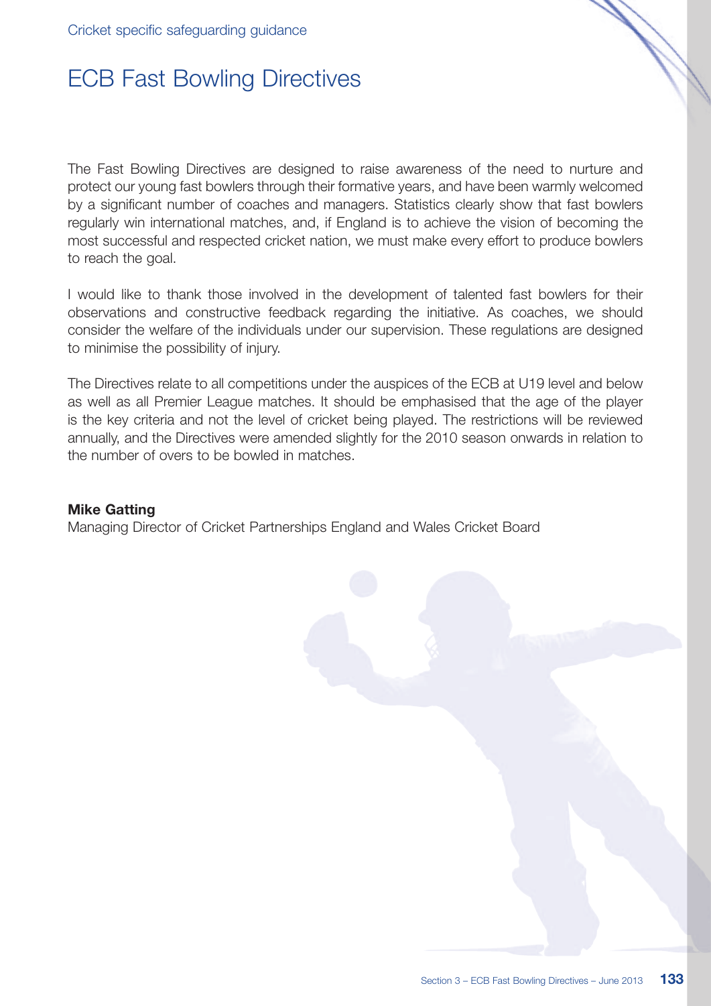# ECB Fast Bowling Directives

The Fast Bowling Directives are designed to raise awareness of the need to nurture and protect our young fast bowlers through their formative years, and have been warmly welcomed by a significant number of coaches and managers. Statistics clearly show that fast bowlers regularly win international matches, and, if England is to achieve the vision of becoming the most successful and respected cricket nation, we must make every effort to produce bowlers to reach the goal.

I would like to thank those involved in the development of talented fast bowlers for their observations and constructive feedback regarding the initiative. As coaches, we should consider the welfare of the individuals under our supervision. These regulations are designed to minimise the possibility of injury.

The Directives relate to all competitions under the auspices of the ECB at U19 level and below as well as all Premier League matches. It should be emphasised that the age of the player is the key criteria and not the level of cricket being played. The restrictions will be reviewed annually, and the Directives were amended slightly for the 2010 season onwards in relation to the number of overs to be bowled in matches.

#### **Mike Gatting**

Managing Director of Cricket Partnerships England and Wales Cricket Board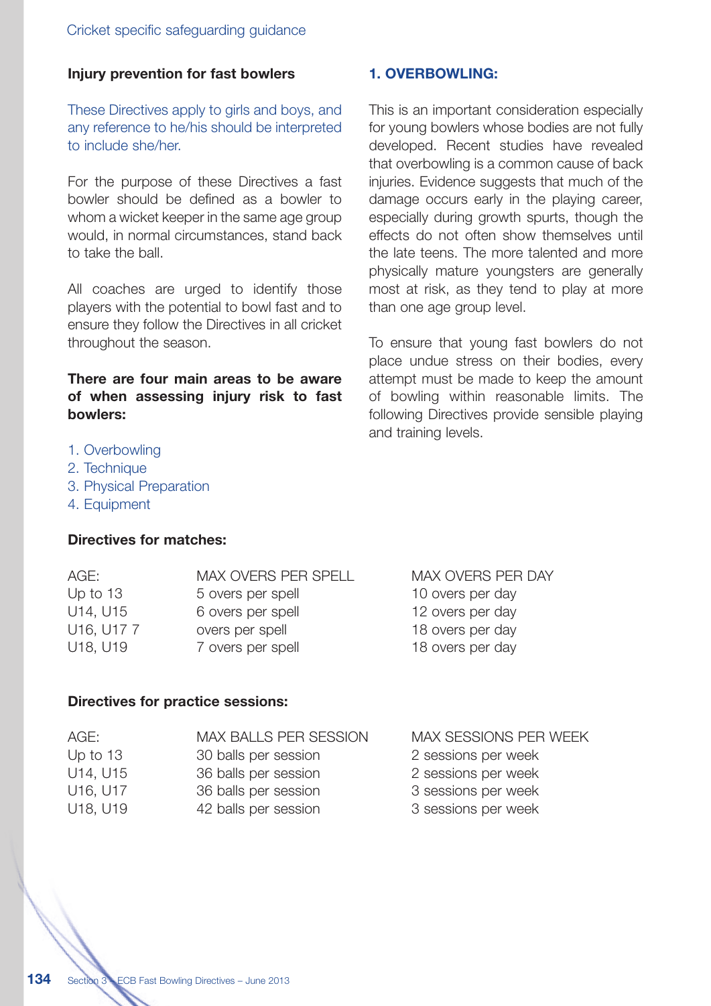#### **Injury prevention for fast bowlers**

These Directives apply to girls and boys, and any reference to he/his should be interpreted to include she/her.

For the purpose of these Directives a fast bowler should be defined as a bowler to whom a wicket keeper in the same age group would, in normal circumstances, stand back to take the ball.

All coaches are urged to identify those players with the potential to bowl fast and to ensure they follow the Directives in all cricket throughout the season.

## **There are four main areas to be aware of when assessing injury risk to fast bowlers:**

#### **1. OVERBOWLING:**

This is an important consideration especially for young bowlers whose bodies are not fully developed. Recent studies have revealed that overbowling is a common cause of back injuries. Evidence suggests that much of the damage occurs early in the playing career, especially during growth spurts, though the effects do not often show themselves until the late teens. The more talented and more physically mature youngsters are generally most at risk, as they tend to play at more than one age group level.

To ensure that young fast bowlers do not place undue stress on their bodies, every attempt must be made to keep the amount of bowling within reasonable limits. The following Directives provide sensible playing and training levels.

- 1. Overbowling
- 2. Technique
- 3. Physical Preparation
- 4. Equipment

#### **Directives for matches:**

| AGE:       | <b>MAX OVERS PER SPELL</b> | MAX OVERS PER DAY |
|------------|----------------------------|-------------------|
| Up to $13$ | 5 overs per spell          | 10 overs per day  |
| U14, U15   | 6 overs per spell          | 12 overs per day  |
| U16, U17 7 | overs per spell            | 18 overs per day  |
| U18, U19   | 7 overs per spell          | 18 overs per day  |
|            |                            |                   |

#### **Directives for practice sessions:**

| AGE:       | <b>MAX BALLS PER SESSION</b> | <b>MAX SESSIONS PER WEEK</b> |
|------------|------------------------------|------------------------------|
| Up to $13$ | 30 balls per session         | 2 sessions per week          |
| U14, U15   | 36 balls per session         | 2 sessions per week          |
| U16, U17   | 36 balls per session         | 3 sessions per week          |
| U18, U19   | 42 balls per session         | 3 sessions per week          |
|            |                              |                              |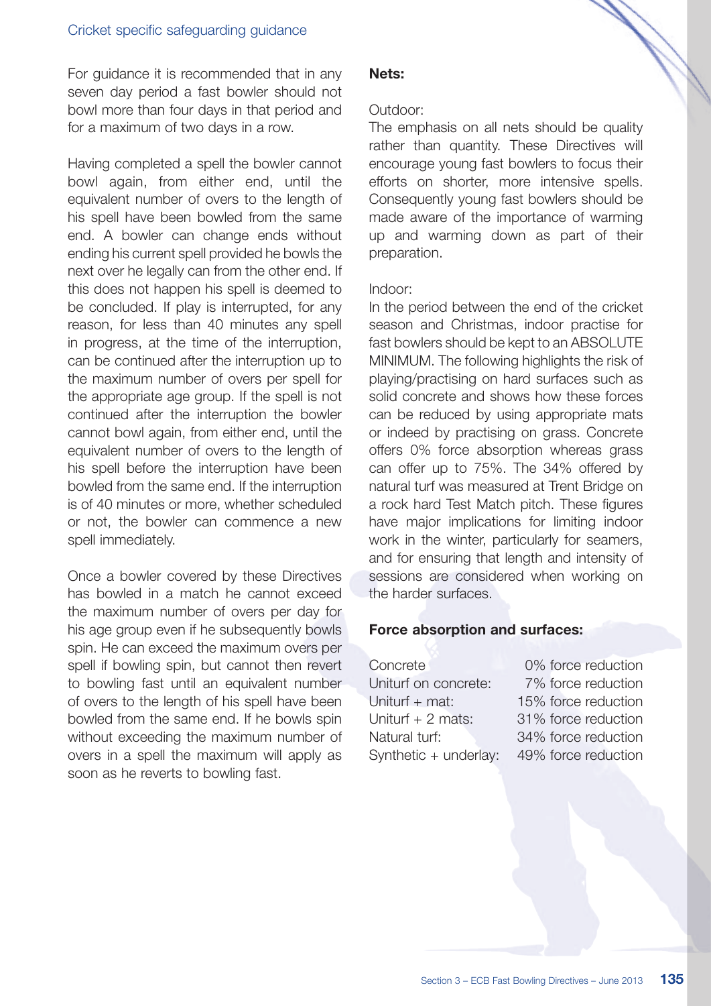### Cricket specific safeguarding guidance

For guidance it is recommended that in any seven day period a fast bowler should not bowl more than four days in that period and for a maximum of two days in a row.

Having completed a spell the bowler cannot bowl again, from either end, until the equivalent number of overs to the length of his spell have been bowled from the same end. A bowler can change ends without ending his current spell provided he bowls the next over he legally can from the other end. If this does not happen his spell is deemed to be concluded. If play is interrupted, for any reason, for less than 40 minutes any spell in progress, at the time of the interruption, can be continued after the interruption up to the maximum number of overs per spell for the appropriate age group. If the spell is not continued after the interruption the bowler cannot bowl again, from either end, until the equivalent number of overs to the length of his spell before the interruption have been bowled from the same end. If the interruption is of 40 minutes or more, whether scheduled or not, the bowler can commence a new spell immediately.

Once a bowler covered by these Directives has bowled in a match he cannot exceed the maximum number of overs per day for his age group even if he subsequently bowls spin. He can exceed the maximum overs per spell if bowling spin, but cannot then revert to bowling fast until an equivalent number of overs to the length of his spell have been bowled from the same end. If he bowls spin without exceeding the maximum number of overs in a spell the maximum will apply as soon as he reverts to bowling fast.

#### **Nets:**

#### Outdoor:

The emphasis on all nets should be quality rather than quantity. These Directives will encourage young fast bowlers to focus their efforts on shorter, more intensive spells. Consequently young fast bowlers should be made aware of the importance of warming up and warming down as part of their preparation.

#### Indoor:

In the period between the end of the cricket season and Christmas, indoor practise for fast bowlers should be kept to an ABSOLUTE MINIMUM. The following highlights the risk of playing/practising on hard surfaces such as solid concrete and shows how these forces can be reduced by using appropriate mats or indeed by practising on grass. Concrete offers 0% force absorption whereas grass can offer up to 75%. The 34% offered by natural turf was measured at Trent Bridge on a rock hard Test Match pitch. These figures have major implications for limiting indoor work in the winter, particularly for seamers, and for ensuring that length and intensity of sessions are considered when working on the harder surfaces.

#### **Force absorption and surfaces:**

| Concrete              | 0% force reduction  |
|-----------------------|---------------------|
| Uniturf on concrete:  | 7% force reduction  |
| Uniturf + mat:        | 15% force reduction |
| Uniturf $+2$ mats:    | 31% force reduction |
| Natural turf:         | 34% force reduction |
| Synthetic + underlay: | 49% force reduction |
|                       |                     |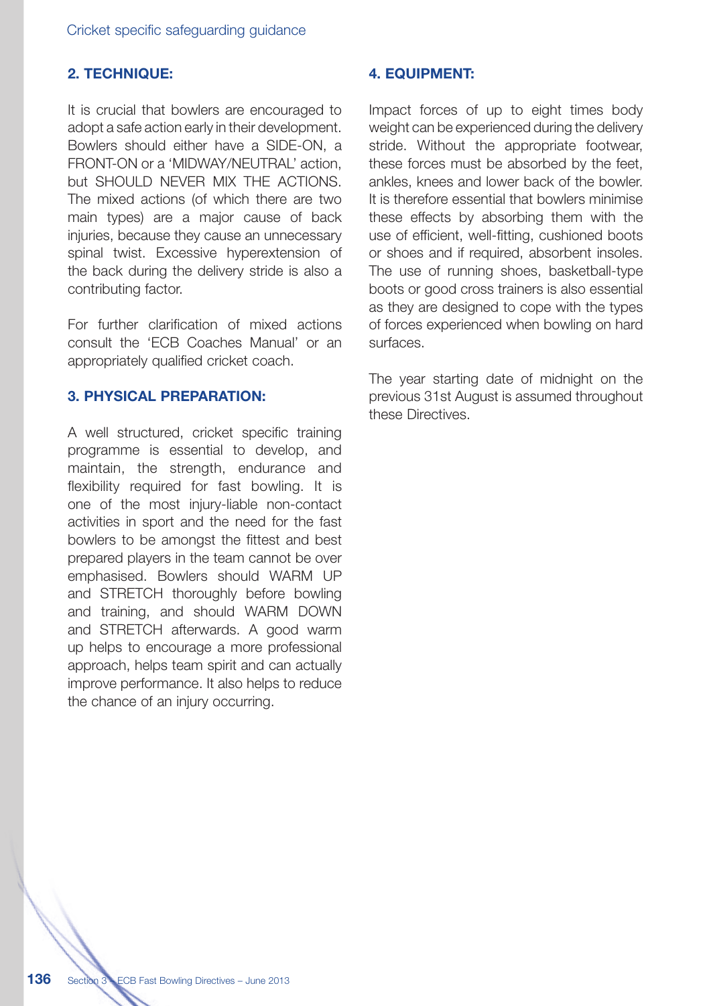## **2. TECHNIQUE:**

It is crucial that bowlers are encouraged to adopt a safe action early in their development. Bowlers should either have a SIDE-ON, a FRONT-ON or a 'MIDWAY/NEUTRAL' action, but SHOULD NEVER MIX THE ACTIONS. The mixed actions (of which there are two main types) are a major cause of back injuries, because they cause an unnecessary spinal twist. Excessive hyperextension of the back during the delivery stride is also a contributing factor.

For further clarification of mixed actions consult the 'ECB Coaches Manual' or an appropriately qualified cricket coach.

### **3. PHYSICAL PREPARATION:**

A well structured, cricket specific training programme is essential to develop, and maintain, the strength, endurance and flexibility required for fast bowling. It is one of the most injury-liable non-contact activities in sport and the need for the fast bowlers to be amongst the fittest and best prepared players in the team cannot be over emphasised. Bowlers should WARM UP and STRETCH thoroughly before bowling and training, and should WARM DOWN and STRETCH afterwards. A good warm up helps to encourage a more professional approach, helps team spirit and can actually improve performance. It also helps to reduce the chance of an injury occurring.

## **4. EQUIPMENT:**

Impact forces of up to eight times body weight can be experienced during the delivery stride. Without the appropriate footwear, these forces must be absorbed by the feet, ankles, knees and lower back of the bowler. It is therefore essential that bowlers minimise these effects by absorbing them with the use of efficient, well-fitting, cushioned boots or shoes and if required, absorbent insoles. The use of running shoes, basketball-type boots or good cross trainers is also essential as they are designed to cope with the types of forces experienced when bowling on hard surfaces.

The year starting date of midnight on the previous 31st August is assumed throughout these Directives.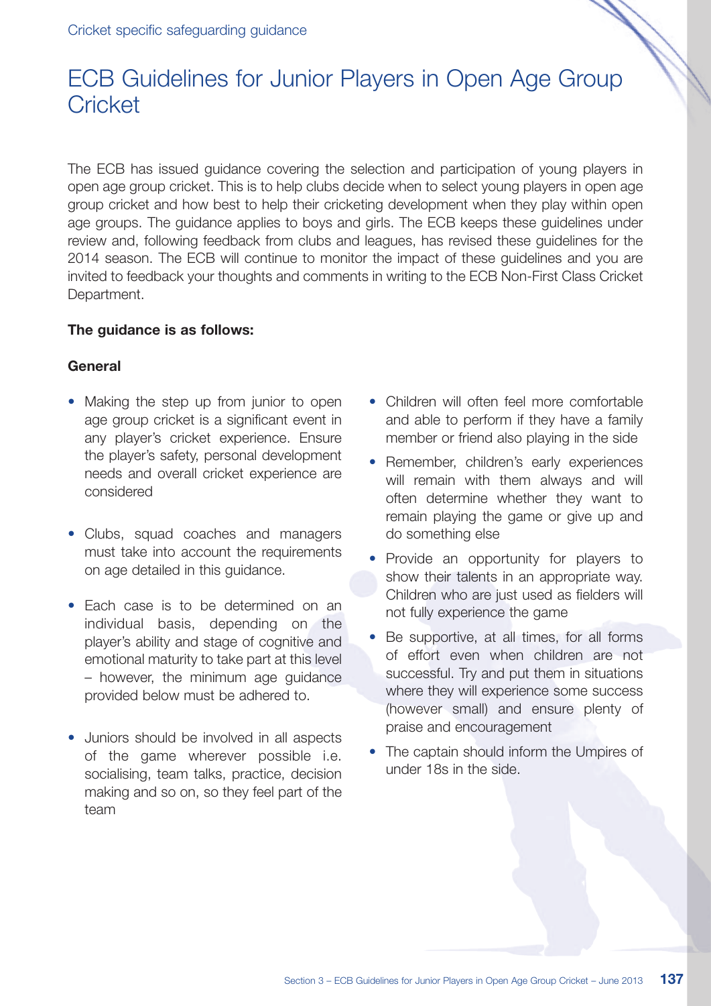## ECB Guidelines for Junior Players in Open Age Group **Cricket**

The ECB has issued guidance covering the selection and participation of young players in open age group cricket. This is to help clubs decide when to select young players in open age group cricket and how best to help their cricketing development when they play within open age groups. The guidance applies to boys and girls. The ECB keeps these guidelines under review and, following feedback from clubs and leagues, has revised these guidelines for the 2014 season. The ECB will continue to monitor the impact of these guidelines and you are invited to feedback your thoughts and comments in writing to the ECB Non-First Class Cricket Department.

#### **The guidance is as follows:**

### **General**

- Making the step up from junior to open age group cricket is a significant event in any player's cricket experience. Ensure the player's safety, personal development needs and overall cricket experience are considered
- Clubs, squad coaches and managers must take into account the requirements on age detailed in this guidance.
- Each case is to be determined on an individual basis, depending on the player's ability and stage of cognitive and emotional maturity to take part at this level – however, the minimum age guidance provided below must be adhered to.
- Juniors should be involved in all aspects of the game wherever possible i.e. socialising, team talks, practice, decision making and so on, so they feel part of the team
- Children will often feel more comfortable and able to perform if they have a family member or friend also playing in the side
- Remember, children's early experiences will remain with them always and will often determine whether they want to remain playing the game or give up and do something else
- Provide an opportunity for players to show their talents in an appropriate way. Children who are just used as fielders will not fully experience the game
- Be supportive, at all times, for all forms of effort even when children are not successful. Try and put them in situations where they will experience some success (however small) and ensure plenty of praise and encouragement
- The captain should inform the Umpires of under 18s in the side.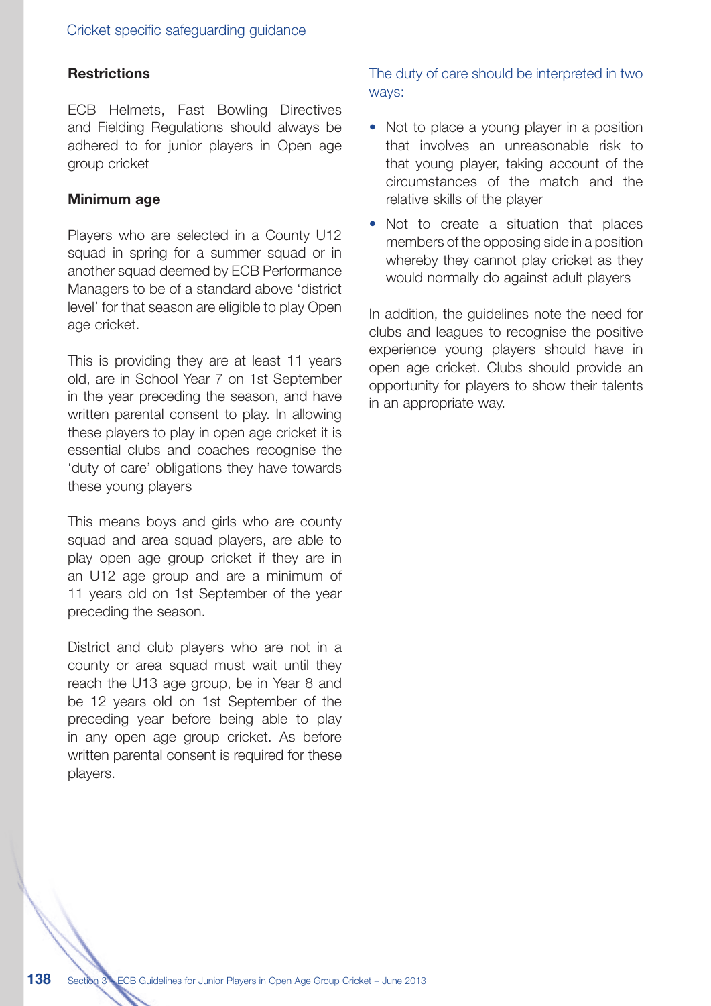#### **Restrictions**

ECB Helmets, Fast Bowling Directives and Fielding Regulations should always be adhered to for junior players in Open age group cricket

#### **Minimum age**

Players who are selected in a County U12 squad in spring for a summer squad or in another squad deemed by ECB Performance Managers to be of a standard above 'district level' for that season are eligible to play Open age cricket.

This is providing they are at least 11 years old, are in School Year 7 on 1st September in the year preceding the season, and have written parental consent to play. In allowing these players to play in open age cricket it is essential clubs and coaches recognise the 'duty of care' obligations they have towards these young players

This means boys and girls who are county squad and area squad players, are able to play open age group cricket if they are in an U12 age group and are a minimum of 11 years old on 1st September of the year preceding the season.

District and club players who are not in a county or area squad must wait until they reach the U13 age group, be in Year 8 and be 12 years old on 1st September of the preceding year before being able to play in any open age group cricket. As before written parental consent is required for these players.

#### The duty of care should be interpreted in two ways:

- Not to place a young player in a position that involves an unreasonable risk to that young player, taking account of the circumstances of the match and the relative skills of the player
- Not to create a situation that places members of the opposing side in a position whereby they cannot play cricket as they would normally do against adult players

In addition, the guidelines note the need for clubs and leagues to recognise the positive experience young players should have in open age cricket. Clubs should provide an opportunity for players to show their talents in an appropriate way.